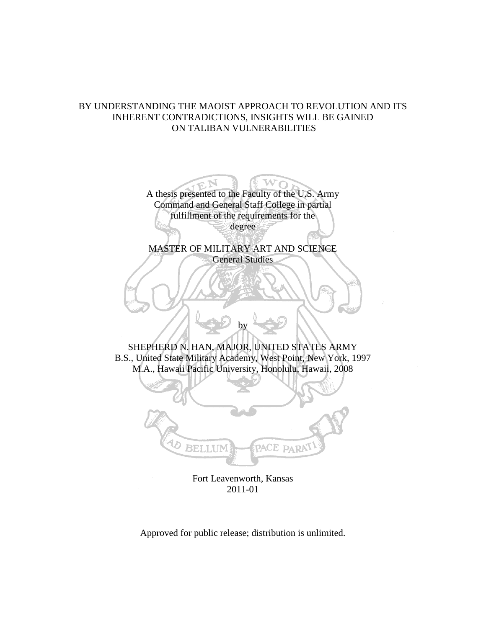# BY UNDERSTANDING THE MAOIST APPROACH TO REVOLUTION AND ITS INHERENT CONTRADICTIONS, INSIGHTS WILL BE GAINED ON TALIBAN VULNERABILITIES

A thesis presented to the Faculty of the U.S. Army Command and General Staff College in partial fulfillment of the requirements for the degree

MASTER OF MILITARY ART AND SCIENCE General Studies

SHEPHERD N. HAN, MAJOR, UNITED STATES ARMY B.S., United State Military Academy, West Point, New York, 1997 M.A., Hawaii Pacific University, Honolulu, Hawaii, 2008

by



Fort Leavenworth, Kansas 2011-01

Approved for public release; distribution is unlimited.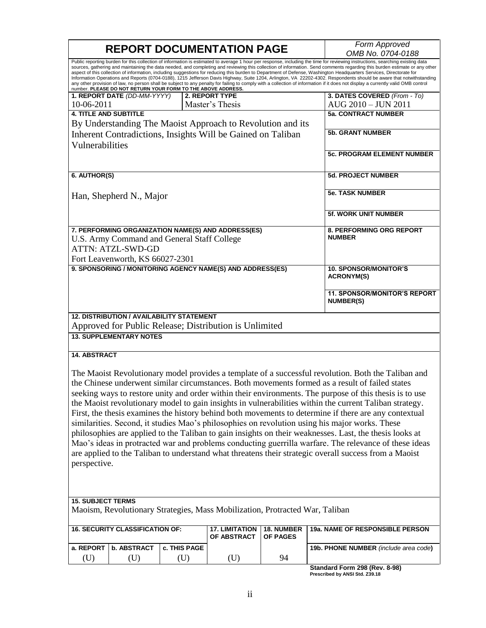|                                                                                                                                                                                                                                                                                                                                                                                                                                                                                                                                                                                                                                                                                                                                                                                                                                                                                                                                                                                      | <b>REPORT DOCUMENTATION PAGE</b>                 | Form Approved<br>OMB No. 0704-0188 |                                                             |                        |                                                         |  |  |
|--------------------------------------------------------------------------------------------------------------------------------------------------------------------------------------------------------------------------------------------------------------------------------------------------------------------------------------------------------------------------------------------------------------------------------------------------------------------------------------------------------------------------------------------------------------------------------------------------------------------------------------------------------------------------------------------------------------------------------------------------------------------------------------------------------------------------------------------------------------------------------------------------------------------------------------------------------------------------------------|--------------------------------------------------|------------------------------------|-------------------------------------------------------------|------------------------|---------------------------------------------------------|--|--|
| Public reporting burden for this collection of information is estimated to average 1 hour per response, including the time for reviewing instructions, searching existing data<br>sources, gathering and maintaining the data needed, and completing and reviewing this collection of information. Send comments regarding this burden estimate or any other<br>aspect of this collection of information, including suggestions for reducing this burden to Department of Defense, Washington Headquarters Services, Directorate for<br>Information Operations and Reports (0704-0188), 1215 Jefferson Davis Highway, Suite 1204, Arlington, VA 22202-4302. Respondents should be aware that notwithstanding<br>any other provision of law, no person shall be subject to any penalty for failing to comply with a collection of information if it does not display a currently valid OMB control<br>number. PLEASE DO NOT RETURN YOUR FORM TO THE ABOVE ADDRESS.                    |                                                  |                                    |                                                             |                        |                                                         |  |  |
|                                                                                                                                                                                                                                                                                                                                                                                                                                                                                                                                                                                                                                                                                                                                                                                                                                                                                                                                                                                      | 1. REPORT DATE (DD-MM-YYYY)                      |                                    | 2. REPORT TYPE                                              |                        | 3. DATES COVERED (From - To)                            |  |  |
| 10-06-2011                                                                                                                                                                                                                                                                                                                                                                                                                                                                                                                                                                                                                                                                                                                                                                                                                                                                                                                                                                           |                                                  |                                    | Master's Thesis                                             |                        | AUG 2010 - JUN 2011                                     |  |  |
| <b>4. TITLE AND SUBTITLE</b>                                                                                                                                                                                                                                                                                                                                                                                                                                                                                                                                                                                                                                                                                                                                                                                                                                                                                                                                                         |                                                  |                                    |                                                             |                        | <b>5a. CONTRACT NUMBER</b>                              |  |  |
|                                                                                                                                                                                                                                                                                                                                                                                                                                                                                                                                                                                                                                                                                                                                                                                                                                                                                                                                                                                      |                                                  |                                    | By Understanding The Maoist Approach to Revolution and its  |                        |                                                         |  |  |
|                                                                                                                                                                                                                                                                                                                                                                                                                                                                                                                                                                                                                                                                                                                                                                                                                                                                                                                                                                                      |                                                  |                                    | Inherent Contradictions, Insights Will be Gained on Taliban |                        | <b>5b. GRANT NUMBER</b>                                 |  |  |
|                                                                                                                                                                                                                                                                                                                                                                                                                                                                                                                                                                                                                                                                                                                                                                                                                                                                                                                                                                                      |                                                  |                                    |                                                             |                        |                                                         |  |  |
| Vulnerabilities                                                                                                                                                                                                                                                                                                                                                                                                                                                                                                                                                                                                                                                                                                                                                                                                                                                                                                                                                                      |                                                  |                                    |                                                             |                        | <b>5c. PROGRAM ELEMENT NUMBER</b>                       |  |  |
| 6. AUTHOR(S)                                                                                                                                                                                                                                                                                                                                                                                                                                                                                                                                                                                                                                                                                                                                                                                                                                                                                                                                                                         |                                                  |                                    |                                                             |                        | <b>5d. PROJECT NUMBER</b>                               |  |  |
| Han, Shepherd N., Major                                                                                                                                                                                                                                                                                                                                                                                                                                                                                                                                                                                                                                                                                                                                                                                                                                                                                                                                                              |                                                  |                                    |                                                             |                        | <b>5e. TASK NUMBER</b>                                  |  |  |
|                                                                                                                                                                                                                                                                                                                                                                                                                                                                                                                                                                                                                                                                                                                                                                                                                                                                                                                                                                                      |                                                  |                                    |                                                             |                        | <b>5f. WORK UNIT NUMBER</b>                             |  |  |
| 7. PERFORMING ORGANIZATION NAME(S) AND ADDRESS(ES)<br>U.S. Army Command and General Staff College<br><b>ATTN: ATZL-SWD-GD</b><br>Fort Leavenworth, KS 66027-2301                                                                                                                                                                                                                                                                                                                                                                                                                                                                                                                                                                                                                                                                                                                                                                                                                     |                                                  |                                    |                                                             |                        | 8. PERFORMING ORG REPORT<br><b>NUMBER</b>               |  |  |
|                                                                                                                                                                                                                                                                                                                                                                                                                                                                                                                                                                                                                                                                                                                                                                                                                                                                                                                                                                                      |                                                  |                                    |                                                             |                        |                                                         |  |  |
|                                                                                                                                                                                                                                                                                                                                                                                                                                                                                                                                                                                                                                                                                                                                                                                                                                                                                                                                                                                      |                                                  |                                    | 9. SPONSORING / MONITORING AGENCY NAME(S) AND ADDRESS(ES)   |                        | <b>10. SPONSOR/MONITOR'S</b><br><b>ACRONYM(S)</b>       |  |  |
|                                                                                                                                                                                                                                                                                                                                                                                                                                                                                                                                                                                                                                                                                                                                                                                                                                                                                                                                                                                      |                                                  |                                    |                                                             |                        | <b>11. SPONSOR/MONITOR'S REPORT</b><br><b>NUMBER(S)</b> |  |  |
|                                                                                                                                                                                                                                                                                                                                                                                                                                                                                                                                                                                                                                                                                                                                                                                                                                                                                                                                                                                      | <b>12. DISTRIBUTION / AVAILABILITY STATEMENT</b> |                                    |                                                             |                        |                                                         |  |  |
|                                                                                                                                                                                                                                                                                                                                                                                                                                                                                                                                                                                                                                                                                                                                                                                                                                                                                                                                                                                      |                                                  |                                    | Approved for Public Release; Distribution is Unlimited      |                        |                                                         |  |  |
|                                                                                                                                                                                                                                                                                                                                                                                                                                                                                                                                                                                                                                                                                                                                                                                                                                                                                                                                                                                      | <b>13. SUPPLEMENTARY NOTES</b>                   |                                    |                                                             |                        |                                                         |  |  |
| <b>14. ABSTRACT</b>                                                                                                                                                                                                                                                                                                                                                                                                                                                                                                                                                                                                                                                                                                                                                                                                                                                                                                                                                                  |                                                  |                                    |                                                             |                        |                                                         |  |  |
| The Maoist Revolutionary model provides a template of a successful revolution. Both the Taliban and<br>the Chinese underwent similar circumstances. Both movements formed as a result of failed states<br>seeking ways to restore unity and order within their environments. The purpose of this thesis is to use<br>the Maoist revolutionary model to gain insights in vulnerabilities within the current Taliban strategy.<br>First, the thesis examines the history behind both movements to determine if there are any contextual<br>similarities. Second, it studies Mao's philosophies on revolution using his major works. These<br>philosophies are applied to the Taliban to gain insights on their weaknesses. Last, the thesis looks at<br>Mao's ideas in protracted war and problems conducting guerrilla warfare. The relevance of these ideas<br>are applied to the Taliban to understand what threatens their strategic overall success from a Maoist<br>perspective. |                                                  |                                    |                                                             |                        |                                                         |  |  |
| <b>15. SUBJECT TERMS</b>                                                                                                                                                                                                                                                                                                                                                                                                                                                                                                                                                                                                                                                                                                                                                                                                                                                                                                                                                             |                                                  |                                    |                                                             |                        |                                                         |  |  |
| Maoism, Revolutionary Strategies, Mass Mobilization, Protracted War, Taliban                                                                                                                                                                                                                                                                                                                                                                                                                                                                                                                                                                                                                                                                                                                                                                                                                                                                                                         |                                                  |                                    |                                                             |                        |                                                         |  |  |
| <b>16. SECURITY CLASSIFICATION OF:</b>                                                                                                                                                                                                                                                                                                                                                                                                                                                                                                                                                                                                                                                                                                                                                                                                                                                                                                                                               |                                                  |                                    | <b>17. LIMITATION</b><br>OF ABSTRACT                        | 18. NUMBER<br>OF PAGES | 19a. NAME OF RESPONSIBLE PERSON                         |  |  |
| a. REPORT                                                                                                                                                                                                                                                                                                                                                                                                                                                                                                                                                                                                                                                                                                                                                                                                                                                                                                                                                                            | b. ABSTRACT                                      | c. THIS PAGE                       |                                                             |                        | 19b. PHONE NUMBER (include area code)                   |  |  |
| (U)                                                                                                                                                                                                                                                                                                                                                                                                                                                                                                                                                                                                                                                                                                                                                                                                                                                                                                                                                                                  | (U)                                              | (U)                                | (U)                                                         | 94                     |                                                         |  |  |
|                                                                                                                                                                                                                                                                                                                                                                                                                                                                                                                                                                                                                                                                                                                                                                                                                                                                                                                                                                                      |                                                  |                                    |                                                             |                        | $\sim$ 000 $\sqrt{2} \cdots$ 0.00                       |  |  |

**Standard Form 298 (Rev. 8-98) Prescribed by ANSI Std. Z39.18**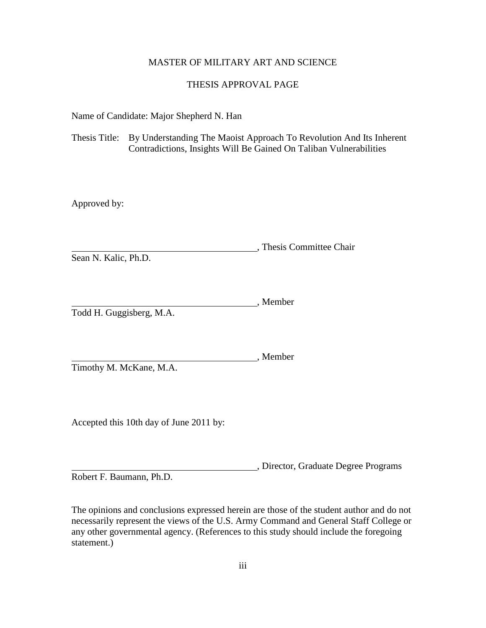## MASTER OF MILITARY ART AND SCIENCE

## THESIS APPROVAL PAGE

Name of Candidate: Major Shepherd N. Han

Thesis Title: By Understanding The Maoist Approach To Revolution And Its Inherent Contradictions, Insights Will Be Gained On Taliban Vulnerabilities

Approved by:

, Thesis Committee Chair Sean N. Kalic, Ph.D.

, Member Todd H. Guggisberg, M.A.

Timothy M. McKane, M.A.

Accepted this 10th day of June 2011 by:

, Director, Graduate Degree Programs

, Member

Robert F. Baumann, Ph.D.

The opinions and conclusions expressed herein are those of the student author and do not necessarily represent the views of the U.S. Army Command and General Staff College or any other governmental agency. (References to this study should include the foregoing statement.)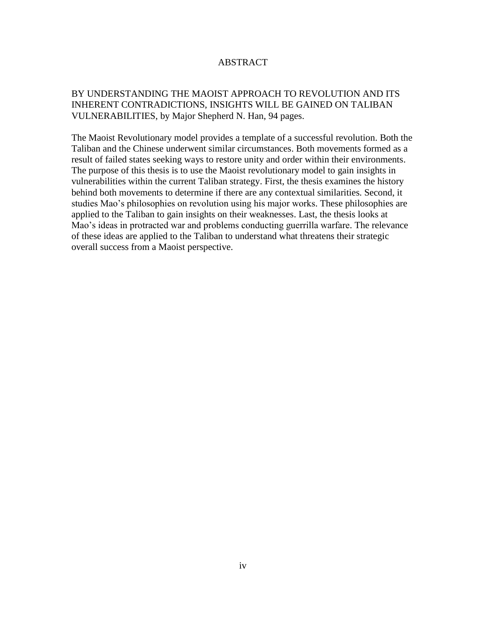## ABSTRACT

# BY UNDERSTANDING THE MAOIST APPROACH TO REVOLUTION AND ITS INHERENT CONTRADICTIONS, INSIGHTS WILL BE GAINED ON TALIBAN VULNERABILITIES, by Major Shepherd N. Han, 94 pages.

The Maoist Revolutionary model provides a template of a successful revolution. Both the Taliban and the Chinese underwent similar circumstances. Both movements formed as a result of failed states seeking ways to restore unity and order within their environments. The purpose of this thesis is to use the Maoist revolutionary model to gain insights in vulnerabilities within the current Taliban strategy. First, the thesis examines the history behind both movements to determine if there are any contextual similarities. Second, it studies Mao's philosophies on revolution using his major works. These philosophies are applied to the Taliban to gain insights on their weaknesses. Last, the thesis looks at Mao's ideas in protracted war and problems conducting guerrilla warfare. The relevance of these ideas are applied to the Taliban to understand what threatens their strategic overall success from a Maoist perspective.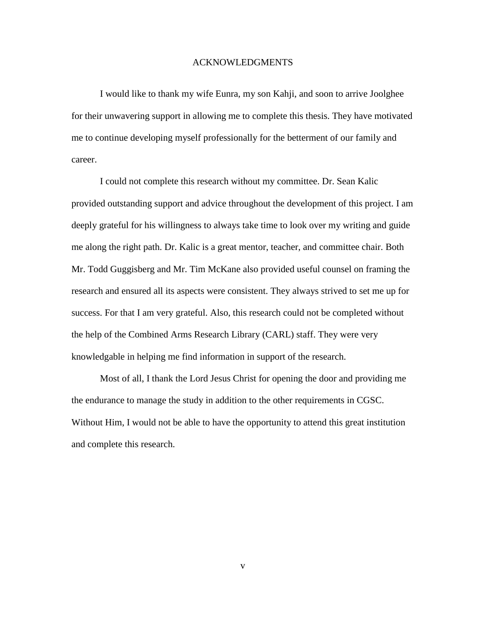#### ACKNOWLEDGMENTS

I would like to thank my wife Eunra, my son Kahji, and soon to arrive Joolghee for their unwavering support in allowing me to complete this thesis. They have motivated me to continue developing myself professionally for the betterment of our family and career.

I could not complete this research without my committee. Dr. Sean Kalic provided outstanding support and advice throughout the development of this project. I am deeply grateful for his willingness to always take time to look over my writing and guide me along the right path. Dr. Kalic is a great mentor, teacher, and committee chair. Both Mr. Todd Guggisberg and Mr. Tim McKane also provided useful counsel on framing the research and ensured all its aspects were consistent. They always strived to set me up for success. For that I am very grateful. Also, this research could not be completed without the help of the Combined Arms Research Library (CARL) staff. They were very knowledgable in helping me find information in support of the research.

Most of all, I thank the Lord Jesus Christ for opening the door and providing me the endurance to manage the study in addition to the other requirements in CGSC. Without Him, I would not be able to have the opportunity to attend this great institution and complete this research.

v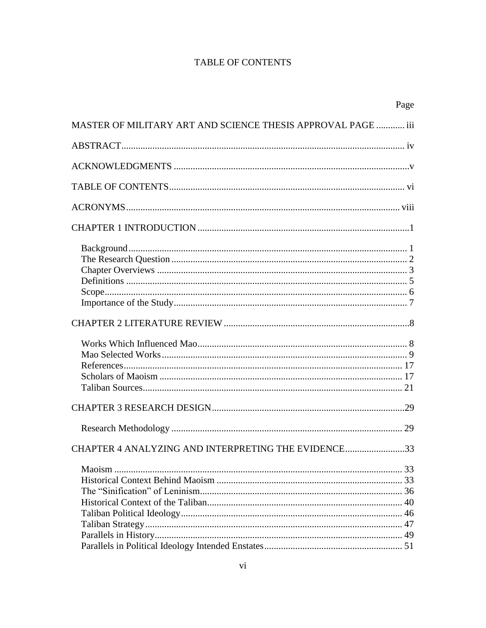# **TABLE OF CONTENTS**

|                                                              | Page |
|--------------------------------------------------------------|------|
| MASTER OF MILITARY ART AND SCIENCE THESIS APPROVAL PAGE  iii |      |
|                                                              |      |
|                                                              |      |
|                                                              |      |
|                                                              |      |
|                                                              |      |
|                                                              |      |
|                                                              |      |
|                                                              |      |
|                                                              |      |
|                                                              |      |
| CHAPTER 4 ANALYZING AND INTERPRETING THE EVIDENCE33          |      |
|                                                              |      |
|                                                              |      |
|                                                              |      |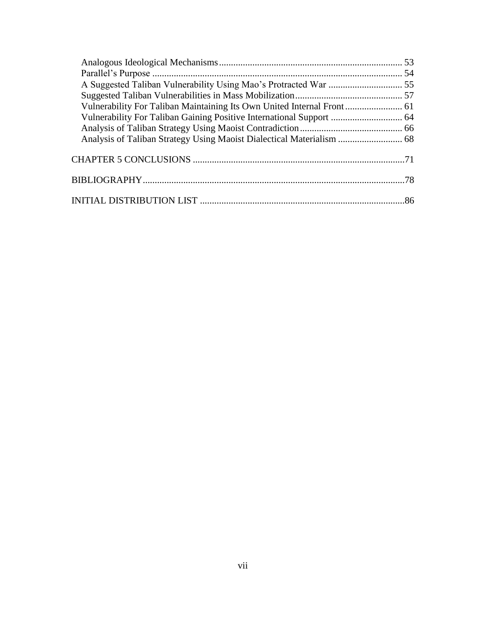| Analysis of Taliban Strategy Using Maoist Dialectical Materialism  68 |  |
|-----------------------------------------------------------------------|--|
|                                                                       |  |
|                                                                       |  |
|                                                                       |  |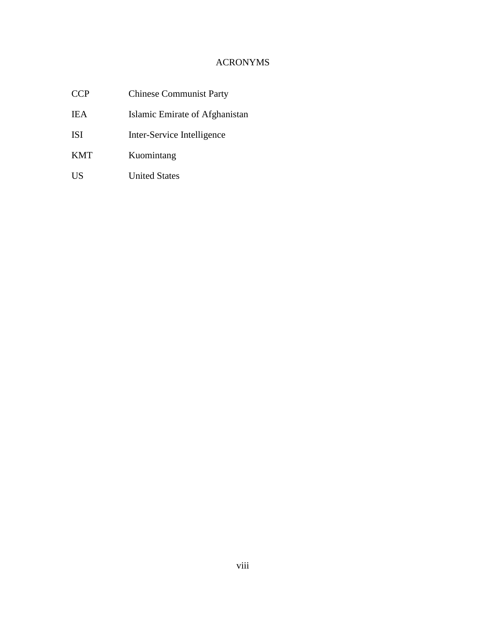# ACRONYMS

| <b>CCP</b> | <b>Chinese Communist Party</b> |  |
|------------|--------------------------------|--|
| IEA        | Islamic Emirate of Afghanistan |  |
| ISI        | Inter-Service Intelligence     |  |
| <b>KMT</b> | Kuomintang                     |  |
| US         | <b>United States</b>           |  |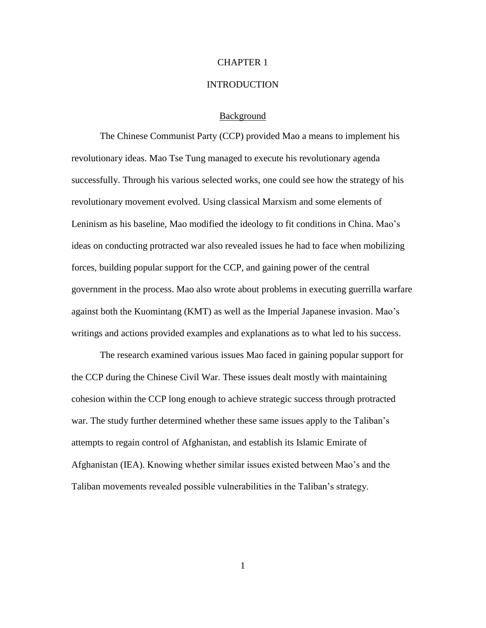## CHAPTER 1

#### **INTRODUCTION**

### Background

The Chinese Communist Party (CCP) provided Mao a means to implement his revolutionary ideas. Mao Tse Tung managed to execute his revolutionary agenda successfully. Through his various selected works, one could see how the strategy of his revolutionary movement evolved. Using classical Marxism and some elements of Leninism as his baseline, Mao modified the ideology to fit conditions in China. Mao's ideas on conducting protracted war also revealed issues he had to face when mobilizing forces, building popular support for the CCP, and gaining power of the central government in the process. Mao also wrote about problems in executing guerrilla warfare against both the Kuomintang (KMT) as well as the Imperial Japanese invasion. Mao's writings and actions provided examples and explanations as to what led to his success.

The research examined various issues Mao faced in gaining popular support for the CCP during the Chinese Civil War. These issues dealt mostly with maintaining cohesion within the CCP long enough to achieve strategic success through protracted war. The study further determined whether these same issues apply to the Taliban's attempts to regain control of Afghanistan, and establish its Islamic Emirate of Afghanistan (IEA). Knowing whether similar issues existed between Mao's and the Taliban movements revealed possible vulnerabilities in the Taliban's strategy.

1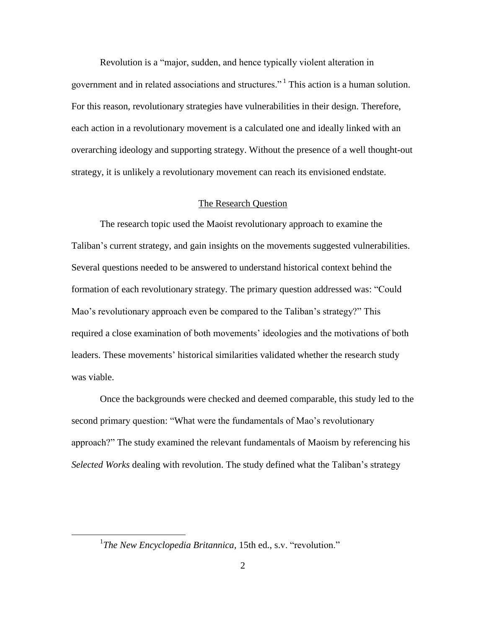Revolution is a "major, sudden, and hence typically violent alteration in government and in related associations and structures."<sup>1</sup> This action is a human solution. For this reason, revolutionary strategies have vulnerabilities in their design. Therefore, each action in a revolutionary movement is a calculated one and ideally linked with an overarching ideology and supporting strategy. Without the presence of a well thought-out strategy, it is unlikely a revolutionary movement can reach its envisioned endstate.

## The Research Question

The research topic used the Maoist revolutionary approach to examine the Taliban's current strategy, and gain insights on the movements suggested vulnerabilities. Several questions needed to be answered to understand historical context behind the formation of each revolutionary strategy. The primary question addressed was: "Could Mao's revolutionary approach even be compared to the Taliban's strategy?" This required a close examination of both movements' ideologies and the motivations of both leaders. These movements' historical similarities validated whether the research study was viable.

Once the backgrounds were checked and deemed comparable, this study led to the second primary question: "What were the fundamentals of Mao's revolutionary approach?‖ The study examined the relevant fundamentals of Maoism by referencing his *Selected Works* dealing with revolution. The study defined what the Taliban's strategy

<sup>&</sup>lt;sup>1</sup>The New Encyclopedia Britannica, 15th ed., s.v. "revolution."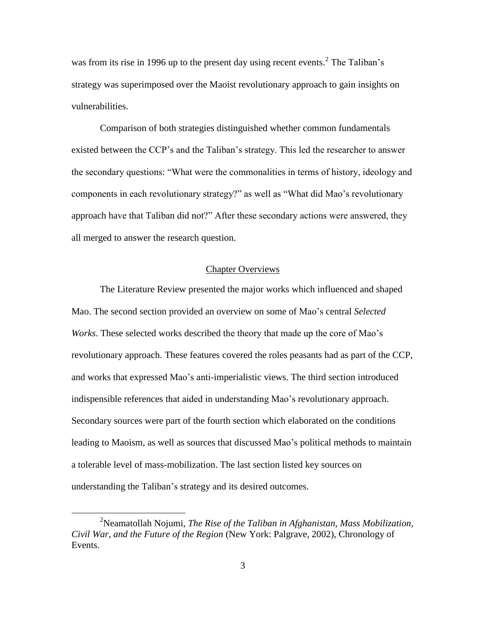was from its rise in 1996 up to the present day using recent events.<sup>2</sup> The Taliban's strategy was superimposed over the Maoist revolutionary approach to gain insights on vulnerabilities.

Comparison of both strategies distinguished whether common fundamentals existed between the CCP's and the Taliban's strategy. This led the researcher to answer the secondary questions: "What were the commonalities in terms of history, ideology and components in each revolutionary strategy?" as well as "What did Mao's revolutionary approach have that Taliban did not?" After these secondary actions were answered, they all merged to answer the research question.

## Chapter Overviews

The Literature Review presented the major works which influenced and shaped Mao. The second section provided an overview on some of Mao's central *Selected Works*. These selected works described the theory that made up the core of Mao's revolutionary approach. These features covered the roles peasants had as part of the CCP, and works that expressed Mao's anti-imperialistic views. The third section introduced indispensible references that aided in understanding Mao's revolutionary approach. Secondary sources were part of the fourth section which elaborated on the conditions leading to Maoism, as well as sources that discussed Mao's political methods to maintain a tolerable level of mass-mobilization. The last section listed key sources on understanding the Taliban's strategy and its desired outcomes.

<sup>2</sup>Neamatollah Nojumi, *The Rise of the Taliban in Afghanistan, Mass Mobilization, Civil War, and the Future of the Region* (New York: Palgrave, 2002), Chronology of Events.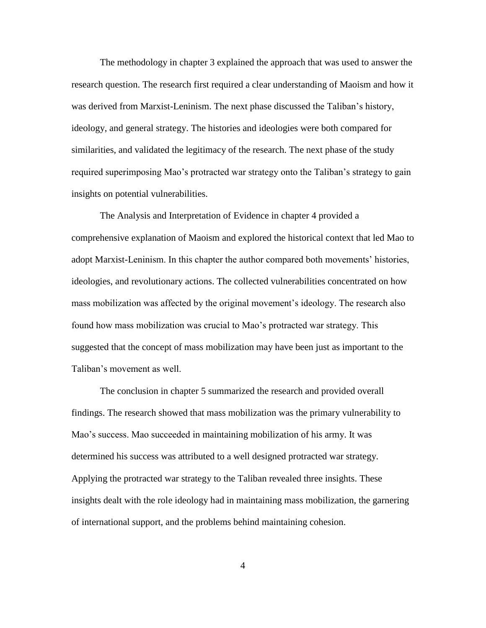The methodology in chapter 3 explained the approach that was used to answer the research question. The research first required a clear understanding of Maoism and how it was derived from Marxist-Leninism. The next phase discussed the Taliban's history, ideology, and general strategy. The histories and ideologies were both compared for similarities, and validated the legitimacy of the research. The next phase of the study required superimposing Mao's protracted war strategy onto the Taliban's strategy to gain insights on potential vulnerabilities.

The Analysis and Interpretation of Evidence in chapter 4 provided a comprehensive explanation of Maoism and explored the historical context that led Mao to adopt Marxist-Leninism. In this chapter the author compared both movements' histories, ideologies, and revolutionary actions. The collected vulnerabilities concentrated on how mass mobilization was affected by the original movement's ideology. The research also found how mass mobilization was crucial to Mao's protracted war strategy. This suggested that the concept of mass mobilization may have been just as important to the Taliban's movement as well.

The conclusion in chapter 5 summarized the research and provided overall findings. The research showed that mass mobilization was the primary vulnerability to Mao's success. Mao succeeded in maintaining mobilization of his army. It was determined his success was attributed to a well designed protracted war strategy. Applying the protracted war strategy to the Taliban revealed three insights. These insights dealt with the role ideology had in maintaining mass mobilization, the garnering of international support, and the problems behind maintaining cohesion.

4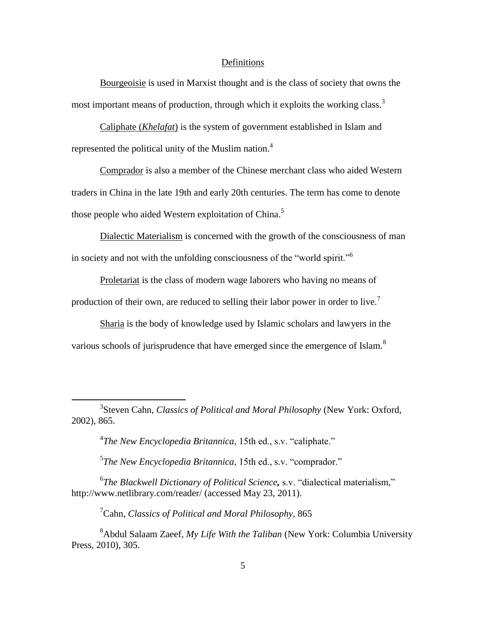### Definitions

Bourgeoisie is used in Marxist thought and is the class of society that owns the most important means of production, through which it exploits the working class.<sup>3</sup>

Caliphate (*Khelafat*) is the system of government established in Islam and represented the political unity of the Muslim nation.<sup>4</sup>

Comprador is also a member of the Chinese merchant class who aided Western traders in China in the late 19th and early 20th centuries. The term has come to denote those people who aided Western exploitation of China.<sup>5</sup>

Dialectic Materialism is concerned with the growth of the consciousness of man in society and not with the unfolding consciousness of the "world spirit."<sup>6</sup>

Proletariat is the class of modern wage laborers who having no means of production of their own, are reduced to selling their labor power in order to live.<sup>7</sup>

Sharia is the body of knowledge used by Islamic scholars and lawyers in the various schools of jurisprudence that have emerged since the emergence of Islam. $8$ 

3 Steven Cahn, *Classics of Political and Moral Philosophy* (New York: Oxford, 2002), 865.

<sup>4</sup>The New Encyclopedia Britannica, 15th ed., s.v. "caliphate."

 $\overline{a}$ 

<sup>5</sup>The New Encyclopedia Britannica, 15th ed., s.v. "comprador."

<sup>6</sup>The Blackwell Dictionary of Political Science, s.v. "dialectical materialism," http://www.netlibrary.com/reader/ (accessed May 23, 2011).

<sup>7</sup>Cahn, *Classics of Political and Moral Philosophy*, 865

<sup>8</sup>Abdul Salaam Zaeef, *My Life With the Taliban* (New York: Columbia University Press, 2010), 305.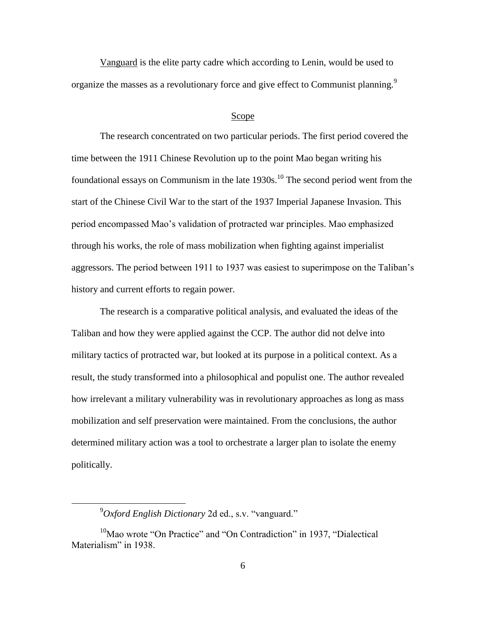Vanguard is the elite party cadre which according to Lenin, would be used to organize the masses as a revolutionary force and give effect to Communist planning.<sup>9</sup>

#### Scope

The research concentrated on two particular periods. The first period covered the time between the 1911 Chinese Revolution up to the point Mao began writing his foundational essays on Communism in the late  $1930s$ .<sup>10</sup> The second period went from the start of the Chinese Civil War to the start of the 1937 Imperial Japanese Invasion. This period encompassed Mao's validation of protracted war principles. Mao emphasized through his works, the role of mass mobilization when fighting against imperialist aggressors. The period between 1911 to 1937 was easiest to superimpose on the Taliban's history and current efforts to regain power.

The research is a comparative political analysis, and evaluated the ideas of the Taliban and how they were applied against the CCP. The author did not delve into military tactics of protracted war, but looked at its purpose in a political context. As a result, the study transformed into a philosophical and populist one. The author revealed how irrelevant a military vulnerability was in revolutionary approaches as long as mass mobilization and self preservation were maintained. From the conclusions, the author determined military action was a tool to orchestrate a larger plan to isolate the enemy politically.

 $^{9}$ *Oxford English Dictionary* 2d ed., s.v. "vanguard."

 $10$ Mao wrote "On Practice" and "On Contradiction" in 1937, "Dialectical Materialism" in 1938.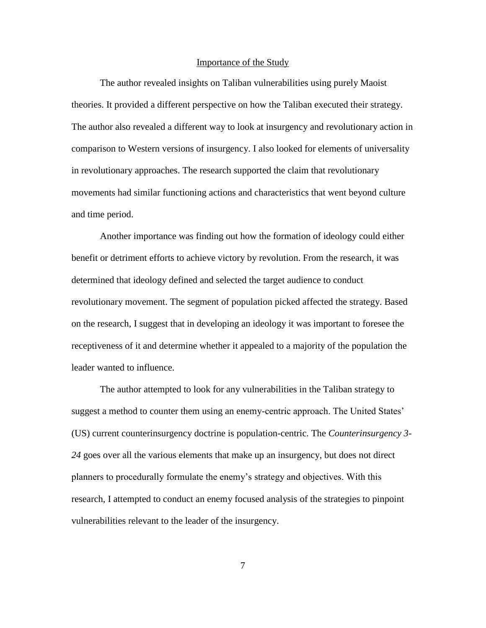### Importance of the Study

The author revealed insights on Taliban vulnerabilities using purely Maoist theories. It provided a different perspective on how the Taliban executed their strategy. The author also revealed a different way to look at insurgency and revolutionary action in comparison to Western versions of insurgency. I also looked for elements of universality in revolutionary approaches. The research supported the claim that revolutionary movements had similar functioning actions and characteristics that went beyond culture and time period.

Another importance was finding out how the formation of ideology could either benefit or detriment efforts to achieve victory by revolution. From the research, it was determined that ideology defined and selected the target audience to conduct revolutionary movement. The segment of population picked affected the strategy. Based on the research, I suggest that in developing an ideology it was important to foresee the receptiveness of it and determine whether it appealed to a majority of the population the leader wanted to influence.

The author attempted to look for any vulnerabilities in the Taliban strategy to suggest a method to counter them using an enemy-centric approach. The United States' (US) current counterinsurgency doctrine is population-centric. The *Counterinsurgency 3- 24* goes over all the various elements that make up an insurgency, but does not direct planners to procedurally formulate the enemy's strategy and objectives. With this research, I attempted to conduct an enemy focused analysis of the strategies to pinpoint vulnerabilities relevant to the leader of the insurgency.

7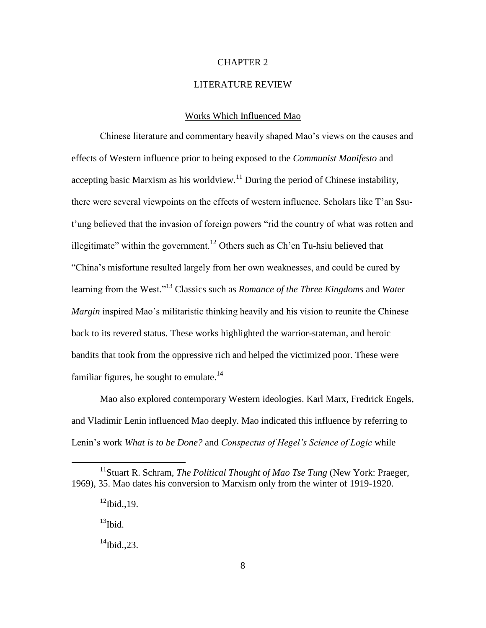## CHAPTER 2

## LITERATURE REVIEW

## Works Which Influenced Mao

Chinese literature and commentary heavily shaped Mao's views on the causes and effects of Western influence prior to being exposed to the *Communist Manifesto* and accepting basic Marxism as his worldview.<sup>11</sup> During the period of Chinese instability, there were several viewpoints on the effects of western influence. Scholars like T'an Ssut'ung believed that the invasion of foreign powers "rid the country of what was rotten and illegitimate" within the government.<sup>12</sup> Others such as Ch'en Tu-hsiu believed that ―China's misfortune resulted largely from her own weaknesses, and could be cured by learning from the West."<sup>13</sup> Classics such as *Romance of the Three Kingdoms* and *Water Margin* inspired Mao's militaristic thinking heavily and his vision to reunite the Chinese back to its revered status. These works highlighted the warrior-stateman, and heroic bandits that took from the oppressive rich and helped the victimized poor. These were familiar figures, he sought to emulate.<sup>14</sup>

Mao also explored contemporary Western ideologies. Karl Marx, Fredrick Engels, and Vladimir Lenin influenced Mao deeply. Mao indicated this influence by referring to Lenin's work *What is to be Done?* and *Conspectus of Hegel's Science of Logic* while

 $13$ Ibid.

 $\overline{a}$ 

<sup>14</sup>Ibid.*,*23.

<sup>&</sup>lt;sup>11</sup> Stuart R. Schram, *The Political Thought of Mao Tse Tung* (New York: Praeger, 1969), 35. Mao dates his conversion to Marxism only from the winter of 1919-1920.

 $^{12}$ Ibid., 19.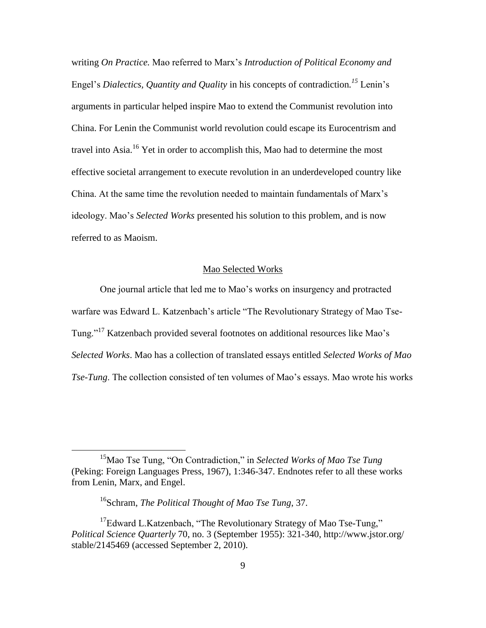writing *On Practice.* Mao referred to Marx's *Introduction of Political Economy and*  Engel's *Dialectics, Quantity and Quality* in his concepts of contradiction*. <sup>15</sup>* Lenin's arguments in particular helped inspire Mao to extend the Communist revolution into China. For Lenin the Communist world revolution could escape its Eurocentrism and travel into Asia.<sup>16</sup> Yet in order to accomplish this, Mao had to determine the most effective societal arrangement to execute revolution in an underdeveloped country like China. At the same time the revolution needed to maintain fundamentals of Marx's ideology. Mao's *Selected Works* presented his solution to this problem, and is now referred to as Maoism.

### Mao Selected Works

One journal article that led me to Mao's works on insurgency and protracted warfare was Edward L. Katzenbach's article "The Revolutionary Strategy of Mao Tse-Tung."<sup>17</sup> Katzenbach provided several footnotes on additional resources like Mao's *Selected Works*. Mao has a collection of translated essays entitled *Selected Works of Mao Tse-Tung*. The collection consisted of ten volumes of Mao's essays. Mao wrote his works

<sup>&</sup>lt;sup>15</sup>Mao Tse Tung, "On Contradiction," in *Selected Works of Mao Tse Tung* (Peking: Foreign Languages Press, 1967), 1:346-347. Endnotes refer to all these works from Lenin, Marx, and Engel.

<sup>16</sup>Schram, *The Political Thought of Mao Tse Tung*, 37.

 $17E$ dward L.Katzenbach, "The Revolutionary Strategy of Mao Tse-Tung," *Political Science Quarterly* 70, no. 3 (September 1955): 321-340, http://www.jstor.org/ stable/2145469 (accessed September 2, 2010).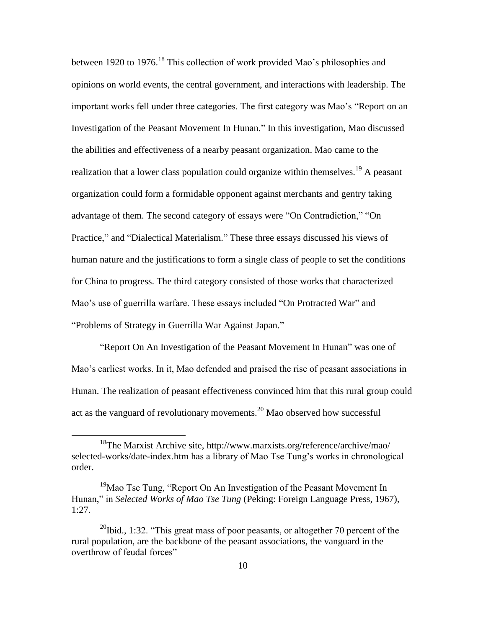between 1920 to 1976.<sup>18</sup> This collection of work provided Mao's philosophies and opinions on world events, the central government, and interactions with leadership. The important works fell under three categories. The first category was Mao's "Report on an Investigation of the Peasant Movement In Hunan." In this investigation, Mao discussed the abilities and effectiveness of a nearby peasant organization. Mao came to the realization that a lower class population could organize within themselves.<sup>19</sup> A peasant organization could form a formidable opponent against merchants and gentry taking advantage of them. The second category of essays were "On Contradiction," "On Practice," and "Dialectical Materialism." These three essays discussed his views of human nature and the justifications to form a single class of people to set the conditions for China to progress. The third category consisted of those works that characterized Mao's use of guerrilla warfare. These essays included "On Protracted War" and "Problems of Strategy in Guerrilla War Against Japan."

"Report On An Investigation of the Peasant Movement In Hunan" was one of Mao's earliest works. In it, Mao defended and praised the rise of peasant associations in Hunan. The realization of peasant effectiveness convinced him that this rural group could act as the vanguard of revolutionary movements.<sup>20</sup> Mao observed how successful

<sup>&</sup>lt;sup>18</sup>The Marxist Archive site, http://www.marxists.org/reference/archive/mao/ selected-works/date-index.htm has a library of Mao Tse Tung's works in chronological order.

 $19$ Mao Tse Tung, "Report On An Investigation of the Peasant Movement In Hunan," in *Selected Works of Mao Tse Tung* (Peking: Foreign Language Press, 1967), 1:27.

<sup>&</sup>lt;sup>20</sup>Ibid., 1:32. "This great mass of poor peasants, or altogether 70 percent of the rural population, are the backbone of the peasant associations, the vanguard in the overthrow of feudal forces"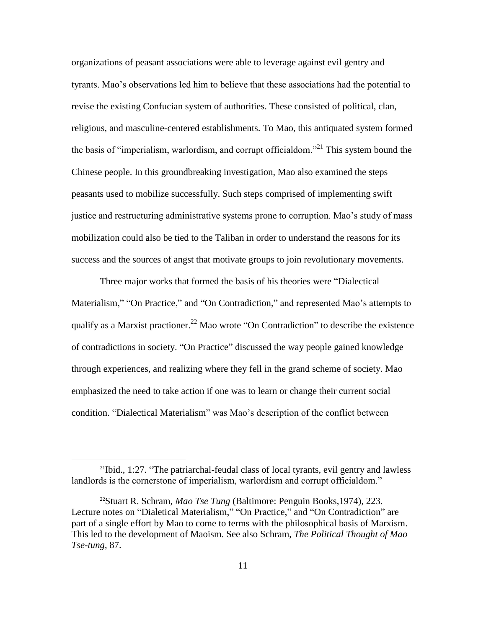organizations of peasant associations were able to leverage against evil gentry and tyrants. Mao's observations led him to believe that these associations had the potential to revise the existing Confucian system of authorities. These consisted of political, clan, religious, and masculine-centered establishments. To Mao, this antiquated system formed the basis of "imperialism, warlordism, and corrupt officialdom."<sup>21</sup> This system bound the Chinese people. In this groundbreaking investigation, Mao also examined the steps peasants used to mobilize successfully. Such steps comprised of implementing swift justice and restructuring administrative systems prone to corruption. Mao's study of mass mobilization could also be tied to the Taliban in order to understand the reasons for its success and the sources of angst that motivate groups to join revolutionary movements.

Three major works that formed the basis of his theories were "Dialectical" Materialism," "On Practice," and "On Contradiction," and represented Mao's attempts to qualify as a Marxist practioner.<sup>22</sup> Mao wrote "On Contradiction" to describe the existence of contradictions in society. "On Practice" discussed the way people gained knowledge through experiences, and realizing where they fell in the grand scheme of society. Mao emphasized the need to take action if one was to learn or change their current social condition. "Dialectical Materialism" was Mao's description of the conflict between

<sup>&</sup>lt;sup>21</sup>Ibid., 1:27. "The patriarchal-feudal class of local tyrants, evil gentry and lawless landlords is the cornerstone of imperialism, warlordism and corrupt officialdom."

<sup>22</sup>Stuart R. Schram, *Mao Tse Tung* (Baltimore: Penguin Books,1974), 223. Lecture notes on "Dialetical Materialism," "On Practice," and "On Contradiction" are part of a single effort by Mao to come to terms with the philosophical basis of Marxism. This led to the development of Maoism. See also Schram, *The Political Thought of Mao Tse-tung*, 87.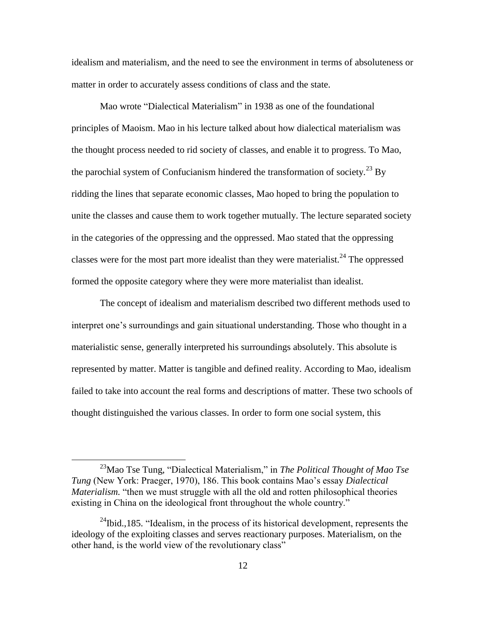idealism and materialism, and the need to see the environment in terms of absoluteness or matter in order to accurately assess conditions of class and the state.

Mao wrote "Dialectical Materialism" in 1938 as one of the foundational principles of Maoism. Mao in his lecture talked about how dialectical materialism was the thought process needed to rid society of classes, and enable it to progress. To Mao, the parochial system of Confucianism hindered the transformation of society.<sup>23</sup> By ridding the lines that separate economic classes, Mao hoped to bring the population to unite the classes and cause them to work together mutually. The lecture separated society in the categories of the oppressing and the oppressed. Mao stated that the oppressing classes were for the most part more idealist than they were materialist.<sup>24</sup> The oppressed formed the opposite category where they were more materialist than idealist.

The concept of idealism and materialism described two different methods used to interpret one's surroundings and gain situational understanding. Those who thought in a materialistic sense, generally interpreted his surroundings absolutely. This absolute is represented by matter. Matter is tangible and defined reality. According to Mao, idealism failed to take into account the real forms and descriptions of matter. These two schools of thought distinguished the various classes. In order to form one social system, this

<sup>&</sup>lt;sup>23</sup>Mao Tse Tung, "Dialectical Materialism," in *The Political Thought of Mao Tse Tung* (New York: Praeger, 1970), 186. This book contains Mao's essay *Dialectical Materialism.* "then we must struggle with all the old and rotten philosophical theories existing in China on the ideological front throughout the whole country."

 $^{24}$ Ibid.,185. "Idealism, in the process of its historical development, represents the ideology of the exploiting classes and serves reactionary purposes. Materialism, on the other hand, is the world view of the revolutionary class"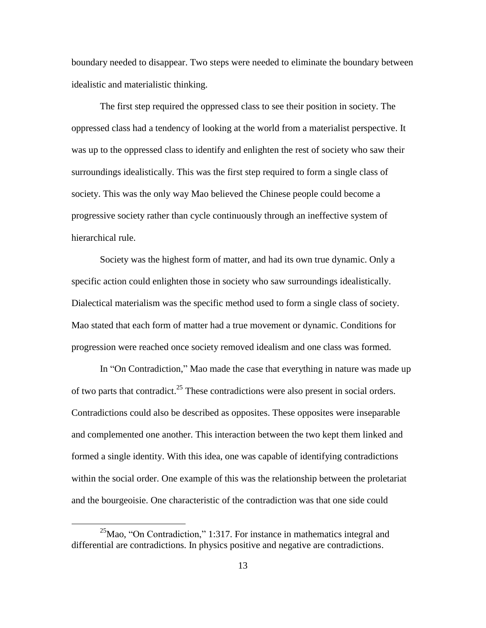boundary needed to disappear. Two steps were needed to eliminate the boundary between idealistic and materialistic thinking.

The first step required the oppressed class to see their position in society. The oppressed class had a tendency of looking at the world from a materialist perspective. It was up to the oppressed class to identify and enlighten the rest of society who saw their surroundings idealistically. This was the first step required to form a single class of society. This was the only way Mao believed the Chinese people could become a progressive society rather than cycle continuously through an ineffective system of hierarchical rule.

Society was the highest form of matter, and had its own true dynamic. Only a specific action could enlighten those in society who saw surroundings idealistically. Dialectical materialism was the specific method used to form a single class of society. Mao stated that each form of matter had a true movement or dynamic. Conditions for progression were reached once society removed idealism and one class was formed.

In "On Contradiction," Mao made the case that everything in nature was made up of two parts that contradict.<sup>25</sup> These contradictions were also present in social orders. Contradictions could also be described as opposites. These opposites were inseparable and complemented one another. This interaction between the two kept them linked and formed a single identity. With this idea, one was capable of identifying contradictions within the social order. One example of this was the relationship between the proletariat and the bourgeoisie. One characteristic of the contradiction was that one side could

<sup>&</sup>lt;sup>25</sup>Mao, "On Contradiction," 1:317. For instance in mathematics integral and differential are contradictions. In physics positive and negative are contradictions.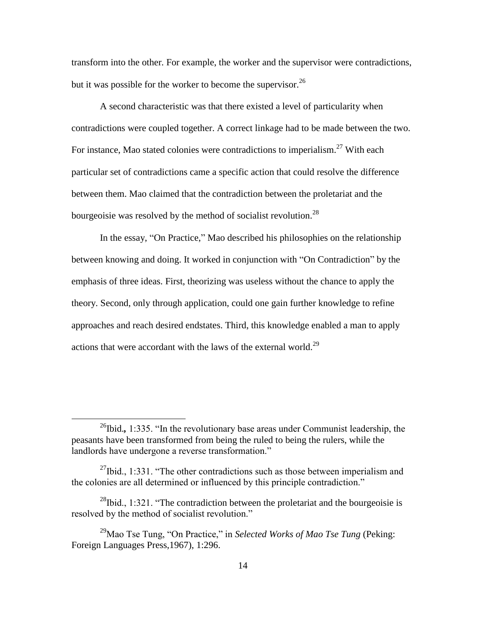transform into the other. For example, the worker and the supervisor were contradictions, but it was possible for the worker to become the supervisor.<sup>26</sup>

A second characteristic was that there existed a level of particularity when contradictions were coupled together. A correct linkage had to be made between the two. For instance, Mao stated colonies were contradictions to imperialism.<sup>27</sup> With each particular set of contradictions came a specific action that could resolve the difference between them. Mao claimed that the contradiction between the proletariat and the bourgeoisie was resolved by the method of socialist revolution.<sup>28</sup>

In the essay, "On Practice," Mao described his philosophies on the relationship between knowing and doing. It worked in conjunction with "On Contradiction" by the emphasis of three ideas. First, theorizing was useless without the chance to apply the theory. Second, only through application, could one gain further knowledge to refine approaches and reach desired endstates. Third, this knowledge enabled a man to apply actions that were accordant with the laws of the external world.<sup>29</sup>

 $^{26}$ Ibid., 1:335. "In the revolutionary base areas under Communist leadership, the peasants have been transformed from being the ruled to being the rulers, while the landlords have undergone a reverse transformation."

 $^{27}$ Ibid., 1:331. "The other contradictions such as those between imperialism and the colonies are all determined or influenced by this principle contradiction."

<sup>&</sup>lt;sup>28</sup>Ibid., 1:321. "The contradiction between the proletariat and the bourgeoisie is resolved by the method of socialist revolution."

<sup>&</sup>lt;sup>29</sup>Mao Tse Tung, "On Practice," in *Selected Works of Mao Tse Tung* (Peking: Foreign Languages Press,1967), 1:296.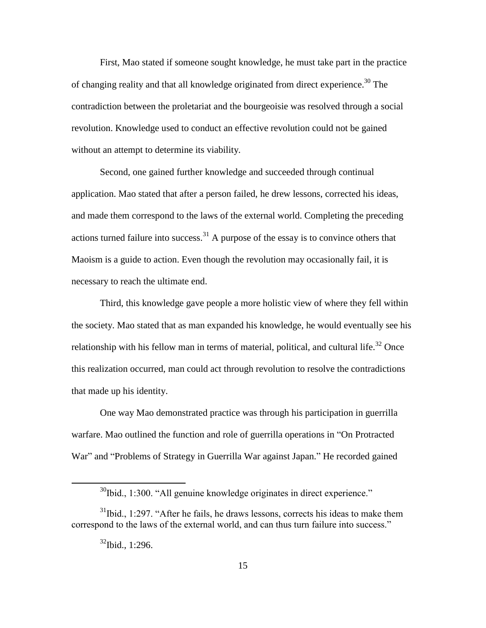First, Mao stated if someone sought knowledge, he must take part in the practice of changing reality and that all knowledge originated from direct experience.<sup>30</sup> The contradiction between the proletariat and the bourgeoisie was resolved through a social revolution. Knowledge used to conduct an effective revolution could not be gained without an attempt to determine its viability.

Second, one gained further knowledge and succeeded through continual application. Mao stated that after a person failed, he drew lessons, corrected his ideas, and made them correspond to the laws of the external world. Completing the preceding actions turned failure into success.<sup>31</sup> A purpose of the essay is to convince others that Maoism is a guide to action. Even though the revolution may occasionally fail, it is necessary to reach the ultimate end.

Third, this knowledge gave people a more holistic view of where they fell within the society. Mao stated that as man expanded his knowledge, he would eventually see his relationship with his fellow man in terms of material, political, and cultural life.<sup>32</sup> Once this realization occurred, man could act through revolution to resolve the contradictions that made up his identity.

One way Mao demonstrated practice was through his participation in guerrilla warfare. Mao outlined the function and role of guerrilla operations in "On Protracted War" and "Problems of Strategy in Guerrilla War against Japan." He recorded gained

 $30$ Ibid., 1:300. "All genuine knowledge originates in direct experience."

 $31$ Ibid., 1:297. "After he fails, he draws lessons, corrects his ideas to make them correspond to the laws of the external world, and can thus turn failure into success."

 $32$ Ibid., 1:296.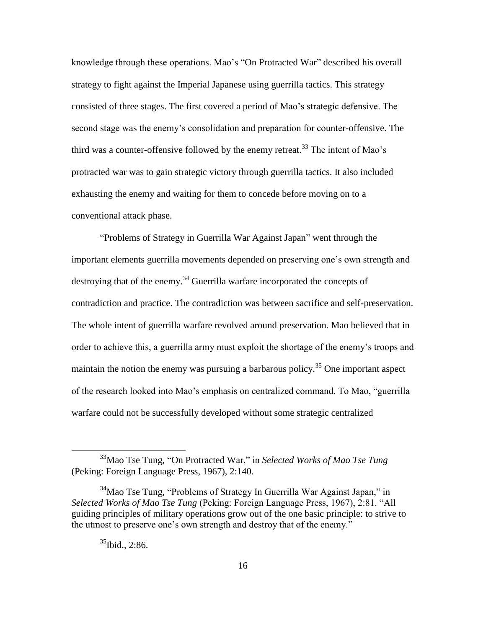knowledge through these operations. Mao's "On Protracted War" described his overall strategy to fight against the Imperial Japanese using guerrilla tactics. This strategy consisted of three stages. The first covered a period of Mao's strategic defensive. The second stage was the enemy's consolidation and preparation for counter-offensive. The third was a counter-offensive followed by the enemy retreat.<sup>33</sup> The intent of Mao's protracted war was to gain strategic victory through guerrilla tactics. It also included exhausting the enemy and waiting for them to concede before moving on to a conventional attack phase.

"Problems of Strategy in Guerrilla War Against Japan" went through the important elements guerrilla movements depended on preserving one's own strength and destroying that of the enemy.<sup>34</sup> Guerrilla warfare incorporated the concepts of contradiction and practice. The contradiction was between sacrifice and self-preservation. The whole intent of guerrilla warfare revolved around preservation. Mao believed that in order to achieve this, a guerrilla army must exploit the shortage of the enemy's troops and maintain the notion the enemy was pursuing a barbarous policy.<sup>35</sup> One important aspect of the research looked into Mao's emphasis on centralized command. To Mao, "guerrilla" warfare could not be successfully developed without some strategic centralized

<sup>&</sup>lt;sup>33</sup>Mao Tse Tung, "On Protracted War," in *Selected Works of Mao Tse Tung* (Peking: Foreign Language Press, 1967), 2:140.

 $34$ Mao Tse Tung, "Problems of Strategy In Guerrilla War Against Japan," in *Selected Works of Mao Tse Tung* (Peking: Foreign Language Press, 1967), 2:81. "All guiding principles of military operations grow out of the one basic principle: to strive to the utmost to preserve one's own strength and destroy that of the enemy.<sup>"</sup>

 $35$ Ibid., 2:86.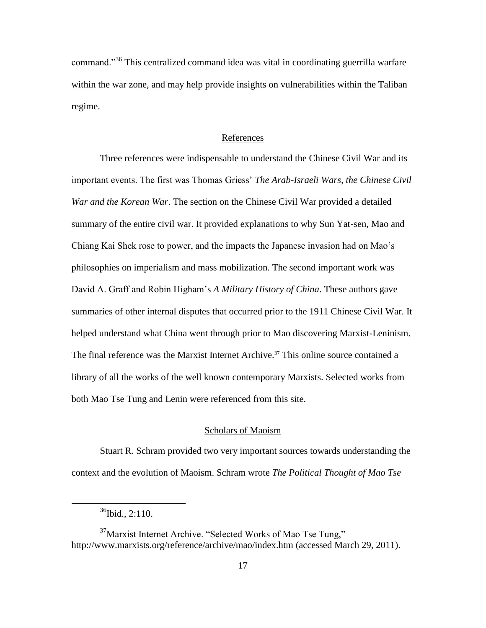command.<sup>356</sup> This centralized command idea was vital in coordinating guerrilla warfare within the war zone, and may help provide insights on vulnerabilities within the Taliban regime.

#### References

Three references were indispensable to understand the Chinese Civil War and its important events. The first was Thomas Griess' *The Arab-Israeli Wars, the Chinese Civil War and the Korean War*. The section on the Chinese Civil War provided a detailed summary of the entire civil war. It provided explanations to why Sun Yat-sen, Mao and Chiang Kai Shek rose to power, and the impacts the Japanese invasion had on Mao's philosophies on imperialism and mass mobilization. The second important work was David A. Graff and Robin Higham's *A Military History of China*. These authors gave summaries of other internal disputes that occurred prior to the 1911 Chinese Civil War. It helped understand what China went through prior to Mao discovering Marxist-Leninism. The final reference was the Marxist Internet Archive.<sup>37</sup> This online source contained a library of all the works of the well known contemporary Marxists. Selected works from both Mao Tse Tung and Lenin were referenced from this site.

#### Scholars of Maoism

Stuart R. Schram provided two very important sources towards understanding the context and the evolution of Maoism. Schram wrote *The Political Thought of Mao Tse* 

 $36$ Ibid., 2:110.

 $37$ Marxist Internet Archive. "Selected Works of Mao Tse Tung," http://www.marxists.org/reference/archive/mao/index.htm (accessed March 29, 2011).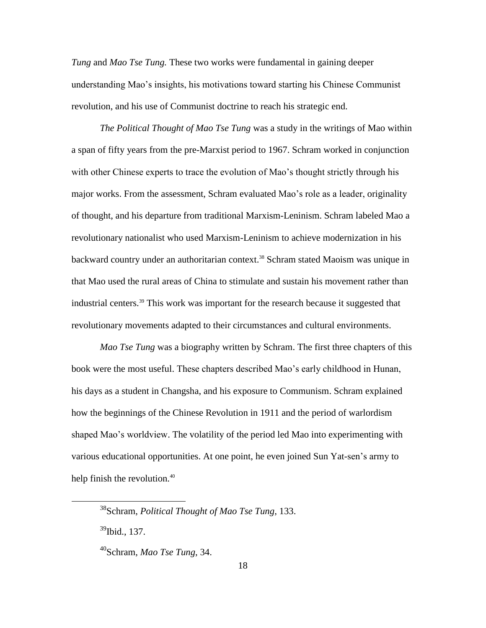*Tung* and *Mao Tse Tung.* These two works were fundamental in gaining deeper understanding Mao's insights, his motivations toward starting his Chinese Communist revolution, and his use of Communist doctrine to reach his strategic end.

*The Political Thought of Mao Tse Tung* was a study in the writings of Mao within a span of fifty years from the pre-Marxist period to 1967. Schram worked in conjunction with other Chinese experts to trace the evolution of Mao's thought strictly through his major works. From the assessment, Schram evaluated Mao's role as a leader, originality of thought, and his departure from traditional Marxism-Leninism. Schram labeled Mao a revolutionary nationalist who used Marxism-Leninism to achieve modernization in his backward country under an authoritarian context.<sup>38</sup> Schram stated Maoism was unique in that Mao used the rural areas of China to stimulate and sustain his movement rather than industrial centers.<sup>39</sup> This work was important for the research because it suggested that revolutionary movements adapted to their circumstances and cultural environments.

*Mao Tse Tung* was a biography written by Schram. The first three chapters of this book were the most useful. These chapters described Mao's early childhood in Hunan, his days as a student in Changsha, and his exposure to Communism. Schram explained how the beginnings of the Chinese Revolution in 1911 and the period of warlordism shaped Mao's worldview. The volatility of the period led Mao into experimenting with various educational opportunities. At one point, he even joined Sun Yat-sen's army to help finish the revolution.<sup>40</sup>

 $^{39}$ Ibid., 137.

<sup>38</sup>Schram, *Political Thought of Mao Tse Tung*, 133.

<sup>40</sup>Schram, *Mao Tse Tung*, 34.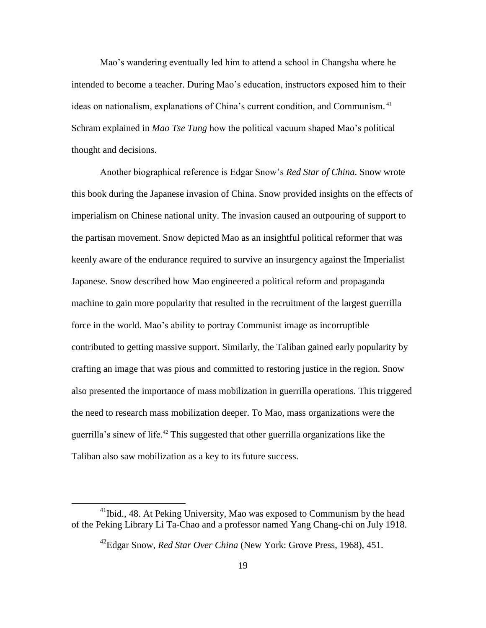Mao's wandering eventually led him to attend a school in Changsha where he intended to become a teacher. During Mao's education, instructors exposed him to their ideas on nationalism, explanations of China's current condition, and Communism. <sup>41</sup> Schram explained in *Mao Tse Tung* how the political vacuum shaped Mao's political thought and decisions.

Another biographical reference is Edgar Snow's *Red Star of China*. Snow wrote this book during the Japanese invasion of China. Snow provided insights on the effects of imperialism on Chinese national unity. The invasion caused an outpouring of support to the partisan movement. Snow depicted Mao as an insightful political reformer that was keenly aware of the endurance required to survive an insurgency against the Imperialist Japanese. Snow described how Mao engineered a political reform and propaganda machine to gain more popularity that resulted in the recruitment of the largest guerrilla force in the world. Mao's ability to portray Communist image as incorruptible contributed to getting massive support. Similarly, the Taliban gained early popularity by crafting an image that was pious and committed to restoring justice in the region. Snow also presented the importance of mass mobilization in guerrilla operations. This triggered the need to research mass mobilization deeper. To Mao, mass organizations were the guerrilla's sinew of life.<sup>42</sup> This suggested that other guerrilla organizations like the Taliban also saw mobilization as a key to its future success.

<sup>&</sup>lt;sup>41</sup>Ibid., 48. At Peking University, Mao was exposed to Communism by the head of the Peking Library Li Ta-Chao and a professor named Yang Chang-chi on July 1918.

<sup>42</sup>Edgar Snow, *Red Star Over China* (New York: Grove Press, 1968), 451.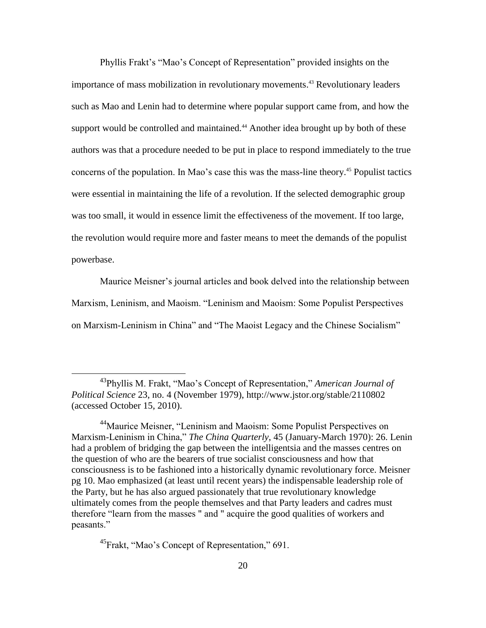Phyllis Frakt's "Mao's Concept of Representation" provided insights on the importance of mass mobilization in revolutionary movements. <sup>43</sup> Revolutionary leaders such as Mao and Lenin had to determine where popular support came from, and how the support would be controlled and maintained.<sup>44</sup> Another idea brought up by both of these authors was that a procedure needed to be put in place to respond immediately to the true concerns of the population. In Mao's case this was the mass-line theory.<sup>45</sup> Populist tactics were essential in maintaining the life of a revolution. If the selected demographic group was too small, it would in essence limit the effectiveness of the movement. If too large, the revolution would require more and faster means to meet the demands of the populist powerbase.

Maurice Meisner's journal articles and book delved into the relationship between Marxism, Leninism, and Maoism. "Leninism and Maoism: Some Populist Perspectives on Marxism-Leninism in China" and "The Maoist Legacy and the Chinese Socialism"

 $^{45}$ Frakt, "Mao's Concept of Representation," 691.

<sup>&</sup>lt;sup>43</sup>Phyllis M. Frakt, "Mao's Concept of Representation," American Journal of *Political Science* 23, no. 4 (November 1979), http://www.jstor.org/stable/2110802 (accessed October 15, 2010).

<sup>&</sup>lt;sup>44</sup>Maurice Meisner, "Leninism and Maoism: Some Populist Perspectives on Marxism-Leninism in China," *The China Quarterly*, 45 (January-March 1970): 26. Lenin had a problem of bridging the gap between the intelligentsia and the masses centres on the question of who are the bearers of true socialist consciousness and how that consciousness is to be fashioned into a historically dynamic revolutionary force. Meisner pg 10. Mao emphasized (at least until recent years) the indispensable leadership role of the Party, but he has also argued passionately that true revolutionary knowledge ultimately comes from the people themselves and that Party leaders and cadres must therefore "learn from the masses" and " acquire the good qualities of workers and peasants."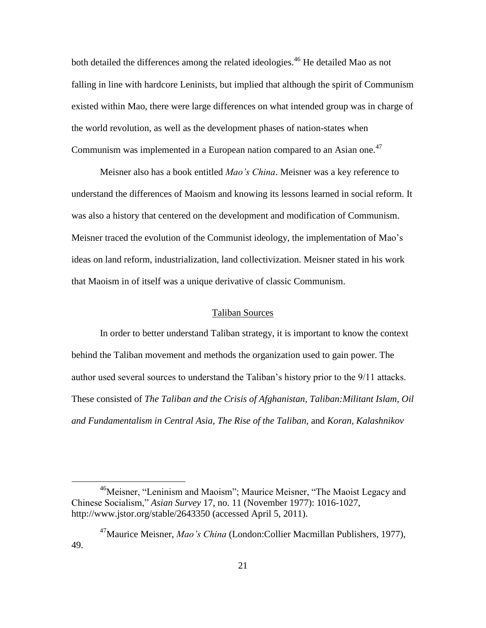both detailed the differences among the related ideologies.<sup>46</sup> He detailed Mao as not falling in line with hardcore Leninists, but implied that although the spirit of Communism existed within Mao, there were large differences on what intended group was in charge of the world revolution, as well as the development phases of nation-states when Communism was implemented in a European nation compared to an Asian one.<sup>47</sup>

Meisner also has a book entitled *Mao's China*. Meisner was a key reference to understand the differences of Maoism and knowing its lessons learned in social reform. It was also a history that centered on the development and modification of Communism. Meisner traced the evolution of the Communist ideology, the implementation of Mao's ideas on land reform, industrialization, land collectivization. Meisner stated in his work that Maoism in of itself was a unique derivative of classic Communism.

## Taliban Sources

In order to better understand Taliban strategy, it is important to know the context behind the Taliban movement and methods the organization used to gain power. The author used several sources to understand the Taliban's history prior to the 9/11 attacks. These consisted of *The Taliban and the Crisis of Afghanistan, Taliban:Militant Islam, Oil and Fundamentalism in Central Asia, The Rise of the Taliban,* and *Koran, Kalashnikov* 

<sup>&</sup>lt;sup>46</sup>Meisner, "Leninism and Maoism"; Maurice Meisner, "The Maoist Legacy and Chinese Socialism,‖ *Asian Survey* 17, no. 11 (November 1977): 1016-1027, http://www.jstor.org/stable/2643350 (accessed April 5, 2011).

<sup>47</sup>Maurice Meisner, *Mao's China* (London:Collier Macmillan Publishers, 1977), 49.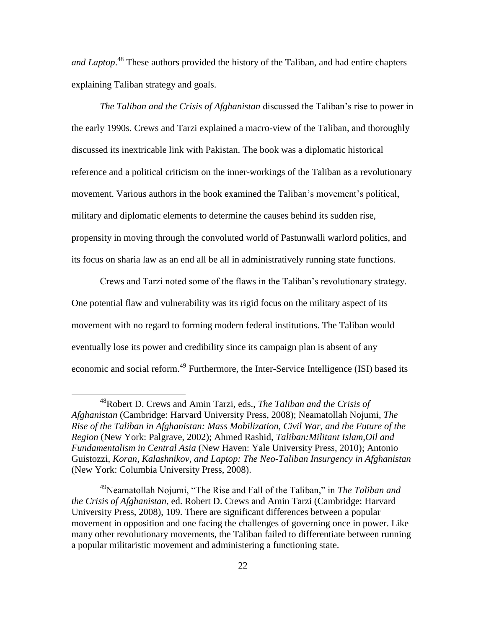*and Laptop*. <sup>48</sup> These authors provided the history of the Taliban, and had entire chapters explaining Taliban strategy and goals.

*The Taliban and the Crisis of Afghanistan* discussed the Taliban's rise to power in the early 1990s. Crews and Tarzi explained a macro-view of the Taliban, and thoroughly discussed its inextricable link with Pakistan. The book was a diplomatic historical reference and a political criticism on the inner-workings of the Taliban as a revolutionary movement. Various authors in the book examined the Taliban's movement's political, military and diplomatic elements to determine the causes behind its sudden rise, propensity in moving through the convoluted world of Pastunwalli warlord politics, and its focus on sharia law as an end all be all in administratively running state functions.

Crews and Tarzi noted some of the flaws in the Taliban's revolutionary strategy. One potential flaw and vulnerability was its rigid focus on the military aspect of its movement with no regard to forming modern federal institutions. The Taliban would eventually lose its power and credibility since its campaign plan is absent of any economic and social reform.<sup>49</sup> Furthermore, the Inter-Service Intelligence (ISI) based its

<sup>48</sup>Robert D. Crews and Amin Tarzi, eds., *The Taliban and the Crisis of Afghanistan* (Cambridge: Harvard University Press, 2008); Neamatollah Nojumi, *The Rise of the Taliban in Afghanistan: Mass Mobilization, Civil War, and the Future of the Region* (New York: Palgrave, 2002); Ahmed Rashid, *Taliban:Militant Islam,Oil and Fundamentalism in Central Asia* (New Haven: Yale University Press, 2010); Antonio Guistozzi, *Koran, Kalashnikov, and Laptop: The Neo-Taliban Insurgency in Afghanistan* (New York: Columbia University Press, 2008).

<sup>&</sup>lt;sup>49</sup>Neamatollah Nojumi, "The Rise and Fall of the Taliban," in *The Taliban and the Crisis of Afghanistan*, ed. Robert D. Crews and Amin Tarzi (Cambridge: Harvard University Press, 2008), 109. There are significant differences between a popular movement in opposition and one facing the challenges of governing once in power. Like many other revolutionary movements, the Taliban failed to differentiate between running a popular militaristic movement and administering a functioning state.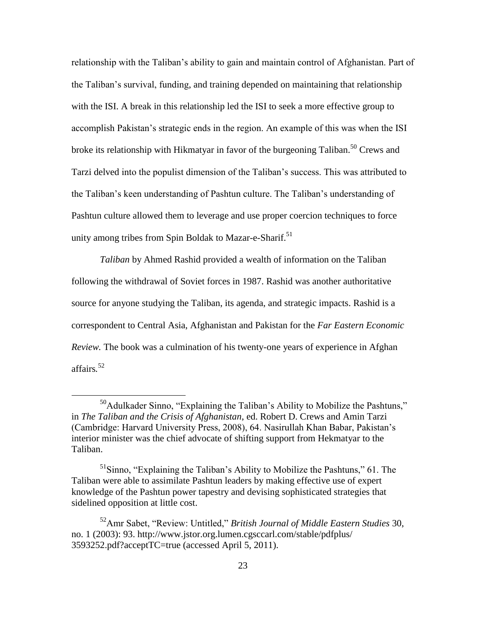relationship with the Taliban's ability to gain and maintain control of Afghanistan. Part of the Taliban's survival, funding, and training depended on maintaining that relationship with the ISI. A break in this relationship led the ISI to seek a more effective group to accomplish Pakistan's strategic ends in the region. An example of this was when the ISI broke its relationship with Hikmatyar in favor of the burgeoning Taliban.<sup>50</sup> Crews and Tarzi delved into the populist dimension of the Taliban's success. This was attributed to the Taliban's keen understanding of Pashtun culture. The Taliban's understanding of Pashtun culture allowed them to leverage and use proper coercion techniques to force unity among tribes from Spin Boldak to Mazar-e-Sharif.<sup>51</sup>

*Taliban* by Ahmed Rashid provided a wealth of information on the Taliban following the withdrawal of Soviet forces in 1987. Rashid was another authoritative source for anyone studying the Taliban, its agenda, and strategic impacts. Rashid is a correspondent to Central Asia, Afghanistan and Pakistan for the *Far Eastern Economic Review.* The book was a culmination of his twenty-one years of experience in Afghan affairs*.* 52

 $50A$ dulkader Sinno, "Explaining the Taliban's Ability to Mobilize the Pashtuns," in *The Taliban and the Crisis of Afghanistan*, ed. Robert D. Crews and Amin Tarzi (Cambridge: Harvard University Press, 2008), 64. Nasirullah Khan Babar, Pakistan's interior minister was the chief advocate of shifting support from Hekmatyar to the Taliban.

 $<sup>51</sup>$ Sinno, "Explaining the Taliban's Ability to Mobilize the Pashtuns," 61. The</sup> Taliban were able to assimilate Pashtun leaders by making effective use of expert knowledge of the Pashtun power tapestry and devising sophisticated strategies that sidelined opposition at little cost.

<sup>&</sup>lt;sup>52</sup>Amr Sabet, "Review: Untitled," British Journal of Middle Eastern Studies 30, no. 1 (2003): 93. http://www.jstor.org.lumen.cgsccarl.com/stable/pdfplus/ 3593252.pdf?acceptTC=true (accessed April 5, 2011).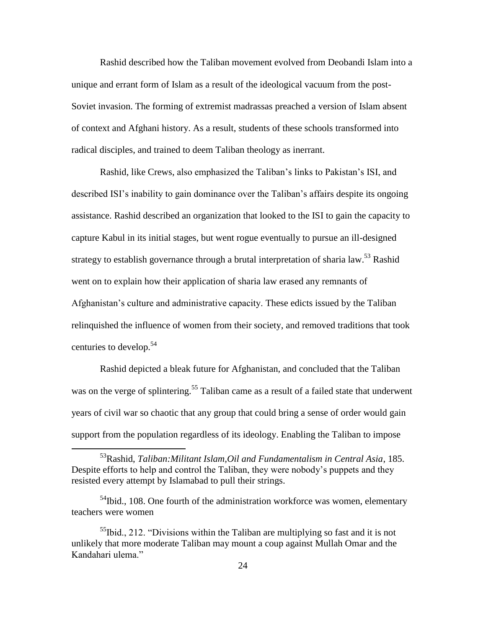Rashid described how the Taliban movement evolved from Deobandi Islam into a unique and errant form of Islam as a result of the ideological vacuum from the post-Soviet invasion. The forming of extremist madrassas preached a version of Islam absent of context and Afghani history. As a result, students of these schools transformed into radical disciples, and trained to deem Taliban theology as inerrant.

Rashid, like Crews, also emphasized the Taliban's links to Pakistan's ISI, and described ISI's inability to gain dominance over the Taliban's affairs despite its ongoing assistance. Rashid described an organization that looked to the ISI to gain the capacity to capture Kabul in its initial stages, but went rogue eventually to pursue an ill-designed strategy to establish governance through a brutal interpretation of sharia law.<sup>53</sup> Rashid went on to explain how their application of sharia law erased any remnants of Afghanistan's culture and administrative capacity. These edicts issued by the Taliban relinquished the influence of women from their society, and removed traditions that took centuries to develop.<sup>54</sup>

Rashid depicted a bleak future for Afghanistan, and concluded that the Taliban was on the verge of splintering.<sup>55</sup> Taliban came as a result of a failed state that underwent years of civil war so chaotic that any group that could bring a sense of order would gain support from the population regardless of its ideology. Enabling the Taliban to impose

<sup>53</sup>Rashid, *Taliban:Militant Islam,Oil and Fundamentalism in Central Asia*, 185. Despite efforts to help and control the Taliban, they were nobody's puppets and they resisted every attempt by Islamabad to pull their strings.

 $<sup>54</sup>$ Ibid., 108. One fourth of the administration workforce was women, elementary</sup> teachers were women

 $<sup>55</sup>$ Ibid., 212. "Divisions within the Taliban are multiplying so fast and it is not</sup> unlikely that more moderate Taliban may mount a coup against Mullah Omar and the Kandahari ulema."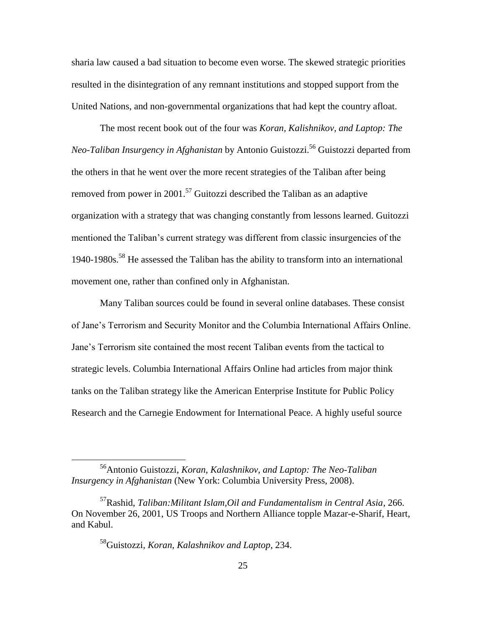sharia law caused a bad situation to become even worse. The skewed strategic priorities resulted in the disintegration of any remnant institutions and stopped support from the United Nations, and non-governmental organizations that had kept the country afloat.

The most recent book out of the four was *Koran, Kalishnikov, and Laptop: The Neo-Taliban Insurgency in Afghanistan* by Antonio Guistozzi.<sup>56</sup> Guistozzi departed from the others in that he went over the more recent strategies of the Taliban after being removed from power in 2001.<sup>57</sup> Guitozzi described the Taliban as an adaptive organization with a strategy that was changing constantly from lessons learned. Guitozzi mentioned the Taliban's current strategy was different from classic insurgencies of the 1940-1980s.<sup>58</sup> He assessed the Taliban has the ability to transform into an international movement one, rather than confined only in Afghanistan.

Many Taliban sources could be found in several online databases. These consist of Jane's Terrorism and Security Monitor and the Columbia International Affairs Online. Jane's Terrorism site contained the most recent Taliban events from the tactical to strategic levels. Columbia International Affairs Online had articles from major think tanks on the Taliban strategy like the American Enterprise Institute for Public Policy Research and the Carnegie Endowment for International Peace. A highly useful source

<sup>56</sup>Antonio Guistozzi, *Koran, Kalashnikov, and Laptop: The Neo-Taliban Insurgency in Afghanistan* (New York: Columbia University Press, 2008).

<sup>57</sup>Rashid, *Taliban:Militant Islam,Oil and Fundamentalism in Central Asia*, 266. On November 26, 2001, US Troops and Northern Alliance topple Mazar-e-Sharif, Heart, and Kabul.

<sup>58</sup>Guistozzi, *Koran, Kalashnikov and Laptop*, 234.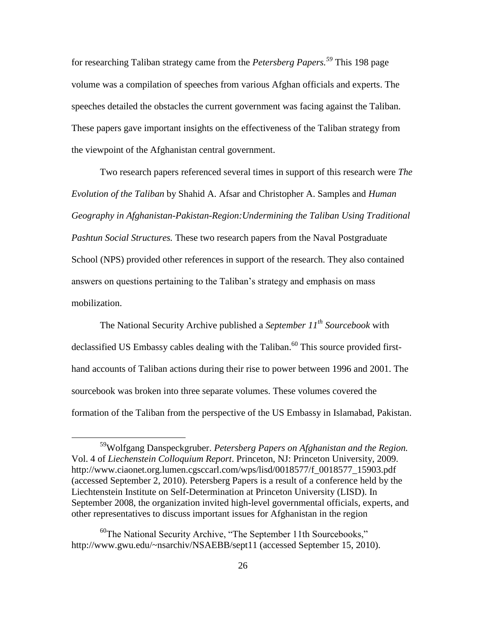for researching Taliban strategy came from the *Petersberg Papers.<sup>59</sup>* This 198 page volume was a compilation of speeches from various Afghan officials and experts. The speeches detailed the obstacles the current government was facing against the Taliban. These papers gave important insights on the effectiveness of the Taliban strategy from the viewpoint of the Afghanistan central government.

Two research papers referenced several times in support of this research were *The Evolution of the Taliban* by Shahid A. Afsar and Christopher A. Samples and *Human Geography in Afghanistan-Pakistan-Region:Undermining the Taliban Using Traditional Pashtun Social Structures.* These two research papers from the Naval Postgraduate School (NPS) provided other references in support of the research. They also contained answers on questions pertaining to the Taliban's strategy and emphasis on mass mobilization.

The National Security Archive published a *September 11th Sourcebook* with declassified US Embassy cables dealing with the Taliban.<sup>60</sup> This source provided firsthand accounts of Taliban actions during their rise to power between 1996 and 2001. The sourcebook was broken into three separate volumes. These volumes covered the formation of the Taliban from the perspective of the US Embassy in Islamabad, Pakistan.

<sup>59</sup>Wolfgang Danspeckgruber. *Petersberg Papers on Afghanistan and the Region.*  Vol. 4 of *Liechenstein Colloquium Report*. Princeton, NJ: Princeton University, 2009. http://www.ciaonet.org.lumen.cgsccarl.com/wps/lisd/0018577/f\_0018577\_15903.pdf (accessed September 2, 2010). Petersberg Papers is a result of a conference held by the Liechtenstein Institute on Self-Determination at Princeton University (LISD). In September 2008, the organization invited high-level governmental officials, experts, and other representatives to discuss important issues for Afghanistan in the region

 $^{60}$ The National Security Archive, "The September 11th Sourcebooks," http://www.gwu.edu/~nsarchiv/NSAEBB/sept11 (accessed September 15, 2010).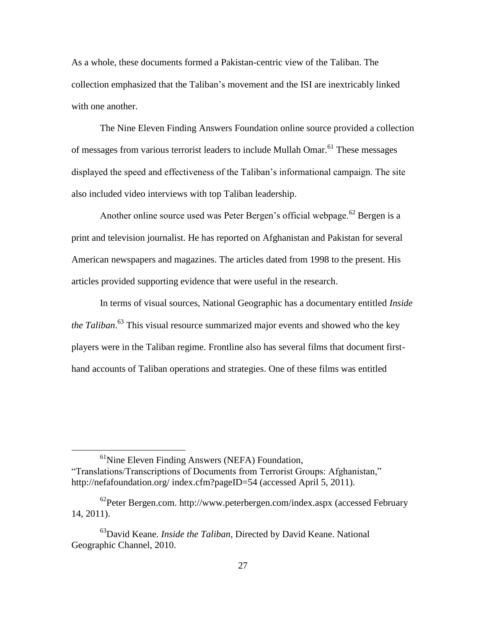As a whole, these documents formed a Pakistan-centric view of the Taliban. The collection emphasized that the Taliban's movement and the ISI are inextricably linked with one another.

The Nine Eleven Finding Answers Foundation online source provided a collection of messages from various terrorist leaders to include Mullah Omar.<sup>61</sup> These messages displayed the speed and effectiveness of the Taliban's informational campaign. The site also included video interviews with top Taliban leadership.

Another online source used was Peter Bergen's official webpage.<sup>62</sup> Bergen is a print and television journalist. He has reported on Afghanistan and Pakistan for several American newspapers and magazines. The articles dated from 1998 to the present. His articles provided supporting evidence that were useful in the research.

In terms of visual sources, National Geographic has a documentary entitled *Inside the Taliban*. <sup>63</sup> This visual resource summarized major events and showed who the key players were in the Taliban regime. Frontline also has several films that document firsthand accounts of Taliban operations and strategies. One of these films was entitled

 $<sup>61</sup>$ Nine Eleven Finding Answers (NEFA) Foundation,</sup> "Translations/Transcriptions of Documents from Terrorist Groups: Afghanistan," http://nefafoundation.org/ index.cfm?pageID=54 (accessed April 5, 2011).

 $62$ Peter Bergen.com. http://www.peterbergen.com/index.aspx (accessed February 14, 2011).

<sup>63</sup>David Keane. *Inside the Taliban,* Directed by David Keane. National Geographic Channel, 2010.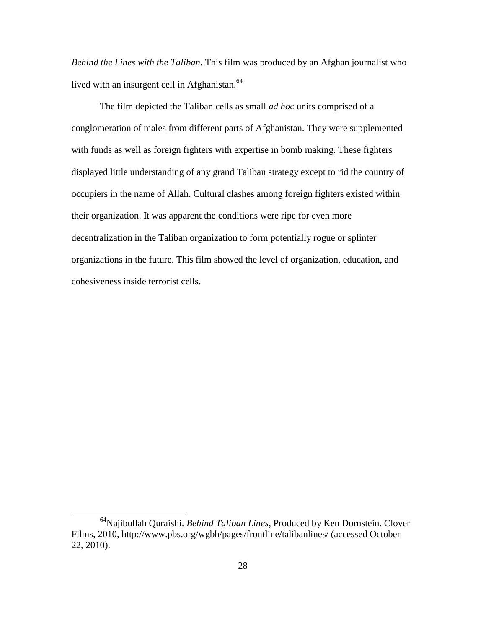*Behind the Lines with the Taliban.* This film was produced by an Afghan journalist who lived with an insurgent cell in Afghanistan.<sup>64</sup>

The film depicted the Taliban cells as small *ad hoc* units comprised of a conglomeration of males from different parts of Afghanistan. They were supplemented with funds as well as foreign fighters with expertise in bomb making. These fighters displayed little understanding of any grand Taliban strategy except to rid the country of occupiers in the name of Allah. Cultural clashes among foreign fighters existed within their organization. It was apparent the conditions were ripe for even more decentralization in the Taliban organization to form potentially rogue or splinter organizations in the future. This film showed the level of organization, education, and cohesiveness inside terrorist cells.

<sup>64</sup>Najibullah Quraishi. *Behind Taliban Lines*, Produced by Ken Dornstein. Clover Films, 2010, http://www.pbs.org/wgbh/pages/frontline/talibanlines/ (accessed October 22, 2010).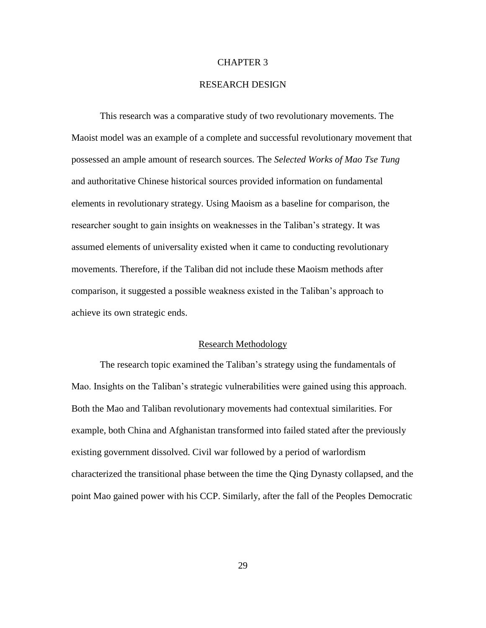# CHAPTER 3

# RESEARCH DESIGN

This research was a comparative study of two revolutionary movements. The Maoist model was an example of a complete and successful revolutionary movement that possessed an ample amount of research sources. The *Selected Works of Mao Tse Tung* and authoritative Chinese historical sources provided information on fundamental elements in revolutionary strategy. Using Maoism as a baseline for comparison, the researcher sought to gain insights on weaknesses in the Taliban's strategy. It was assumed elements of universality existed when it came to conducting revolutionary movements. Therefore, if the Taliban did not include these Maoism methods after comparison, it suggested a possible weakness existed in the Taliban's approach to achieve its own strategic ends.

# Research Methodology

The research topic examined the Taliban's strategy using the fundamentals of Mao. Insights on the Taliban's strategic vulnerabilities were gained using this approach. Both the Mao and Taliban revolutionary movements had contextual similarities. For example, both China and Afghanistan transformed into failed stated after the previously existing government dissolved. Civil war followed by a period of warlordism characterized the transitional phase between the time the Qing Dynasty collapsed, and the point Mao gained power with his CCP. Similarly, after the fall of the Peoples Democratic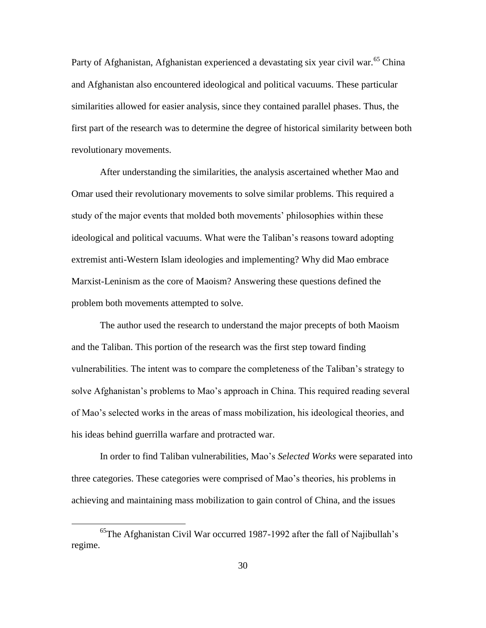Party of Afghanistan, Afghanistan experienced a devastating six year civil war.<sup>65</sup> China and Afghanistan also encountered ideological and political vacuums. These particular similarities allowed for easier analysis, since they contained parallel phases. Thus, the first part of the research was to determine the degree of historical similarity between both revolutionary movements.

After understanding the similarities, the analysis ascertained whether Mao and Omar used their revolutionary movements to solve similar problems. This required a study of the major events that molded both movements' philosophies within these ideological and political vacuums. What were the Taliban's reasons toward adopting extremist anti-Western Islam ideologies and implementing? Why did Mao embrace Marxist-Leninism as the core of Maoism? Answering these questions defined the problem both movements attempted to solve.

The author used the research to understand the major precepts of both Maoism and the Taliban. This portion of the research was the first step toward finding vulnerabilities. The intent was to compare the completeness of the Taliban's strategy to solve Afghanistan's problems to Mao's approach in China. This required reading several of Mao's selected works in the areas of mass mobilization, his ideological theories, and his ideas behind guerrilla warfare and protracted war.

In order to find Taliban vulnerabilities, Mao's *Selected Works* were separated into three categories. These categories were comprised of Mao's theories, his problems in achieving and maintaining mass mobilization to gain control of China, and the issues

<sup>65</sup>The Afghanistan Civil War occurred 1987-1992 after the fall of Najibullah's regime.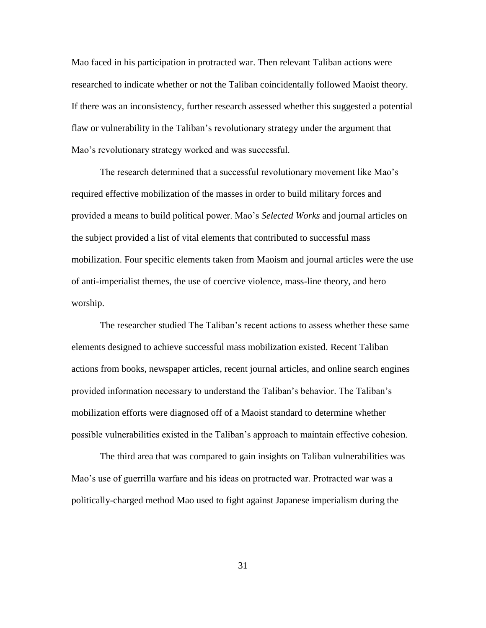Mao faced in his participation in protracted war. Then relevant Taliban actions were researched to indicate whether or not the Taliban coincidentally followed Maoist theory. If there was an inconsistency, further research assessed whether this suggested a potential flaw or vulnerability in the Taliban's revolutionary strategy under the argument that Mao's revolutionary strategy worked and was successful.

The research determined that a successful revolutionary movement like Mao's required effective mobilization of the masses in order to build military forces and provided a means to build political power. Mao's *Selected Works* and journal articles on the subject provided a list of vital elements that contributed to successful mass mobilization. Four specific elements taken from Maoism and journal articles were the use of anti-imperialist themes, the use of coercive violence, mass-line theory, and hero worship.

The researcher studied The Taliban's recent actions to assess whether these same elements designed to achieve successful mass mobilization existed. Recent Taliban actions from books, newspaper articles, recent journal articles, and online search engines provided information necessary to understand the Taliban's behavior. The Taliban's mobilization efforts were diagnosed off of a Maoist standard to determine whether possible vulnerabilities existed in the Taliban's approach to maintain effective cohesion.

The third area that was compared to gain insights on Taliban vulnerabilities was Mao's use of guerrilla warfare and his ideas on protracted war. Protracted war was a politically-charged method Mao used to fight against Japanese imperialism during the

31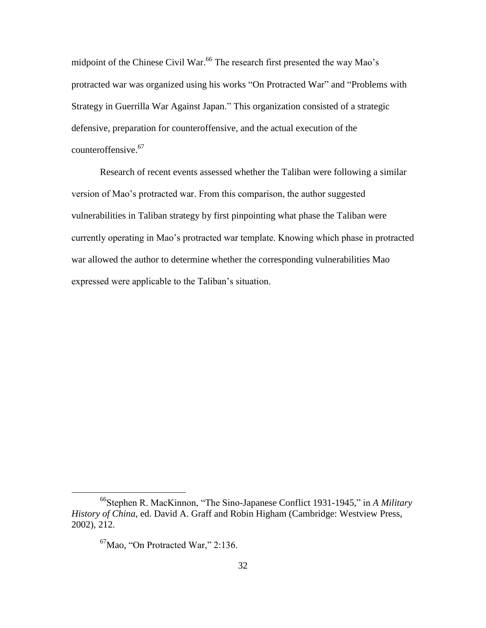midpoint of the Chinese Civil War.<sup>66</sup> The research first presented the way Mao's protracted war was organized using his works "On Protracted War" and "Problems with Strategy in Guerrilla War Against Japan." This organization consisted of a strategic defensive, preparation for counteroffensive, and the actual execution of the counteroffensive.<sup>67</sup>

Research of recent events assessed whether the Taliban were following a similar version of Mao's protracted war. From this comparison, the author suggested vulnerabilities in Taliban strategy by first pinpointing what phase the Taliban were currently operating in Mao's protracted war template. Knowing which phase in protracted war allowed the author to determine whether the corresponding vulnerabilities Mao expressed were applicable to the Taliban's situation.

<sup>&</sup>lt;sup>66</sup>Stephen R. MacKinnon, "The Sino-Japanese Conflict 1931-1945," in *A Military History of China*, ed. David A. Graff and Robin Higham (Cambridge: Westview Press, 2002), 212.

 $67$ Mao, "On Protracted War," 2:136.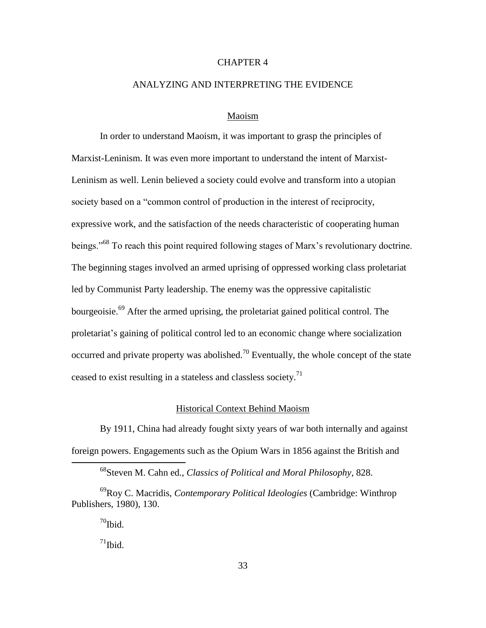# CHAPTER 4

## ANALYZING AND INTERPRETING THE EVIDENCE

# Maoism

In order to understand Maoism, it was important to grasp the principles of Marxist-Leninism. It was even more important to understand the intent of Marxist-Leninism as well. Lenin believed a society could evolve and transform into a utopian society based on a "common control of production in the interest of reciprocity, expressive work, and the satisfaction of the needs characteristic of cooperating human beings.<sup>568</sup> To reach this point required following stages of Marx's revolutionary doctrine. The beginning stages involved an armed uprising of oppressed working class proletariat led by Communist Party leadership. The enemy was the oppressive capitalistic bourgeoisie.<sup>69</sup> After the armed uprising, the proletariat gained political control. The proletariat's gaining of political control led to an economic change where socialization occurred and private property was abolished.<sup>70</sup> Eventually, the whole concept of the state ceased to exist resulting in a stateless and classless society.<sup>71</sup>

## Historical Context Behind Maoism

By 1911, China had already fought sixty years of war both internally and against foreign powers. Engagements such as the Opium Wars in 1856 against the British and

 $70$ Ibid.

 $\overline{a}$ 

 $71$ Ibid.

<sup>68</sup>Steven M. Cahn ed., *Classics of Political and Moral Philosophy*, 828.

<sup>69</sup>Roy C. Macridis, *Contemporary Political Ideologies* (Cambridge: Winthrop Publishers, 1980), 130.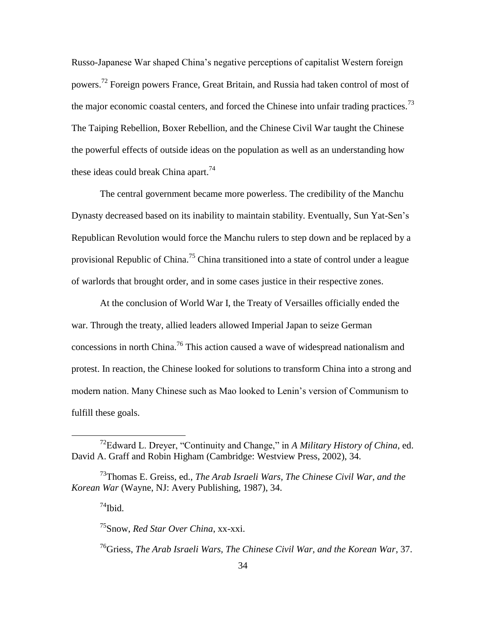Russo-Japanese War shaped China's negative perceptions of capitalist Western foreign powers.<sup>72</sup> Foreign powers France, Great Britain, and Russia had taken control of most of the major economic coastal centers, and forced the Chinese into unfair trading practices.<sup>73</sup> The Taiping Rebellion, Boxer Rebellion, and the Chinese Civil War taught the Chinese the powerful effects of outside ideas on the population as well as an understanding how these ideas could break China apart.<sup>74</sup>

The central government became more powerless. The credibility of the Manchu Dynasty decreased based on its inability to maintain stability. Eventually, Sun Yat-Sen's Republican Revolution would force the Manchu rulers to step down and be replaced by a provisional Republic of China.<sup>75</sup> China transitioned into a state of control under a league of warlords that brought order, and in some cases justice in their respective zones.

At the conclusion of World War I, the Treaty of Versailles officially ended the war. Through the treaty, allied leaders allowed Imperial Japan to seize German concessions in north China.<sup>76</sup> This action caused a wave of widespread nationalism and protest. In reaction, the Chinese looked for solutions to transform China into a strong and modern nation. Many Chinese such as Mao looked to Lenin's version of Communism to fulfill these goals.

 $74$ Ibid.

 $\overline{a}$ 

<sup>75</sup>Snow, *Red Star Over China*, xx-xxi.

<sup>76</sup>Griess, *The Arab Israeli Wars, The Chinese Civil War, and the Korean War*, 37.

<sup>&</sup>lt;sup>72</sup>Edward L. Dreyer, "Continuity and Change," in *A Military History of China*, ed. David A. Graff and Robin Higham (Cambridge: Westview Press, 2002), 34.

<sup>73</sup>Thomas E. Greiss, ed., *The Arab Israeli Wars, The Chinese Civil War, and the Korean War* (Wayne, NJ: Avery Publishing, 1987), 34.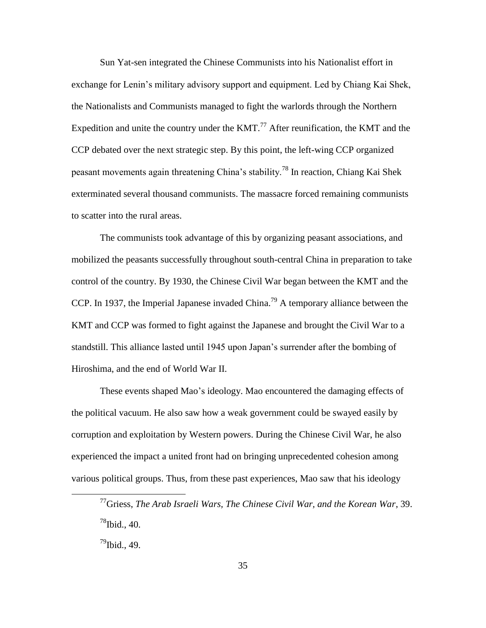Sun Yat-sen integrated the Chinese Communists into his Nationalist effort in exchange for Lenin's military advisory support and equipment. Led by Chiang Kai Shek, the Nationalists and Communists managed to fight the warlords through the Northern Expedition and unite the country under the KMT.<sup>77</sup> After reunification, the KMT and the CCP debated over the next strategic step. By this point, the left-wing CCP organized peasant movements again threatening China's stability.<sup>78</sup> In reaction, Chiang Kai Shek exterminated several thousand communists. The massacre forced remaining communists to scatter into the rural areas.

The communists took advantage of this by organizing peasant associations, and mobilized the peasants successfully throughout south-central China in preparation to take control of the country. By 1930, the Chinese Civil War began between the KMT and the CCP. In 1937, the Imperial Japanese invaded China.<sup>79</sup> A temporary alliance between the KMT and CCP was formed to fight against the Japanese and brought the Civil War to a standstill. This alliance lasted until 1945 upon Japan's surrender after the bombing of Hiroshima, and the end of World War II.

These events shaped Mao's ideology. Mao encountered the damaging effects of the political vacuum. He also saw how a weak government could be swayed easily by corruption and exploitation by Western powers. During the Chinese Civil War, he also experienced the impact a united front had on bringing unprecedented cohesion among various political groups. Thus, from these past experiences, Mao saw that his ideology

<sup>77</sup>Griess, *The Arab Israeli Wars, The Chinese Civil War, and the Korean War*, 39.  $^{78}$ Ibid., 40.

 $^{79}$ Ibid., 49.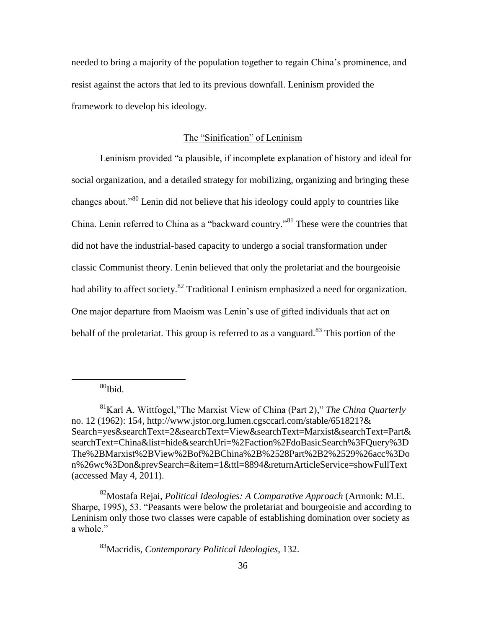needed to bring a majority of the population together to regain China's prominence, and resist against the actors that led to its previous downfall. Leninism provided the framework to develop his ideology.

# The "Sinification" of Leninism

Leninism provided "a plausible, if incomplete explanation of history and ideal for social organization, and a detailed strategy for mobilizing, organizing and bringing these changes about.<sup>80</sup> Lenin did not believe that his ideology could apply to countries like China. Lenin referred to China as a "backward country."<sup>81</sup> These were the countries that did not have the industrial-based capacity to undergo a social transformation under classic Communist theory. Lenin believed that only the proletariat and the bourgeoisie had ability to affect society.<sup>82</sup> Traditional Leninism emphasized a need for organization. One major departure from Maoism was Lenin's use of gifted individuals that act on behalf of the proletariat. This group is referred to as a vanguard.<sup>83</sup> This portion of the

 $80$ Ibid.

 $\overline{a}$ 

<sup>82</sup>Mostafa Rejai, *Political Ideologies: A Comparative Approach* (Armonk: M.E. Sharpe, 1995), 53. "Peasants were below the proletariat and bourgeoisie and according to Leninism only those two classes were capable of establishing domination over society as a whole."

<sup>83</sup>Macridis, *Contemporary Political Ideologies*, 132.

<sup>&</sup>lt;sup>81</sup>Karl A. Wittfogel, "The Marxist View of China (Part 2)," *The China Quarterly* no. 12 (1962): 154, http://www.jstor.org.lumen.cgsccarl.com/stable/651821?& Search=yes&searchText=2&searchText=View&searchText=Marxist&searchText=Part& searchText=China&list=hide&searchUri=%2Faction%2FdoBasicSearch%3FQuery%3D The%2BMarxist%2BView%2Bof%2BChina%2B%2528Part%2B2%2529%26acc%3Do n%26wc%3Don&prevSearch=&item=1&ttl=8894&returnArticleService=showFullText (accessed May 4, 2011).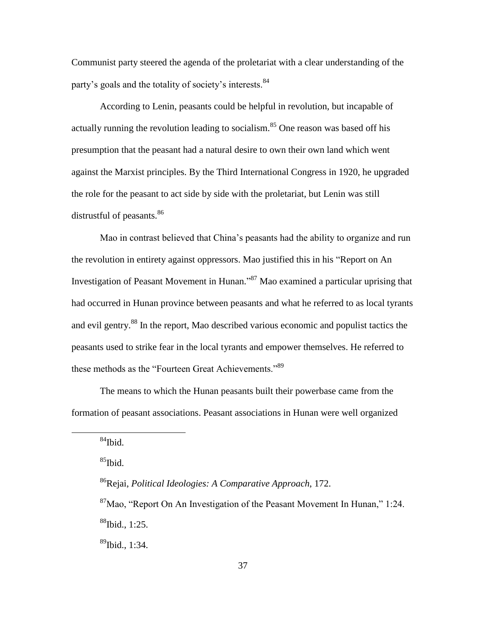Communist party steered the agenda of the proletariat with a clear understanding of the party's goals and the totality of society's interests.<sup>84</sup>

According to Lenin, peasants could be helpful in revolution, but incapable of actually running the revolution leading to socialism.<sup>85</sup> One reason was based off his presumption that the peasant had a natural desire to own their own land which went against the Marxist principles. By the Third International Congress in 1920, he upgraded the role for the peasant to act side by side with the proletariat, but Lenin was still distrustful of peasants.<sup>86</sup>

Mao in contrast believed that China's peasants had the ability to organize and run the revolution in entirety against oppressors. Mao justified this in his "Report on An Investigation of Peasant Movement in Hunan."<sup>87</sup> Mao examined a particular uprising that had occurred in Hunan province between peasants and what he referred to as local tyrants and evil gentry.<sup>88</sup> In the report, Mao described various economic and populist tactics the peasants used to strike fear in the local tyrants and empower themselves. He referred to these methods as the "Fourteen Great Achievements."89

The means to which the Hunan peasants built their powerbase came from the formation of peasant associations. Peasant associations in Hunan were well organized

 $\overline{a}$ 

 $^{85}$ Ibid.

 $^{89}$ Ibid., 1:34.

 $84$ Ibid.

<sup>86</sup>Rejai, *Political Ideologies: A Comparative Approach*, 172.  $\frac{87}{100}$ Mao, "Report On An Investigation of the Peasant Movement In Hunan," 1:24.  $88$ Ibid., 1:25.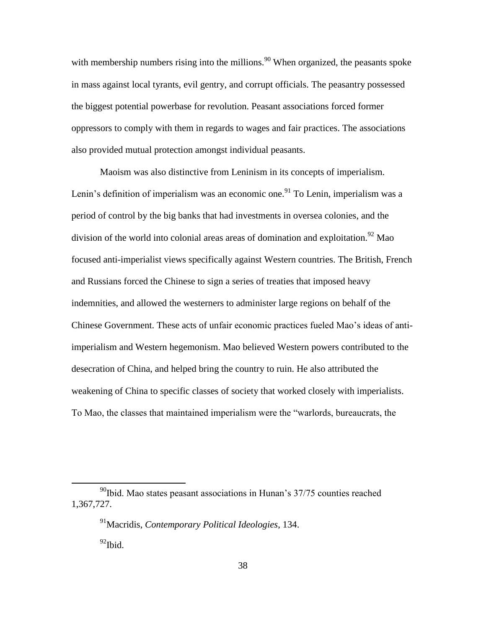with membership numbers rising into the millions.<sup>90</sup> When organized, the peasants spoke in mass against local tyrants, evil gentry, and corrupt officials. The peasantry possessed the biggest potential powerbase for revolution. Peasant associations forced former oppressors to comply with them in regards to wages and fair practices. The associations also provided mutual protection amongst individual peasants.

Maoism was also distinctive from Leninism in its concepts of imperialism. Lenin's definition of imperialism was an economic one.<sup>91</sup> To Lenin, imperialism was a period of control by the big banks that had investments in oversea colonies, and the division of the world into colonial areas areas of domination and exploitation.<sup>92</sup> Mao focused anti-imperialist views specifically against Western countries. The British, French and Russians forced the Chinese to sign a series of treaties that imposed heavy indemnities, and allowed the westerners to administer large regions on behalf of the Chinese Government. These acts of unfair economic practices fueled Mao's ideas of antiimperialism and Western hegemonism. Mao believed Western powers contributed to the desecration of China, and helped bring the country to ruin. He also attributed the weakening of China to specific classes of society that worked closely with imperialists. To Mao, the classes that maintained imperialism were the "warlords, bureaucrats, the

 $90$ Ibid. Mao states peasant associations in Hunan's 37/75 counties reached 1,367,727.

<sup>91</sup>Macridis, *Contemporary Political Ideologies*, 134.  $92$ Ibid.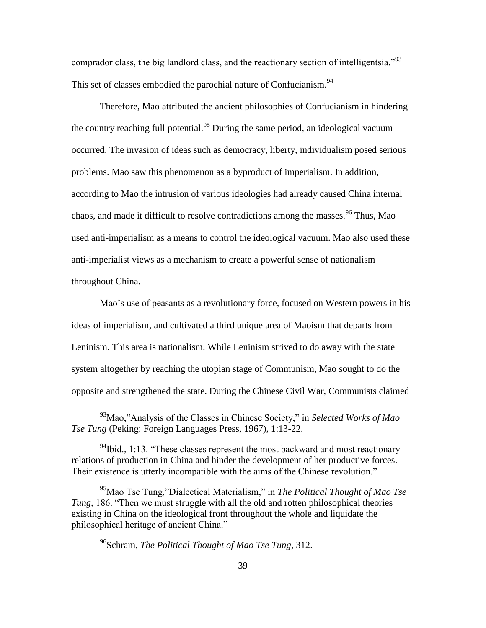comprador class, the big landlord class, and the reactionary section of intelligentsia.<sup>933</sup> This set of classes embodied the parochial nature of Confucianism.<sup>94</sup>

Therefore, Mao attributed the ancient philosophies of Confucianism in hindering the country reaching full potential.<sup>95</sup> During the same period, an ideological vacuum occurred. The invasion of ideas such as democracy, liberty, individualism posed serious problems. Mao saw this phenomenon as a byproduct of imperialism. In addition, according to Mao the intrusion of various ideologies had already caused China internal chaos, and made it difficult to resolve contradictions among the masses.<sup>96</sup> Thus, Mao used anti-imperialism as a means to control the ideological vacuum. Mao also used these anti-imperialist views as a mechanism to create a powerful sense of nationalism throughout China.

Mao's use of peasants as a revolutionary force, focused on Western powers in his ideas of imperialism, and cultivated a third unique area of Maoism that departs from Leninism. This area is nationalism. While Leninism strived to do away with the state system altogether by reaching the utopian stage of Communism, Mao sought to do the opposite and strengthened the state. During the Chinese Civil War, Communists claimed

<sup>96</sup>Schram, *The Political Thought of Mao Tse Tung*, 312.

<sup>&</sup>lt;sup>93</sup>Mao,"Analysis of the Classes in Chinese Society," in *Selected Works of Mao Tse Tung* (Peking: Foreign Languages Press, 1967), 1:13-22.

 $^{94}$ Ibid., 1:13. "These classes represent the most backward and most reactionary relations of production in China and hinder the development of her productive forces. Their existence is utterly incompatible with the aims of the Chinese revolution."

<sup>&</sup>lt;sup>95</sup>Mao Tse Tung,"Dialectical Materialism," in *The Political Thought of Mao Tse Tung*, 186. "Then we must struggle with all the old and rotten philosophical theories existing in China on the ideological front throughout the whole and liquidate the philosophical heritage of ancient China."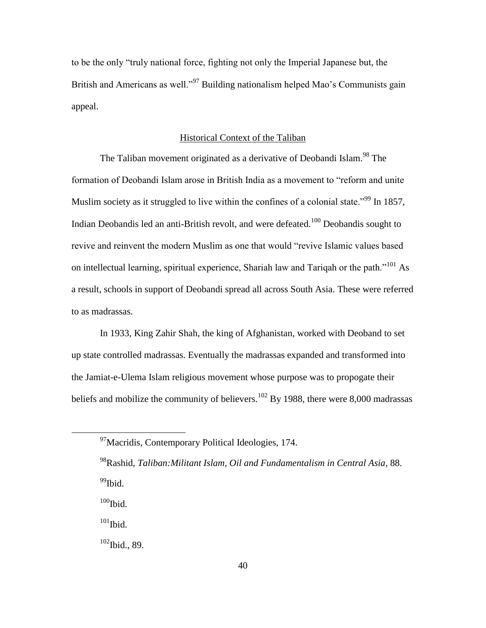to be the only "truly national force, fighting not only the Imperial Japanese but, the British and Americans as well.<sup>997</sup> Building nationalism helped Mao's Communists gain appeal.

# Historical Context of the Taliban

The Taliban movement originated as a derivative of Deobandi Islam.<sup>98</sup> The formation of Deobandi Islam arose in British India as a movement to "reform and unite" Muslim society as it struggled to live within the confines of a colonial state.<sup> $99$ </sup> In 1857, Indian Deobandis led an anti-British revolt, and were defeated.<sup>100</sup> Deobandis sought to revive and reinvent the modern Muslim as one that would "revive Islamic values based on intellectual learning, spiritual experience, Shariah law and Tariqah or the path. $101 \text{ As}$ a result, schools in support of Deobandi spread all across South Asia. These were referred to as madrassas.

In 1933, King Zahir Shah, the king of Afghanistan, worked with Deoband to set up state controlled madrassas. Eventually the madrassas expanded and transformed into the Jamiat-e-Ulema Islam religious movement whose purpose was to propogate their beliefs and mobilize the community of believers.<sup>102</sup> By 1988, there were 8,000 madrassas

 $100$ Ibid.

 $\overline{a}$ 

 $\rm ^{101}Ibid.$ 

 $102$  Ibid., 89.

<sup>&</sup>lt;sup>97</sup>Macridis, Contemporary Political Ideologies, 174.

<sup>98</sup>Rashid, *Taliban:Militant Islam, Oil and Fundamentalism in Central Asia*, 88. <sup>99</sup>Ibid.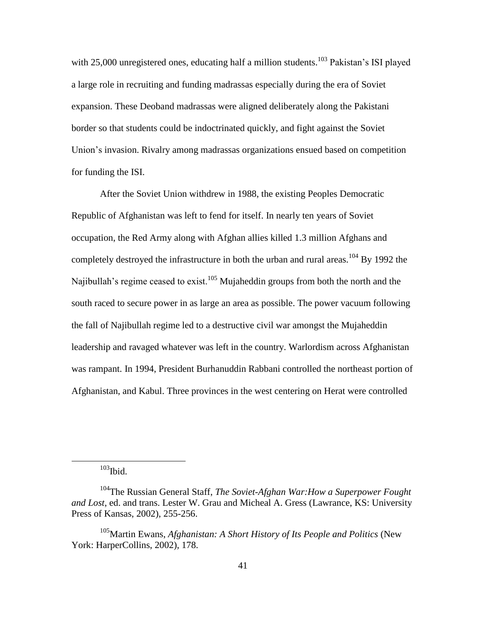with 25,000 unregistered ones, educating half a million students.<sup>103</sup> Pakistan's ISI played a large role in recruiting and funding madrassas especially during the era of Soviet expansion. These Deoband madrassas were aligned deliberately along the Pakistani border so that students could be indoctrinated quickly, and fight against the Soviet Union's invasion. Rivalry among madrassas organizations ensued based on competition for funding the ISI.

After the Soviet Union withdrew in 1988, the existing Peoples Democratic Republic of Afghanistan was left to fend for itself. In nearly ten years of Soviet occupation, the Red Army along with Afghan allies killed 1.3 million Afghans and completely destroyed the infrastructure in both the urban and rural areas.<sup>104</sup> By 1992 the Najibullah's regime ceased to exist.<sup>105</sup> Mujaheddin groups from both the north and the south raced to secure power in as large an area as possible. The power vacuum following the fall of Najibullah regime led to a destructive civil war amongst the Mujaheddin leadership and ravaged whatever was left in the country. Warlordism across Afghanistan was rampant. In 1994, President Burhanuddin Rabbani controlled the northeast portion of Afghanistan, and Kabul. Three provinces in the west centering on Herat were controlled

 $103$ Ibid.

<sup>104</sup>The Russian General Staff, *The Soviet-Afghan War:How a Superpower Fought and Lost*, ed. and trans. Lester W. Grau and Micheal A. Gress (Lawrance, KS: University Press of Kansas, 2002), 255-256.

<sup>105</sup>Martin Ewans, *Afghanistan: A Short History of Its People and Politics* (New York: HarperCollins, 2002), 178.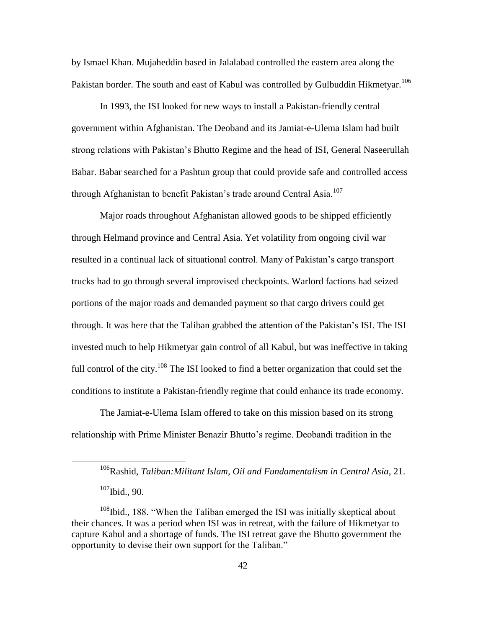by Ismael Khan. Mujaheddin based in Jalalabad controlled the eastern area along the Pakistan border. The south and east of Kabul was controlled by Gulbuddin Hikmetyar.<sup>106</sup>

In 1993, the ISI looked for new ways to install a Pakistan-friendly central government within Afghanistan. The Deoband and its Jamiat-e-Ulema Islam had built strong relations with Pakistan's Bhutto Regime and the head of ISI, General Naseerullah Babar. Babar searched for a Pashtun group that could provide safe and controlled access through Afghanistan to benefit Pakistan's trade around Central Asia.<sup>107</sup>

Major roads throughout Afghanistan allowed goods to be shipped efficiently through Helmand province and Central Asia. Yet volatility from ongoing civil war resulted in a continual lack of situational control. Many of Pakistan's cargo transport trucks had to go through several improvised checkpoints. Warlord factions had seized portions of the major roads and demanded payment so that cargo drivers could get through. It was here that the Taliban grabbed the attention of the Pakistan's ISI. The ISI invested much to help Hikmetyar gain control of all Kabul, but was ineffective in taking full control of the city.<sup>108</sup> The ISI looked to find a better organization that could set the conditions to institute a Pakistan-friendly regime that could enhance its trade economy.

The Jamiat-e-Ulema Islam offered to take on this mission based on its strong relationship with Prime Minister Benazir Bhutto's regime. Deobandi tradition in the

 $\overline{a}$ 

<sup>106</sup>Rashid, *Taliban:Militant Islam, Oil and Fundamentalism in Central Asia*, 21.  $107$ Ibid., 90.

 $108$ Ibid., 188. "When the Taliban emerged the ISI was initially skeptical about their chances. It was a period when ISI was in retreat, with the failure of Hikmetyar to capture Kabul and a shortage of funds. The ISI retreat gave the Bhutto government the opportunity to devise their own support for the Taliban."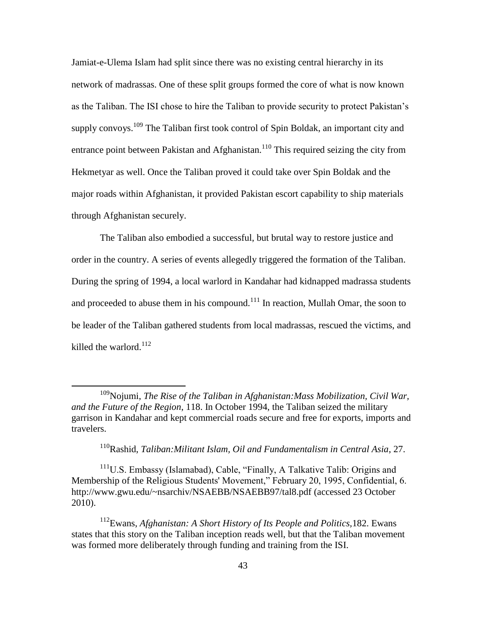Jamiat-e-Ulema Islam had split since there was no existing central hierarchy in its network of madrassas. One of these split groups formed the core of what is now known as the Taliban. The ISI chose to hire the Taliban to provide security to protect Pakistan's supply convoys.<sup>109</sup> The Taliban first took control of Spin Boldak, an important city and entrance point between Pakistan and Afghanistan.<sup>110</sup> This required seizing the city from Hekmetyar as well. Once the Taliban proved it could take over Spin Boldak and the major roads within Afghanistan, it provided Pakistan escort capability to ship materials through Afghanistan securely.

The Taliban also embodied a successful, but brutal way to restore justice and order in the country. A series of events allegedly triggered the formation of the Taliban. During the spring of 1994, a local warlord in Kandahar had kidnapped madrassa students and proceeded to abuse them in his compound.<sup>111</sup> In reaction, Mullah Omar, the soon to be leader of the Taliban gathered students from local madrassas, rescued the victims, and killed the warlord. $112$ 

 $\overline{a}$ 

<sup>111</sup>U.S. Embassy (Islamabad), Cable, "Finally, A Talkative Talib: Origins and Membership of the Religious Students' Movement," February 20, 1995, Confidential, 6. http://www.gwu.edu/~nsarchiv/NSAEBB/NSAEBB97/tal8.pdf (accessed 23 October 2010).

<sup>112</sup>Ewans, *Afghanistan: A Short History of Its People and Politics,*182. Ewans states that this story on the Taliban inception reads well, but that the Taliban movement was formed more deliberately through funding and training from the ISI.

<sup>&</sup>lt;sup>109</sup>Noiumi, *The Rise of the Taliban in Afghanistan:Mass Mobilization, Civil War, and the Future of the Region*, 118. In October 1994, the Taliban seized the military garrison in Kandahar and kept commercial roads secure and free for exports, imports and travelers.

<sup>110</sup>Rashid, *Taliban:Militant Islam, Oil and Fundamentalism in Central Asia*, 27.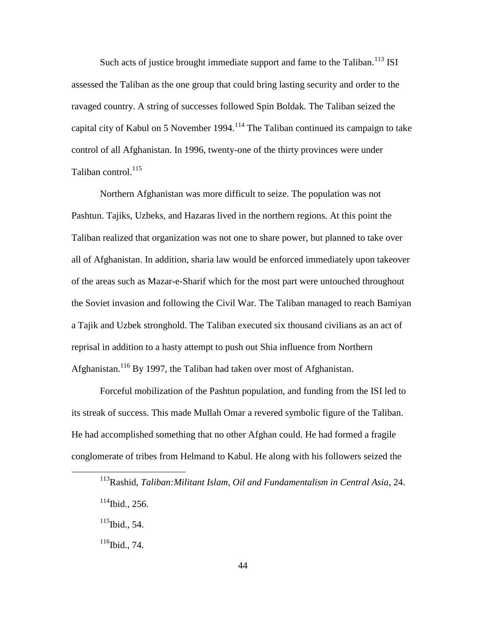Such acts of justice brought immediate support and fame to the Taliban.<sup>113</sup> ISI assessed the Taliban as the one group that could bring lasting security and order to the ravaged country. A string of successes followed Spin Boldak. The Taliban seized the capital city of Kabul on 5 November 1994.<sup>114</sup> The Taliban continued its campaign to take control of all Afghanistan. In 1996, twenty-one of the thirty provinces were under Taliban control. $^{115}$ 

Northern Afghanistan was more difficult to seize. The population was not Pashtun. Tajiks, Uzbeks, and Hazaras lived in the northern regions. At this point the Taliban realized that organization was not one to share power, but planned to take over all of Afghanistan. In addition, sharia law would be enforced immediately upon takeover of the areas such as Mazar-e-Sharif which for the most part were untouched throughout the Soviet invasion and following the Civil War. The Taliban managed to reach Bamiyan a Tajik and Uzbek stronghold. The Taliban executed six thousand civilians as an act of reprisal in addition to a hasty attempt to push out Shia influence from Northern Afghanistan.<sup>116</sup> By 1997, the Taliban had taken over most of Afghanistan.

Forceful mobilization of the Pashtun population, and funding from the ISI led to its streak of success. This made Mullah Omar a revered symbolic figure of the Taliban. He had accomplished something that no other Afghan could. He had formed a fragile conglomerate of tribes from Helmand to Kabul. He along with his followers seized the

<sup>113</sup>Rashid, *Taliban:Militant Islam, Oil and Fundamentalism in Central Asia*, 24.  $114$ Ibid., 256.

 $115$ Ibid., 54.

 $116$ Ibid., 74.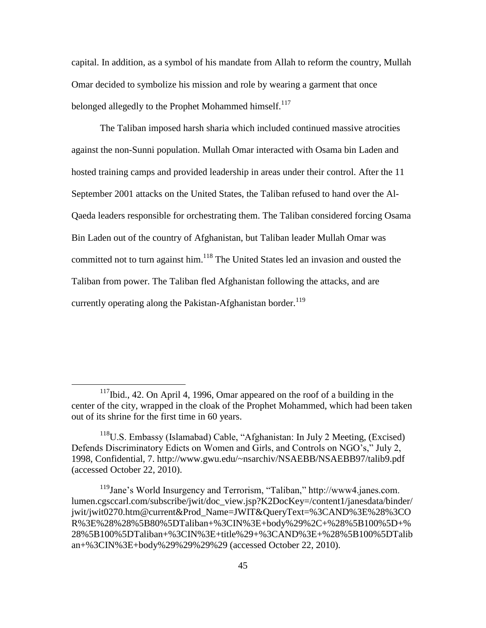capital. In addition, as a symbol of his mandate from Allah to reform the country, Mullah Omar decided to symbolize his mission and role by wearing a garment that once belonged allegedly to the Prophet Mohammed himself.<sup>117</sup>

The Taliban imposed harsh sharia which included continued massive atrocities against the non-Sunni population. Mullah Omar interacted with Osama bin Laden and hosted training camps and provided leadership in areas under their control. After the 11 September 2001 attacks on the United States, the Taliban refused to hand over the Al-Qaeda leaders responsible for orchestrating them. The Taliban considered forcing Osama Bin Laden out of the country of Afghanistan, but Taliban leader Mullah Omar was committed not to turn against him.<sup>118</sup> The United States led an invasion and ousted the Taliban from power. The Taliban fled Afghanistan following the attacks, and are currently operating along the Pakistan-Afghanistan border.<sup>119</sup>

 $117$ Ibid., 42. On April 4, 1996, Omar appeared on the roof of a building in the center of the city, wrapped in the cloak of the Prophet Mohammed, which had been taken out of its shrine for the first time in 60 years.

 $118$ U.S. Embassy (Islamabad) Cable, "Afghanistan: In July 2 Meeting, (Excised) Defends Discriminatory Edicts on Women and Girls, and Controls on NGO's," July 2, 1998, Confidential, 7. http://www.gwu.edu/~nsarchiv/NSAEBB/NSAEBB97/talib9.pdf (accessed October 22, 2010).

<sup>&</sup>lt;sup>119</sup>Jane's World Insurgency and Terrorism, "Taliban," http://www4.janes.com. lumen.cgsccarl.com/subscribe/jwit/doc\_view.jsp?K2DocKey=/content1/janesdata/binder/ jwit/jwit0270.htm@current&Prod\_Name=JWIT&QueryText=%3CAND%3E%28%3CO R%3E%28%28%5B80%5DTaliban+%3CIN%3E+body%29%2C+%28%5B100%5D+% 28%5B100%5DTaliban+%3CIN%3E+title%29+%3CAND%3E+%28%5B100%5DTalib an+%3CIN%3E+body%29%29%29%29 (accessed October 22, 2010).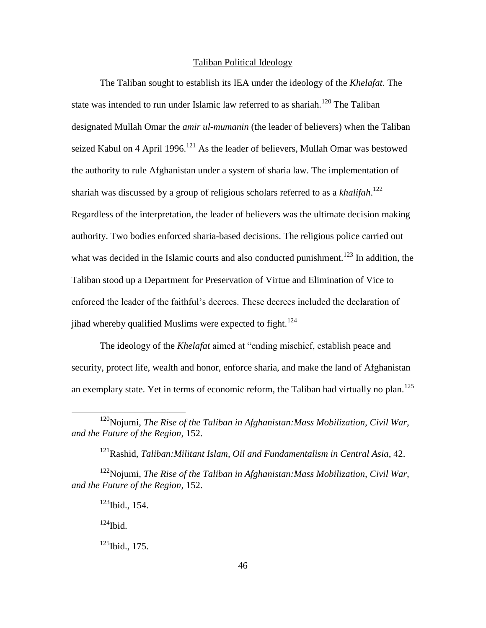## Taliban Political Ideology

The Taliban sought to establish its IEA under the ideology of the *Khelafat*. The state was intended to run under Islamic law referred to as shariah.<sup>120</sup> The Taliban designated Mullah Omar the *amir ul-mumanin* (the leader of believers) when the Taliban seized Kabul on 4 April 1996.<sup>121</sup> As the leader of believers, Mullah Omar was bestowed the authority to rule Afghanistan under a system of sharia law. The implementation of shariah was discussed by a group of religious scholars referred to as a *khalifah*. 122 Regardless of the interpretation, the leader of believers was the ultimate decision making authority. Two bodies enforced sharia-based decisions. The religious police carried out what was decided in the Islamic courts and also conducted punishment.<sup>123</sup> In addition, the Taliban stood up a Department for Preservation of Virtue and Elimination of Vice to enforced the leader of the faithful's decrees. These decrees included the declaration of jihad whereby qualified Muslims were expected to fight.<sup>124</sup>

The ideology of the *Khelafat* aimed at "ending mischief, establish peace and security, protect life, wealth and honor, enforce sharia, and make the land of Afghanistan an exemplary state. Yet in terms of economic reform, the Taliban had virtually no plan.<sup>125</sup>

 $124$ Ibid.

<sup>120</sup>Nojumi, *The Rise of the Taliban in Afghanistan:Mass Mobilization, Civil War, and the Future of the Region*, 152.

<sup>121</sup>Rashid, *Taliban:Militant Islam, Oil and Fundamentalism in Central Asia*, 42.

<sup>122</sup>Nojumi, *The Rise of the Taliban in Afghanistan:Mass Mobilization, Civil War, and the Future of the Region*, 152.

 $123$  Ibid., 154.

 $125$  Ibid., 175.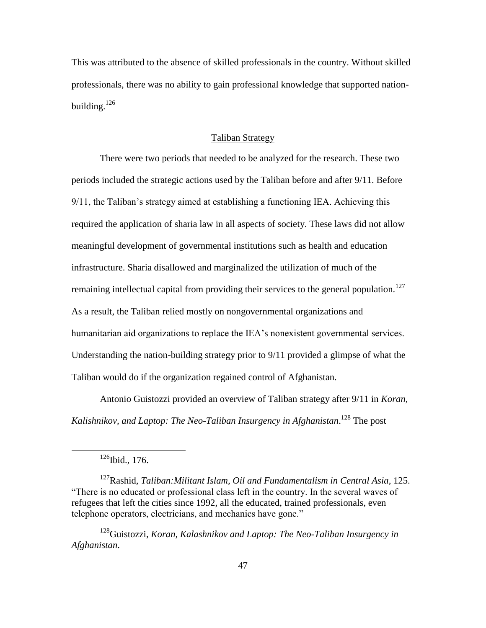This was attributed to the absence of skilled professionals in the country. Without skilled professionals, there was no ability to gain professional knowledge that supported nationbuilding. $126$ 

#### Taliban Strategy

There were two periods that needed to be analyzed for the research. These two periods included the strategic actions used by the Taliban before and after 9/11. Before 9/11, the Taliban's strategy aimed at establishing a functioning IEA. Achieving this required the application of sharia law in all aspects of society. These laws did not allow meaningful development of governmental institutions such as health and education infrastructure. Sharia disallowed and marginalized the utilization of much of the remaining intellectual capital from providing their services to the general population.<sup>127</sup> As a result, the Taliban relied mostly on nongovernmental organizations and humanitarian aid organizations to replace the IEA's nonexistent governmental services. Understanding the nation-building strategy prior to 9/11 provided a glimpse of what the Taliban would do if the organization regained control of Afghanistan.

Antonio Guistozzi provided an overview of Taliban strategy after 9/11 in *Koran, Kalishnikov, and Laptop: The Neo-Taliban Insurgency in Afghanistan*. <sup>128</sup> The post

 $\overline{a}$ 

<sup>128</sup>Guistozzi, *Koran, Kalashnikov and Laptop: The Neo-Taliban Insurgency in Afghanistan*.

 $126$ Ibid., 176.

<sup>127</sup>Rashid, *Taliban:Militant Islam, Oil and Fundamentalism in Central Asia,* 125. ―There is no educated or professional class left in the country. In the several waves of refugees that left the cities since 1992, all the educated, trained professionals, even telephone operators, electricians, and mechanics have gone."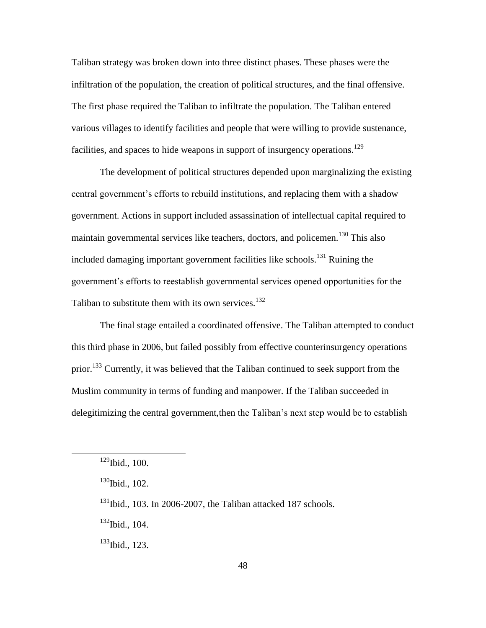Taliban strategy was broken down into three distinct phases. These phases were the infiltration of the population, the creation of political structures, and the final offensive. The first phase required the Taliban to infiltrate the population. The Taliban entered various villages to identify facilities and people that were willing to provide sustenance, facilities, and spaces to hide weapons in support of insurgency operations.<sup>129</sup>

The development of political structures depended upon marginalizing the existing central government's efforts to rebuild institutions, and replacing them with a shadow government. Actions in support included assassination of intellectual capital required to maintain governmental services like teachers, doctors, and policemen.<sup>130</sup> This also included damaging important government facilities like schools.<sup>131</sup> Ruining the government's efforts to reestablish governmental services opened opportunities for the Taliban to substitute them with its own services.<sup>132</sup>

The final stage entailed a coordinated offensive. The Taliban attempted to conduct this third phase in 2006, but failed possibly from effective counterinsurgency operations prior.<sup>133</sup> Currently, it was believed that the Taliban continued to seek support from the Muslim community in terms of funding and manpower. If the Taliban succeeded in delegitimizing the central government,then the Taliban's next step would be to establish

 $\overline{a}$ 

<sup>132</sup>Ibid., 104.

<sup>133</sup>Ibid., 123.

 $129$ Ibid., 100.

 $130$ Ibid., 102.

 $131$ Ibid., 103. In 2006-2007, the Taliban attacked 187 schools.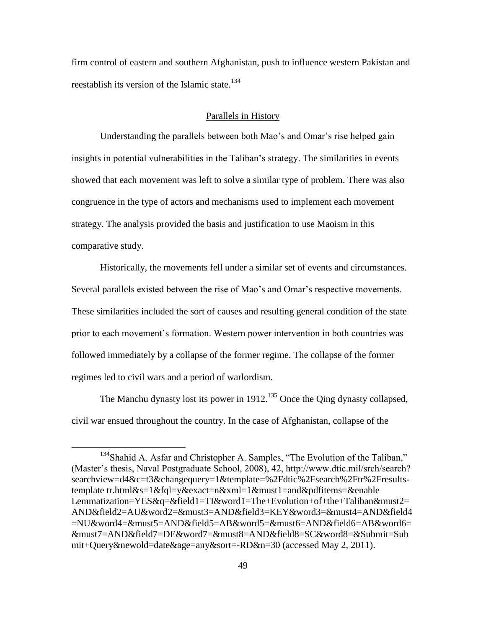firm control of eastern and southern Afghanistan, push to influence western Pakistan and reestablish its version of the Islamic state.<sup>134</sup>

# Parallels in History

Understanding the parallels between both Mao's and Omar's rise helped gain insights in potential vulnerabilities in the Taliban's strategy. The similarities in events showed that each movement was left to solve a similar type of problem. There was also congruence in the type of actors and mechanisms used to implement each movement strategy. The analysis provided the basis and justification to use Maoism in this comparative study.

Historically, the movements fell under a similar set of events and circumstances. Several parallels existed between the rise of Mao's and Omar's respective movements. These similarities included the sort of causes and resulting general condition of the state prior to each movement's formation. Western power intervention in both countries was followed immediately by a collapse of the former regime. The collapse of the former regimes led to civil wars and a period of warlordism.

The Manchu dynasty lost its power in  $1912$ <sup>135</sup> Once the Qing dynasty collapsed, civil war ensued throughout the country. In the case of Afghanistan, collapse of the

 $134$ Shahid A. Asfar and Christopher A. Samples, "The Evolution of the Taliban," (Master's thesis, Naval Postgraduate School, 2008), 42, http://www.dtic.mil/srch/search? searchview=d4&c=t3&changequery=1&template=%2Fdtic%2Fsearch%2Ftr%2Fresultstemplate tr.html&s=1&fql=y&exact=n&xml=1&must1=and&pdfitems=&enable Lemmatization=YES&q=&field1=TI&word1=The+Evolution+of+the+Taliban&must2= AND&field2=AU&word2=&must3=AND&field3=KEY&word3=&must4=AND&field4 =NU&word4=&must5=AND&field5=AB&word5=&must6=AND&field6=AB&word6= &must7=AND&field7=DE&word7=&must8=AND&field8=SC&word8=&Submit=Sub mit+Query&newold=date&age=any&sort=-RD&n=30 (accessed May 2, 2011).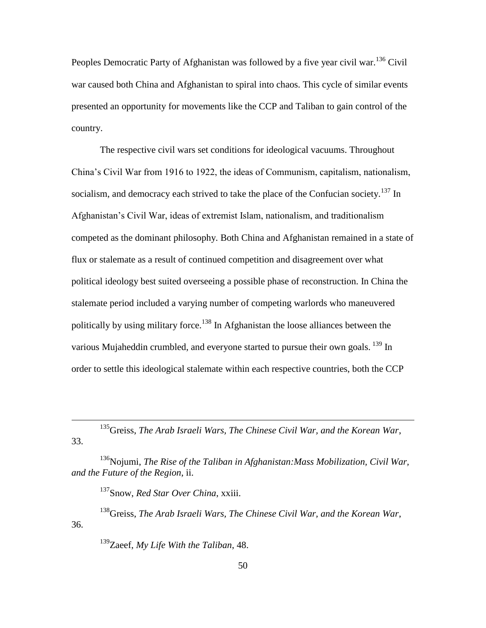Peoples Democratic Party of Afghanistan was followed by a five year civil war.<sup>136</sup> Civil war caused both China and Afghanistan to spiral into chaos. This cycle of similar events presented an opportunity for movements like the CCP and Taliban to gain control of the country.

The respective civil wars set conditions for ideological vacuums. Throughout China's Civil War from 1916 to 1922, the ideas of Communism, capitalism, nationalism, socialism, and democracy each strived to take the place of the Confucian society.<sup>137</sup> In Afghanistan's Civil War, ideas of extremist Islam, nationalism, and traditionalism competed as the dominant philosophy. Both China and Afghanistan remained in a state of flux or stalemate as a result of continued competition and disagreement over what political ideology best suited overseeing a possible phase of reconstruction. In China the stalemate period included a varying number of competing warlords who maneuvered politically by using military force.<sup>138</sup> In Afghanistan the loose alliances between the various Mujaheddin crumbled, and everyone started to pursue their own goals.  $^{139}$  In order to settle this ideological stalemate within each respective countries, both the CCP

<sup>137</sup>Snow, *Red Star Over China*, xxiii.

 $\overline{a}$ 

<sup>138</sup>Greiss, *The Arab Israeli Wars, The Chinese Civil War, and the Korean War*, 36.

<sup>139</sup>Zaeef, *My Life With the Taliban*, 48.

<sup>135</sup>Greiss, *The Arab Israeli Wars, The Chinese Civil War, and the Korean War*, 33.

<sup>136</sup>Nojumi, *The Rise of the Taliban in Afghanistan:Mass Mobilization, Civil War, and the Future of the Region*, ii.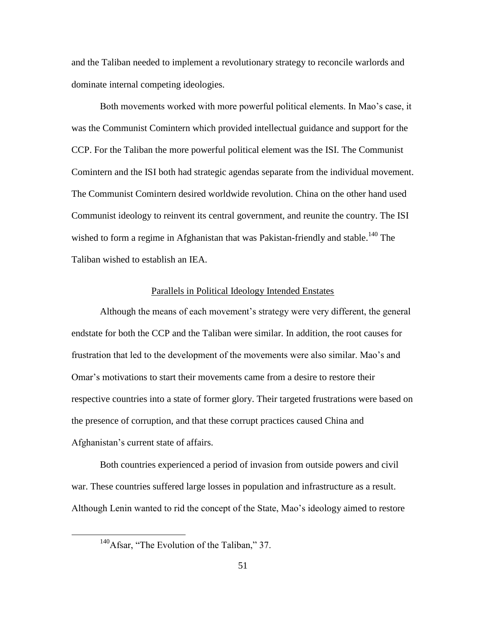and the Taliban needed to implement a revolutionary strategy to reconcile warlords and dominate internal competing ideologies.

Both movements worked with more powerful political elements. In Mao's case, it was the Communist Comintern which provided intellectual guidance and support for the CCP. For the Taliban the more powerful political element was the ISI. The Communist Comintern and the ISI both had strategic agendas separate from the individual movement. The Communist Comintern desired worldwide revolution. China on the other hand used Communist ideology to reinvent its central government, and reunite the country. The ISI wished to form a regime in Afghanistan that was Pakistan-friendly and stable.<sup>140</sup> The Taliban wished to establish an IEA.

#### Parallels in Political Ideology Intended Enstates

Although the means of each movement's strategy were very different, the general endstate for both the CCP and the Taliban were similar. In addition, the root causes for frustration that led to the development of the movements were also similar. Mao's and Omar's motivations to start their movements came from a desire to restore their respective countries into a state of former glory. Their targeted frustrations were based on the presence of corruption, and that these corrupt practices caused China and Afghanistan's current state of affairs.

Both countries experienced a period of invasion from outside powers and civil war. These countries suffered large losses in population and infrastructure as a result. Although Lenin wanted to rid the concept of the State, Mao's ideology aimed to restore

 $140$ Afsar, "The Evolution of the Taliban," 37.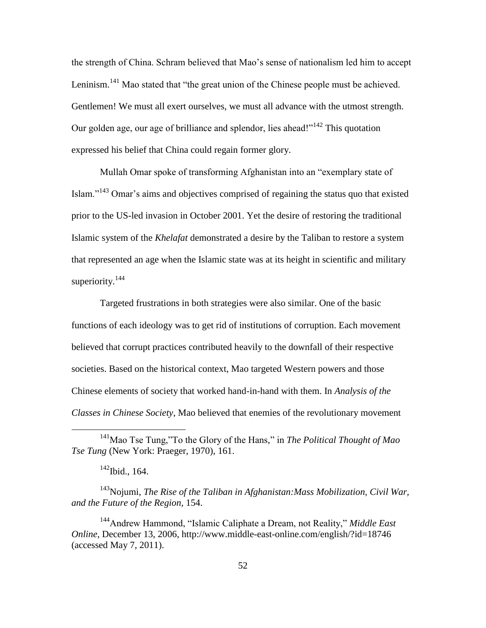the strength of China. Schram believed that Mao's sense of nationalism led him to accept Leninism.<sup>141</sup> Mao stated that "the great union of the Chinese people must be achieved. Gentlemen! We must all exert ourselves, we must all advance with the utmost strength. Our golden age, our age of brilliance and splendor, lies ahead!"<sup>142</sup> This quotation expressed his belief that China could regain former glory.

Mullah Omar spoke of transforming Afghanistan into an "exemplary state of Islam."<sup>143</sup> Omar's aims and objectives comprised of regaining the status quo that existed prior to the US-led invasion in October 2001. Yet the desire of restoring the traditional Islamic system of the *Khelafat* demonstrated a desire by the Taliban to restore a system that represented an age when the Islamic state was at its height in scientific and military superiority. $144$ 

Targeted frustrations in both strategies were also similar. One of the basic functions of each ideology was to get rid of institutions of corruption. Each movement believed that corrupt practices contributed heavily to the downfall of their respective societies. Based on the historical context, Mao targeted Western powers and those Chinese elements of society that worked hand-in-hand with them. In *Analysis of the Classes in Chinese Society*, Mao believed that enemies of the revolutionary movement

 $\overline{a}$ 

<sup>143</sup>Nojumi, *The Rise of the Taliban in Afghanistan:Mass Mobilization, Civil War, and the Future of the Region*, 154.

<sup>144</sup>Andrew Hammond, "Islamic Caliphate a Dream, not Reality," *Middle East Online*, December 13, 2006, http://www.middle-east-online.com/english/?id=18746 (accessed May 7, 2011).

<sup>&</sup>lt;sup>141</sup>Mao Tse Tung,"To the Glory of the Hans," in *The Political Thought of Mao Tse Tung* (New York: Praeger, 1970), 161.

 $142$ Ibid., 164.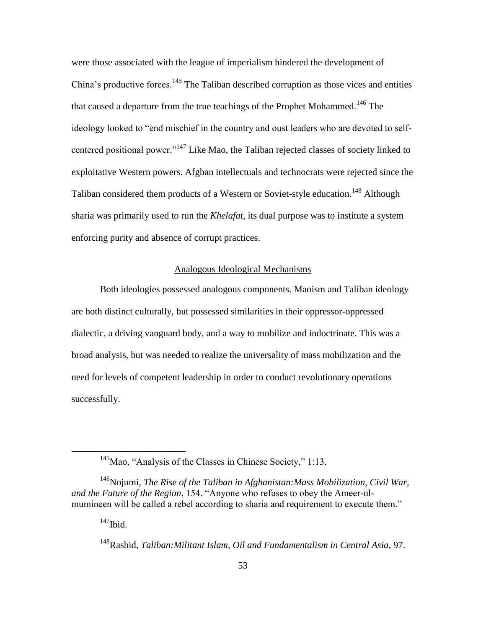were those associated with the league of imperialism hindered the development of China's productive forces.<sup>145</sup> The Taliban described corruption as those vices and entities that caused a departure from the true teachings of the Prophet Mohammed.<sup>146</sup> The ideology looked to "end mischief in the country and oust leaders who are devoted to selfcentered positional power."<sup>147</sup> Like Mao, the Taliban rejected classes of society linked to exploitative Western powers. Afghan intellectuals and technocrats were rejected since the Taliban considered them products of a Western or Soviet-style education.<sup>148</sup> Although sharia was primarily used to run the *Khelafat*, its dual purpose was to institute a system enforcing purity and absence of corrupt practices.

### Analogous Ideological Mechanisms

Both ideologies possessed analogous components. Maoism and Taliban ideology are both distinct culturally, but possessed similarities in their oppressor-oppressed dialectic, a driving vanguard body, and a way to mobilize and indoctrinate. This was a broad analysis, but was needed to realize the universality of mass mobilization and the need for levels of competent leadership in order to conduct revolutionary operations successfully.

 $145$ Mao, "Analysis of the Classes in Chinese Society," 1:13.

<sup>146</sup>Nojumi, *The Rise of the Taliban in Afghanistan:Mass Mobilization, Civil War, and the Future of the Region*, 154. "Anyone who refuses to obey the Ameer-ulmumineen will be called a rebel according to sharia and requirement to execute them."

 $147$ Ibid.

<sup>148</sup>Rashid, *Taliban:Militant Islam, Oil and Fundamentalism in Central Asia*, 97.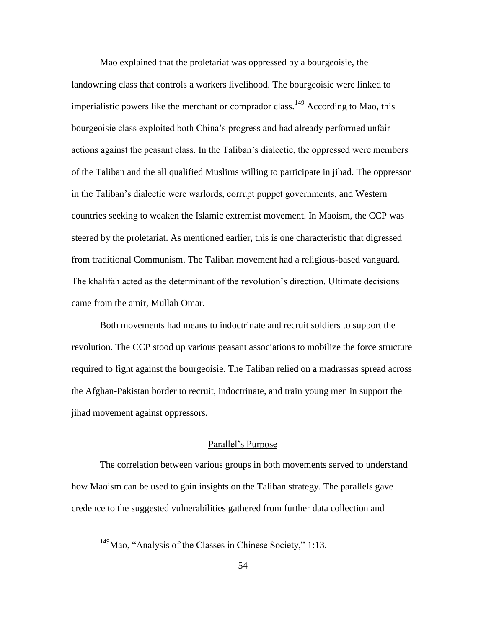Mao explained that the proletariat was oppressed by a bourgeoisie, the landowning class that controls a workers livelihood. The bourgeoisie were linked to imperialistic powers like the merchant or comprador class.<sup>149</sup> According to Mao, this bourgeoisie class exploited both China's progress and had already performed unfair actions against the peasant class. In the Taliban's dialectic, the oppressed were members of the Taliban and the all qualified Muslims willing to participate in jihad. The oppressor in the Taliban's dialectic were warlords, corrupt puppet governments, and Western countries seeking to weaken the Islamic extremist movement. In Maoism, the CCP was steered by the proletariat. As mentioned earlier, this is one characteristic that digressed from traditional Communism. The Taliban movement had a religious-based vanguard. The khalifah acted as the determinant of the revolution's direction. Ultimate decisions came from the amir, Mullah Omar.

Both movements had means to indoctrinate and recruit soldiers to support the revolution. The CCP stood up various peasant associations to mobilize the force structure required to fight against the bourgeoisie. The Taliban relied on a madrassas spread across the Afghan-Pakistan border to recruit, indoctrinate, and train young men in support the jihad movement against oppressors.

# Parallel's Purpose

The correlation between various groups in both movements served to understand how Maoism can be used to gain insights on the Taliban strategy. The parallels gave credence to the suggested vulnerabilities gathered from further data collection and

 $149$ Mao, "Analysis of the Classes in Chinese Society," 1:13.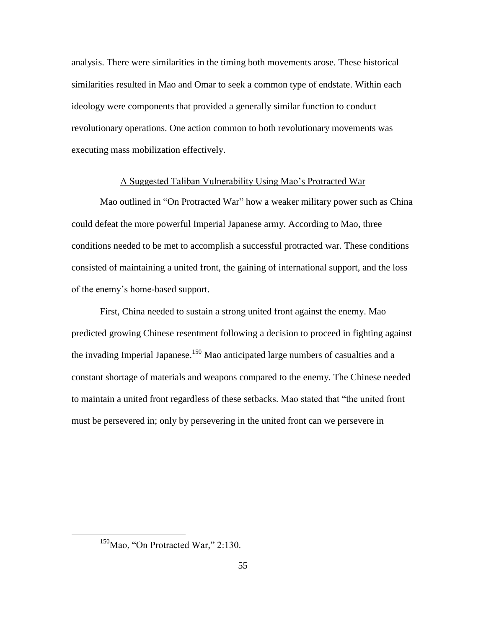analysis. There were similarities in the timing both movements arose. These historical similarities resulted in Mao and Omar to seek a common type of endstate. Within each ideology were components that provided a generally similar function to conduct revolutionary operations. One action common to both revolutionary movements was executing mass mobilization effectively.

### A Suggested Taliban Vulnerability Using Mao's Protracted War

Mao outlined in "On Protracted War" how a weaker military power such as China could defeat the more powerful Imperial Japanese army. According to Mao, three conditions needed to be met to accomplish a successful protracted war. These conditions consisted of maintaining a united front, the gaining of international support, and the loss of the enemy's home-based support.

First, China needed to sustain a strong united front against the enemy. Mao predicted growing Chinese resentment following a decision to proceed in fighting against the invading Imperial Japanese.<sup>150</sup> Mao anticipated large numbers of casualties and a constant shortage of materials and weapons compared to the enemy. The Chinese needed to maintain a united front regardless of these setbacks. Mao stated that "the united front must be persevered in; only by persevering in the united front can we persevere in

 $150$ Mao, "On Protracted War," 2:130.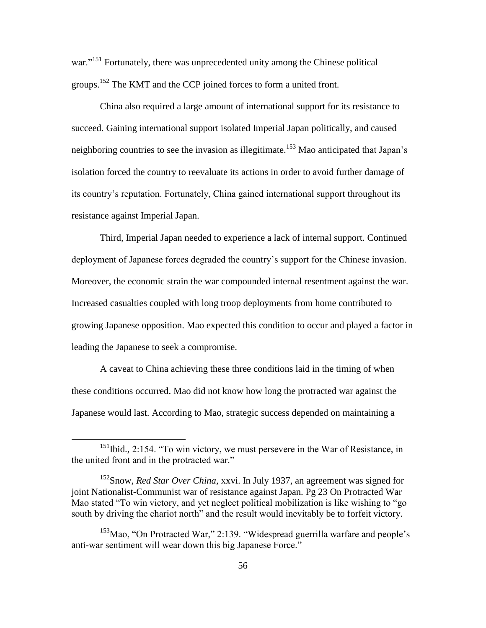war."<sup>151</sup> Fortunately, there was unprecedented unity among the Chinese political groups.<sup>152</sup> The KMT and the CCP joined forces to form a united front.

China also required a large amount of international support for its resistance to succeed. Gaining international support isolated Imperial Japan politically, and caused neighboring countries to see the invasion as illegitimate.<sup>153</sup> Mao anticipated that Japan's isolation forced the country to reevaluate its actions in order to avoid further damage of its country's reputation. Fortunately, China gained international support throughout its resistance against Imperial Japan.

Third, Imperial Japan needed to experience a lack of internal support. Continued deployment of Japanese forces degraded the country's support for the Chinese invasion. Moreover, the economic strain the war compounded internal resentment against the war. Increased casualties coupled with long troop deployments from home contributed to growing Japanese opposition. Mao expected this condition to occur and played a factor in leading the Japanese to seek a compromise.

A caveat to China achieving these three conditions laid in the timing of when these conditions occurred. Mao did not know how long the protracted war against the Japanese would last. According to Mao, strategic success depended on maintaining a

<sup>&</sup>lt;sup>151</sup>Ibid., 2:154. "To win victory, we must persevere in the War of Resistance, in the united front and in the protracted war."

<sup>152</sup>Snow, *Red Star Over China,* xxvi. In July 1937, an agreement was signed for joint Nationalist-Communist war of resistance against Japan. Pg 23 On Protracted War Mao stated "To win victory, and yet neglect political mobilization is like wishing to "go south by driving the chariot north" and the result would inevitably be to forfeit victory.

 $153$ Mao, "On Protracted War," 2:139. "Widespread guerrilla warfare and people's anti-war sentiment will wear down this big Japanese Force."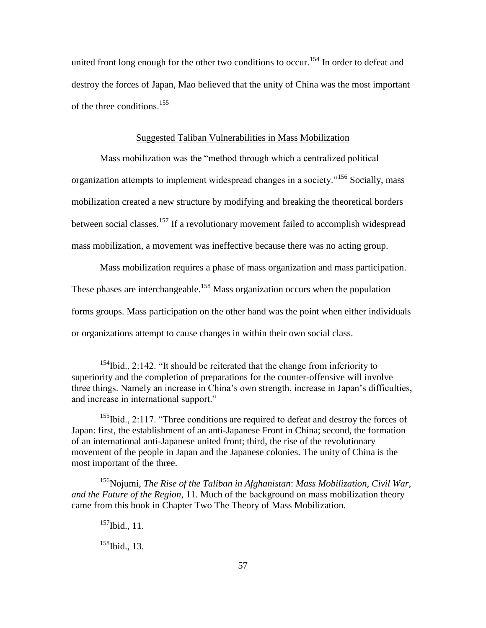united front long enough for the other two conditions to occur.<sup>154</sup> In order to defeat and destroy the forces of Japan, Mao believed that the unity of China was the most important of the three conditions.<sup>155</sup>

# Suggested Taliban Vulnerabilities in Mass Mobilization

Mass mobilization was the "method through which a centralized political organization attempts to implement widespread changes in a society."<sup>156</sup> Socially, mass mobilization created a new structure by modifying and breaking the theoretical borders between social classes.<sup>157</sup> If a revolutionary movement failed to accomplish widespread mass mobilization, a movement was ineffective because there was no acting group.

Mass mobilization requires a phase of mass organization and mass participation. These phases are interchangeable.<sup>158</sup> Mass organization occurs when the population forms groups. Mass participation on the other hand was the point when either individuals or organizations attempt to cause changes in within their own social class.

 $155$ Ibid., 2:117. "Three conditions are required to defeat and destroy the forces of Japan: first, the establishment of an anti-Japanese Front in China; second, the formation of an international anti-Japanese united front; third, the rise of the revolutionary movement of the people in Japan and the Japanese colonies. The unity of China is the most important of the three.

<sup>156</sup>Nojumi, *The Rise of the Taliban in Afghanistan*: *Mass Mobilization, Civil War, and the Future of the Region*, 11. Much of the background on mass mobilization theory came from this book in Chapter Two The Theory of Mass Mobilization.

 $157$ Ibid., 11.

 $\overline{a}$ 

 $158$ Ibid., 13.

 $154$ Ibid., 2:142. "It should be reiterated that the change from inferiority to superiority and the completion of preparations for the counter-offensive will involve three things. Namely an increase in China's own strength, increase in Japan's difficulties, and increase in international support."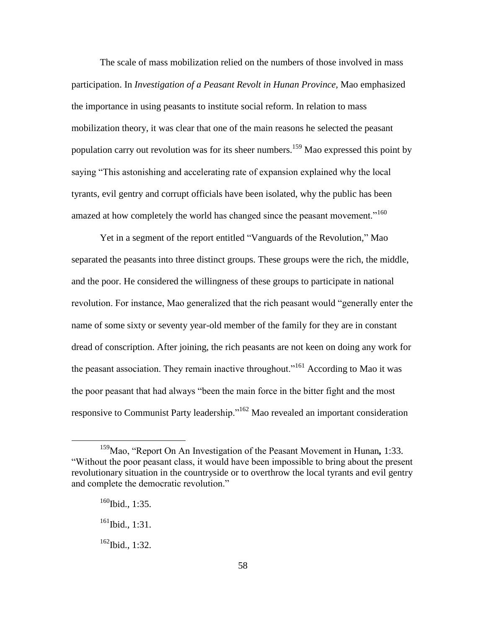The scale of mass mobilization relied on the numbers of those involved in mass participation. In *Investigation of a Peasant Revolt in Hunan Province,* Mao emphasized the importance in using peasants to institute social reform. In relation to mass mobilization theory, it was clear that one of the main reasons he selected the peasant population carry out revolution was for its sheer numbers.<sup>159</sup> Mao expressed this point by saying "This astonishing and accelerating rate of expansion explained why the local tyrants, evil gentry and corrupt officials have been isolated, why the public has been amazed at how completely the world has changed since the peasant movement.<sup> $160$ </sup>

Yet in a segment of the report entitled "Vanguards of the Revolution," Mao separated the peasants into three distinct groups. These groups were the rich, the middle, and the poor. He considered the willingness of these groups to participate in national revolution. For instance, Mao generalized that the rich peasant would "generally enter the name of some sixty or seventy year-old member of the family for they are in constant dread of conscription. After joining, the rich peasants are not keen on doing any work for the peasant association. They remain inactive throughout."<sup>161</sup> According to Mao it was the poor peasant that had always "been the main force in the bitter fight and the most responsive to Communist Party leadership.<sup> $162$ </sup> Mao revealed an important consideration

 $\overline{a}$ 

 $161$  Ibid., 1:31.

<sup>&</sup>lt;sup>159</sup>Mao, "Report On An Investigation of the Peasant Movement in Hunan, 1:33. ―Without the poor peasant class, it would have been impossible to bring about the present revolutionary situation in the countryside or to overthrow the local tyrants and evil gentry and complete the democratic revolution."

 $160$ Ibid., 1:35.

 $162$  Ibid., 1:32.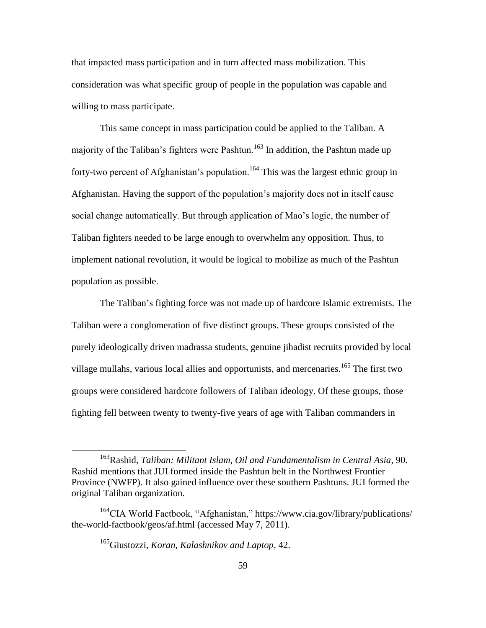that impacted mass participation and in turn affected mass mobilization. This consideration was what specific group of people in the population was capable and willing to mass participate.

This same concept in mass participation could be applied to the Taliban. A majority of the Taliban's fighters were Pashtun.<sup>163</sup> In addition, the Pashtun made up forty-two percent of Afghanistan's population.<sup>164</sup> This was the largest ethnic group in Afghanistan. Having the support of the population's majority does not in itself cause social change automatically. But through application of Mao's logic, the number of Taliban fighters needed to be large enough to overwhelm any opposition. Thus, to implement national revolution, it would be logical to mobilize as much of the Pashtun population as possible.

The Taliban's fighting force was not made up of hardcore Islamic extremists. The Taliban were a conglomeration of five distinct groups. These groups consisted of the purely ideologically driven madrassa students, genuine jihadist recruits provided by local village mullahs, various local allies and opportunists, and mercenaries.<sup>165</sup> The first two groups were considered hardcore followers of Taliban ideology. Of these groups, those fighting fell between twenty to twenty-five years of age with Taliban commanders in

<sup>163</sup>Rashid, *Taliban: Militant Islam, Oil and Fundamentalism in Central Asia*, 90. Rashid mentions that JUI formed inside the Pashtun belt in the Northwest Frontier Province (NWFP). It also gained influence over these southern Pashtuns. JUI formed the original Taliban organization.

 $164$ CIA World Factbook, "Afghanistan," https://www.cia.gov/library/publications/ the-world-factbook/geos/af.html (accessed May 7, 2011).

<sup>165</sup>Giustozzi, *Koran, Kalashnikov and Laptop*, 42.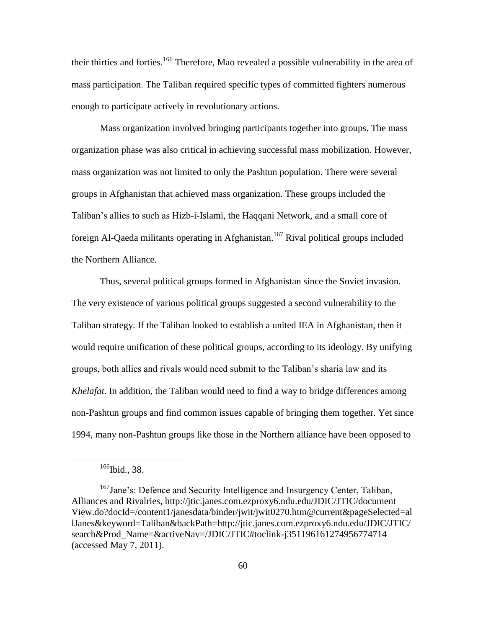their thirties and forties.<sup>166</sup> Therefore, Mao revealed a possible vulnerability in the area of mass participation. The Taliban required specific types of committed fighters numerous enough to participate actively in revolutionary actions.

Mass organization involved bringing participants together into groups. The mass organization phase was also critical in achieving successful mass mobilization. However, mass organization was not limited to only the Pashtun population. There were several groups in Afghanistan that achieved mass organization. These groups included the Taliban's allies to such as Hizb-i-Islami, the Haqqani Network, and a small core of foreign Al-Qaeda militants operating in Afghanistan.<sup>167</sup> Rival political groups included the Northern Alliance.

Thus, several political groups formed in Afghanistan since the Soviet invasion. The very existence of various political groups suggested a second vulnerability to the Taliban strategy. If the Taliban looked to establish a united IEA in Afghanistan, then it would require unification of these political groups, according to its ideology. By unifying groups, both allies and rivals would need submit to the Taliban's sharia law and its *Khelafat*. In addition, the Taliban would need to find a way to bridge differences among non-Pashtun groups and find common issues capable of bringing them together. Yet since 1994, many non-Pashtun groups like those in the Northern alliance have been opposed to

 $166$ Ibid., 38.

<sup>167</sup>Jane's: Defence and Security Intelligence and Insurgency Center, Taliban, Alliances and Rivalries, http://jtic.janes.com.ezproxy6.ndu.edu/JDIC/JTIC/document View.do?docId=/content1/janesdata/binder/jwit/jwit0270.htm@current&pageSelected=al lJanes&keyword=Taliban&backPath=http://jtic.janes.com.ezproxy6.ndu.edu/JDIC/JTIC/ search&Prod\_Name=&activeNav=/JDIC/JTIC#toclink-j351196161274956774714 (accessed May 7, 2011).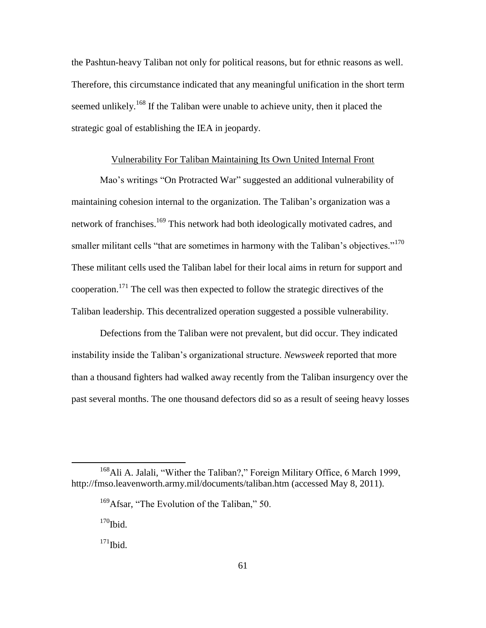the Pashtun-heavy Taliban not only for political reasons, but for ethnic reasons as well. Therefore, this circumstance indicated that any meaningful unification in the short term seemed unlikely.<sup>168</sup> If the Taliban were unable to achieve unity, then it placed the strategic goal of establishing the IEA in jeopardy.

## Vulnerability For Taliban Maintaining Its Own United Internal Front

Mao's writings "On Protracted War" suggested an additional vulnerability of maintaining cohesion internal to the organization. The Taliban's organization was a network of franchises.<sup>169</sup> This network had both ideologically motivated cadres, and smaller militant cells "that are sometimes in harmony with the Taliban's objectives."<sup>170</sup> These militant cells used the Taliban label for their local aims in return for support and cooperation.<sup>171</sup> The cell was then expected to follow the strategic directives of the Taliban leadership. This decentralized operation suggested a possible vulnerability.

Defections from the Taliban were not prevalent, but did occur. They indicated instability inside the Taliban's organizational structure. *Newsweek* reported that more than a thousand fighters had walked away recently from the Taliban insurgency over the past several months. The one thousand defectors did so as a result of seeing heavy losses

 $168$ Ali A. Jalali, "Wither the Taliban?," Foreign Military Office, 6 March 1999, http://fmso.leavenworth.army.mil/documents/taliban.htm (accessed May 8, 2011).

 $169$ Afsar, "The Evolution of the Taliban," 50.

 $170$ Ibid.

 $171$ Ibid.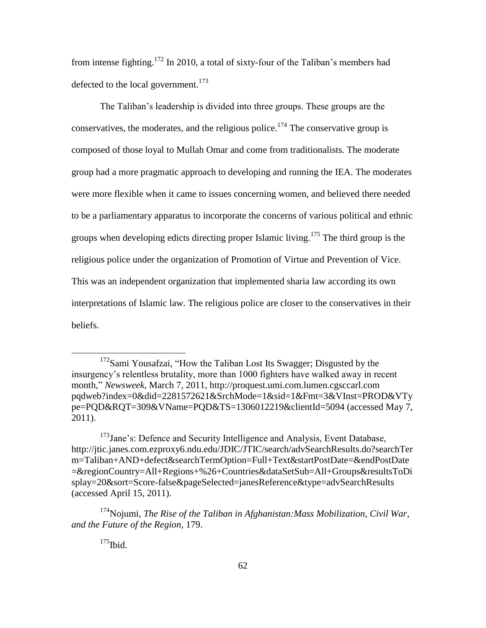from intense fighting.<sup>172</sup> In 2010, a total of sixty-four of the Taliban's members had defected to the local government.<sup>173</sup>

The Taliban's leadership is divided into three groups. These groups are the conservatives, the moderates, and the religious police.<sup>174</sup> The conservative group is composed of those loyal to Mullah Omar and come from traditionalists. The moderate group had a more pragmatic approach to developing and running the IEA. The moderates were more flexible when it came to issues concerning women, and believed there needed to be a parliamentary apparatus to incorporate the concerns of various political and ethnic groups when developing edicts directing proper Islamic living.<sup>175</sup> The third group is the religious police under the organization of Promotion of Virtue and Prevention of Vice. This was an independent organization that implemented sharia law according its own interpretations of Islamic law. The religious police are closer to the conservatives in their beliefs.

 $175$ Ibid.

 $172$ Sami Yousafzai, "How the Taliban Lost Its Swagger; Disgusted by the insurgency's relentless brutality, more than 1000 fighters have walked away in recent month,‖ *Newsweek*, March 7, 2011, http://proquest.umi.com.lumen.cgsccarl.com pqdweb?index=0&did=2281572621&SrchMode=1&sid=1&Fmt=3&VInst=PROD&VTy pe=PQD&RQT=309&VName=PQD&TS=1306012219&clientId=5094 (accessed May 7, 2011).

 $173$ Jane's: Defence and Security Intelligence and Analysis, Event Database, http://jtic.janes.com.ezproxy6.ndu.edu/JDIC/JTIC/search/advSearchResults.do?searchTer m=Taliban+AND+defect&searchTermOption=Full+Text&startPostDate=&endPostDate =&regionCountry=All+Regions+%26+Countries&dataSetSub=All+Groups&resultsToDi splay=20&sort=Score-false&pageSelected=janesReference&type=advSearchResults (accessed April 15, 2011).

<sup>174</sup>Nojumi, *The Rise of the Taliban in Afghanistan:Mass Mobilization, Civil War*, *and the Future of the Region*, 179.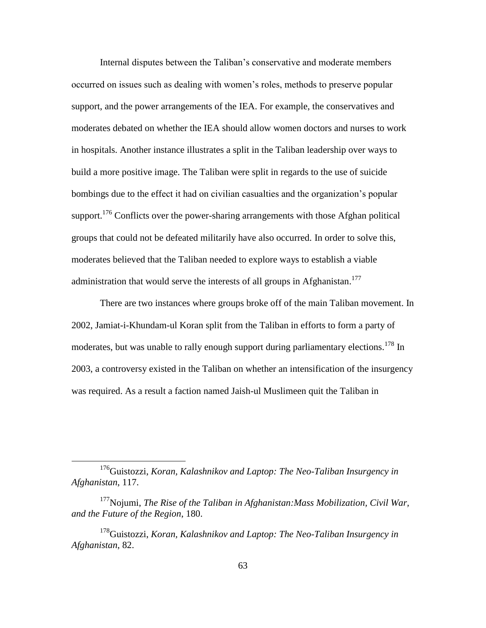Internal disputes between the Taliban's conservative and moderate members occurred on issues such as dealing with women's roles, methods to preserve popular support, and the power arrangements of the IEA. For example, the conservatives and moderates debated on whether the IEA should allow women doctors and nurses to work in hospitals. Another instance illustrates a split in the Taliban leadership over ways to build a more positive image. The Taliban were split in regards to the use of suicide bombings due to the effect it had on civilian casualties and the organization's popular support.<sup>176</sup> Conflicts over the power-sharing arrangements with those Afghan political groups that could not be defeated militarily have also occurred. In order to solve this, moderates believed that the Taliban needed to explore ways to establish a viable administration that would serve the interests of all groups in Afghanistan.<sup>177</sup>

There are two instances where groups broke off of the main Taliban movement. In 2002, Jamiat-i-Khundam-ul Koran split from the Taliban in efforts to form a party of moderates, but was unable to rally enough support during parliamentary elections.<sup>178</sup> In 2003, a controversy existed in the Taliban on whether an intensification of the insurgency was required. As a result a faction named Jaish-ul Muslimeen quit the Taliban in

<sup>176</sup>Guistozzi, *Koran, Kalashnikov and Laptop: The Neo-Taliban Insurgency in Afghanistan*, 117.

<sup>177</sup>Nojumi, *The Rise of the Taliban in Afghanistan:Mass Mobilization, Civil War, and the Future of the Region*, 180.

<sup>178</sup>Guistozzi, *Koran, Kalashnikov and Laptop: The Neo-Taliban Insurgency in Afghanistan*, 82.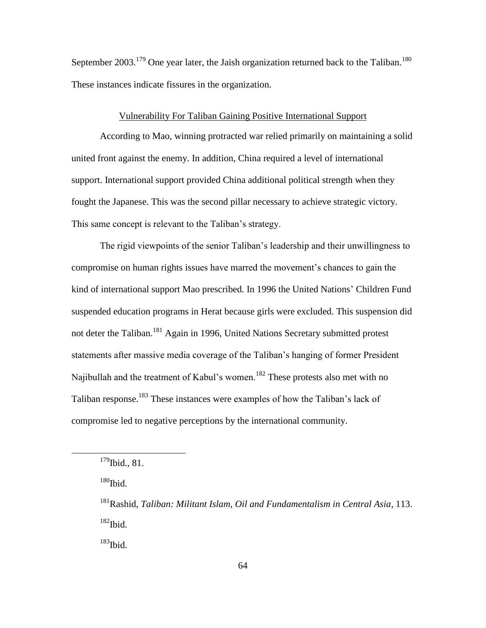September 2003.<sup>179</sup> One year later, the Jaish organization returned back to the Taliban.<sup>180</sup> These instances indicate fissures in the organization.

# Vulnerability For Taliban Gaining Positive International Support

According to Mao, winning protracted war relied primarily on maintaining a solid united front against the enemy. In addition, China required a level of international support. International support provided China additional political strength when they fought the Japanese. This was the second pillar necessary to achieve strategic victory. This same concept is relevant to the Taliban's strategy.

The rigid viewpoints of the senior Taliban's leadership and their unwillingness to compromise on human rights issues have marred the movement's chances to gain the kind of international support Mao prescribed. In 1996 the United Nations' Children Fund suspended education programs in Herat because girls were excluded. This suspension did not deter the Taliban.<sup>181</sup> Again in 1996, United Nations Secretary submitted protest statements after massive media coverage of the Taliban's hanging of former President Najibullah and the treatment of Kabul's women.<sup>182</sup> These protests also met with no Taliban response.<sup>183</sup> These instances were examples of how the Taliban's lack of compromise led to negative perceptions by the international community.

 $180$  Ibid.

 $\overline{a}$ 

 $183$ Ibid.

 $179$ Ibid., 81.

<sup>181</sup>Rashid, *Taliban: Militant Islam, Oil and Fundamentalism in Central Asia*, 113.  $182$  Ibid.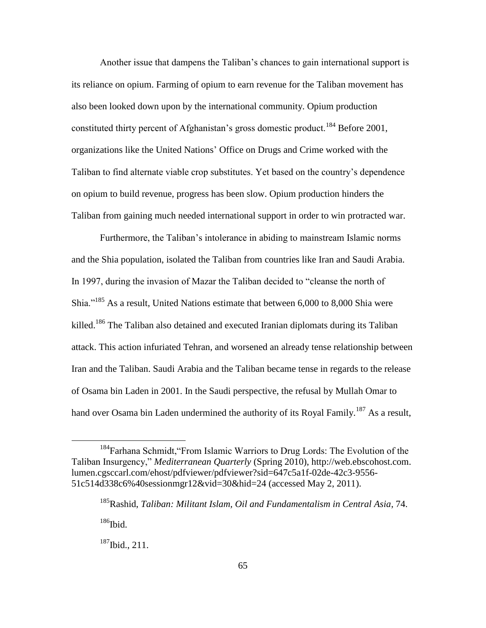Another issue that dampens the Taliban's chances to gain international support is its reliance on opium. Farming of opium to earn revenue for the Taliban movement has also been looked down upon by the international community. Opium production constituted thirty percent of Afghanistan's gross domestic product.<sup>184</sup> Before 2001, organizations like the United Nations' Office on Drugs and Crime worked with the Taliban to find alternate viable crop substitutes. Yet based on the country's dependence on opium to build revenue, progress has been slow. Opium production hinders the Taliban from gaining much needed international support in order to win protracted war.

Furthermore, the Taliban's intolerance in abiding to mainstream Islamic norms and the Shia population, isolated the Taliban from countries like Iran and Saudi Arabia. In 1997, during the invasion of Mazar the Taliban decided to "cleanse the north of Shia.<sup> $185$ </sup> As a result, United Nations estimate that between 6,000 to 8,000 Shia were killed.<sup>186</sup> The Taliban also detained and executed Iranian diplomats during its Taliban attack. This action infuriated Tehran, and worsened an already tense relationship between Iran and the Taliban. Saudi Arabia and the Taliban became tense in regards to the release of Osama bin Laden in 2001. In the Saudi perspective, the refusal by Mullah Omar to hand over Osama bin Laden undermined the authority of its Royal Family.<sup>187</sup> As a result,

<sup>&</sup>lt;sup>184</sup>Farhana Schmidt, "From Islamic Warriors to Drug Lords: The Evolution of the Taliban Insurgency," *Mediterranean Quarterly* (Spring 2010), http://web.ebscohost.com. lumen.cgsccarl.com/ehost/pdfviewer/pdfviewer?sid=647c5a1f-02de-42c3-9556- 51c514d338c6%40sessionmgr12&vid=30&hid=24 (accessed May 2, 2011).

<sup>185</sup>Rashid, *Taliban: Militant Islam, Oil and Fundamentalism in Central Asia*, 74.

 $186$ Ibid.

<sup>187</sup>Ibid., 211.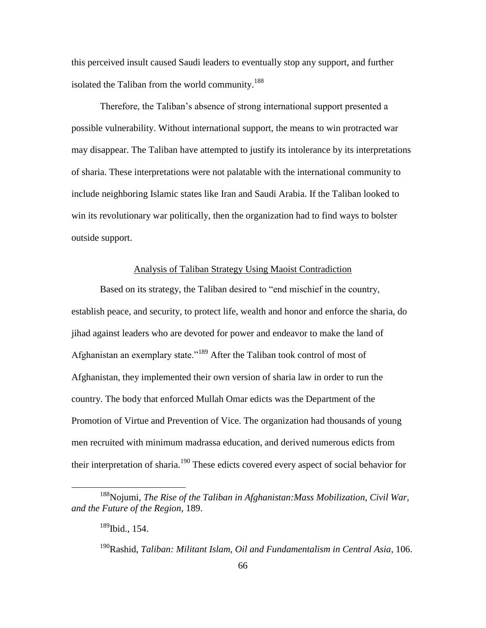this perceived insult caused Saudi leaders to eventually stop any support, and further isolated the Taliban from the world community.<sup>188</sup>

Therefore, the Taliban's absence of strong international support presented a possible vulnerability. Without international support, the means to win protracted war may disappear. The Taliban have attempted to justify its intolerance by its interpretations of sharia. These interpretations were not palatable with the international community to include neighboring Islamic states like Iran and Saudi Arabia. If the Taliban looked to win its revolutionary war politically, then the organization had to find ways to bolster outside support.

# Analysis of Taliban Strategy Using Maoist Contradiction

Based on its strategy, the Taliban desired to "end mischief in the country, establish peace, and security, to protect life, wealth and honor and enforce the sharia, do jihad against leaders who are devoted for power and endeavor to make the land of Afghanistan an exemplary state."<sup>189</sup> After the Taliban took control of most of Afghanistan, they implemented their own version of sharia law in order to run the country. The body that enforced Mullah Omar edicts was the Department of the Promotion of Virtue and Prevention of Vice. The organization had thousands of young men recruited with minimum madrassa education, and derived numerous edicts from their interpretation of sharia.<sup>190</sup> These edicts covered every aspect of social behavior for

<sup>188</sup>Nojumi, *The Rise of the Taliban in Afghanistan:Mass Mobilization, Civil War, and the Future of the Region*, 189.

<sup>189</sup>Ibid., 154.

<sup>190</sup>Rashid, *Taliban: Militant Islam, Oil and Fundamentalism in Central Asia*, 106.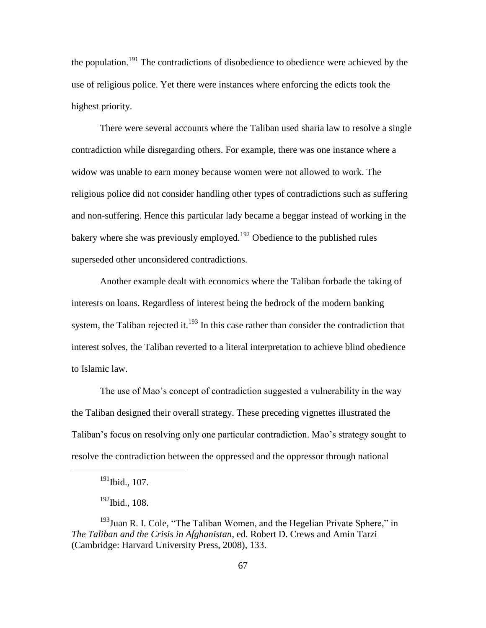the population.<sup>191</sup> The contradictions of disobedience to obedience were achieved by the use of religious police. Yet there were instances where enforcing the edicts took the highest priority.

There were several accounts where the Taliban used sharia law to resolve a single contradiction while disregarding others. For example, there was one instance where a widow was unable to earn money because women were not allowed to work. The religious police did not consider handling other types of contradictions such as suffering and non-suffering. Hence this particular lady became a beggar instead of working in the bakery where she was previously employed.<sup>192</sup> Obedience to the published rules superseded other unconsidered contradictions.

Another example dealt with economics where the Taliban forbade the taking of interests on loans. Regardless of interest being the bedrock of the modern banking system, the Taliban rejected it.<sup>193</sup> In this case rather than consider the contradiction that interest solves, the Taliban reverted to a literal interpretation to achieve blind obedience to Islamic law.

The use of Mao's concept of contradiction suggested a vulnerability in the way the Taliban designed their overall strategy. These preceding vignettes illustrated the Taliban's focus on resolving only one particular contradiction. Mao's strategy sought to resolve the contradiction between the oppressed and the oppressor through national

 $191$ Ibid., 107.

<sup>&</sup>lt;sup>192</sup>Ibid., 108.

 $193$ Juan R. I. Cole, "The Taliban Women, and the Hegelian Private Sphere," in *The Taliban and the Crisis in Afghanistan*, ed. Robert D. Crews and Amin Tarzi (Cambridge: Harvard University Press, 2008), 133.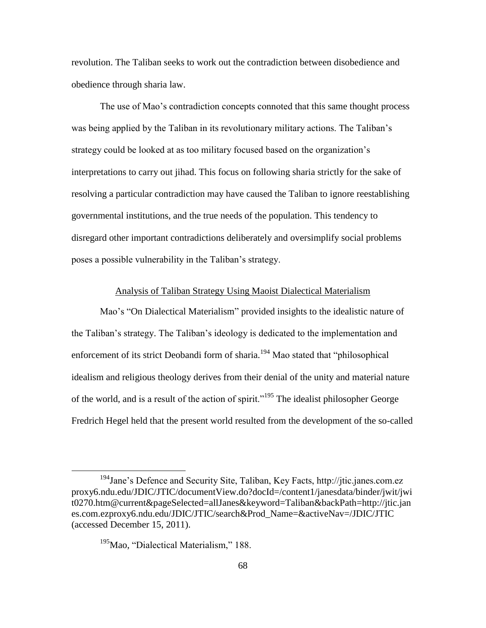revolution. The Taliban seeks to work out the contradiction between disobedience and obedience through sharia law.

The use of Mao's contradiction concepts connoted that this same thought process was being applied by the Taliban in its revolutionary military actions. The Taliban's strategy could be looked at as too military focused based on the organization's interpretations to carry out jihad. This focus on following sharia strictly for the sake of resolving a particular contradiction may have caused the Taliban to ignore reestablishing governmental institutions, and the true needs of the population. This tendency to disregard other important contradictions deliberately and oversimplify social problems poses a possible vulnerability in the Taliban's strategy.

### Analysis of Taliban Strategy Using Maoist Dialectical Materialism

Mao's "On Dialectical Materialism" provided insights to the idealistic nature of the Taliban's strategy. The Taliban's ideology is dedicated to the implementation and enforcement of its strict Deobandi form of sharia.<sup>194</sup> Mao stated that "philosophical idealism and religious theology derives from their denial of the unity and material nature of the world, and is a result of the action of spirit."<sup>195</sup> The idealist philosopher George Fredrich Hegel held that the present world resulted from the development of the so-called

<sup>194</sup>Jane's Defence and Security Site, Taliban, Key Facts, http://jtic.janes.com.ez proxy6.ndu.edu/JDIC/JTIC/documentView.do?docId=/content1/janesdata/binder/jwit/jwi t0270.htm@current&pageSelected=allJanes&keyword=Taliban&backPath=http://jtic.jan es.com.ezproxy6.ndu.edu/JDIC/JTIC/search&Prod\_Name=&activeNav=/JDIC/JTIC (accessed December 15, 2011).

<sup>&</sup>lt;sup>195</sup>Mao, "Dialectical Materialism," 188.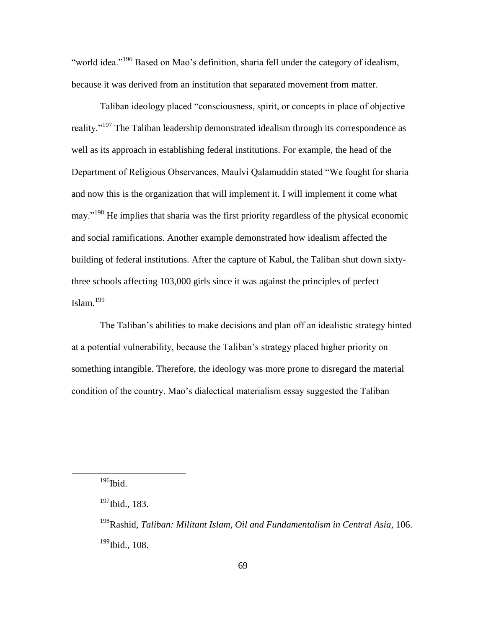"world idea."<sup>196</sup> Based on Mao's definition, sharia fell under the category of idealism, because it was derived from an institution that separated movement from matter.

Taliban ideology placed "consciousness, spirit, or concepts in place of objective reality."<sup>197</sup> The Taliban leadership demonstrated idealism through its correspondence as well as its approach in establishing federal institutions. For example, the head of the Department of Religious Observances, Maulvi Qalamuddin stated "We fought for sharia and now this is the organization that will implement it. I will implement it come what may.<sup>198</sup> He implies that sharia was the first priority regardless of the physical economic and social ramifications. Another example demonstrated how idealism affected the building of federal institutions. After the capture of Kabul, the Taliban shut down sixtythree schools affecting 103,000 girls since it was against the principles of perfect Islam. $199$ 

The Taliban's abilities to make decisions and plan off an idealistic strategy hinted at a potential vulnerability, because the Taliban's strategy placed higher priority on something intangible. Therefore, the ideology was more prone to disregard the material condition of the country. Mao's dialectical materialism essay suggested the Taliban

 $^{196}\mbox{Ibid.}$ 

<sup>197</sup>Ibid.*,* 183.

<sup>198</sup>Rashid, *Taliban: Militant Islam, Oil and Fundamentalism in Central Asia*, 106. <sup>199</sup>Ibid., 108.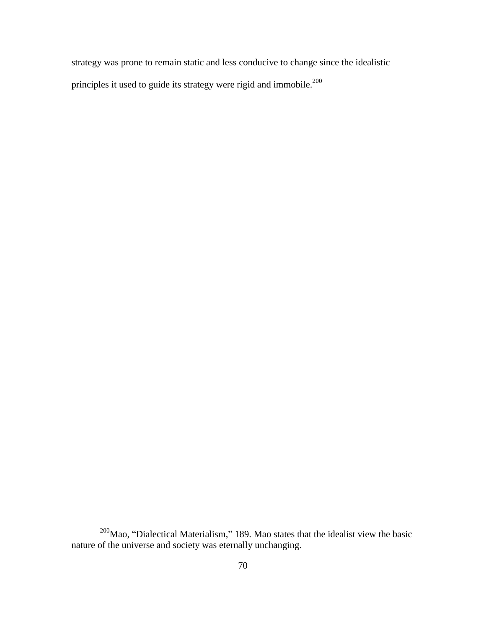strategy was prone to remain static and less conducive to change since the idealistic principles it used to guide its strategy were rigid and immobile.<sup>200</sup>

 $200$ Mao, "Dialectical Materialism," 189. Mao states that the idealist view the basic nature of the universe and society was eternally unchanging.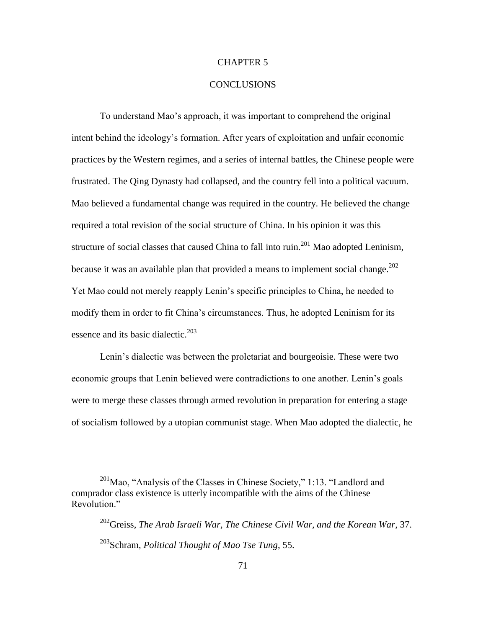# CHAPTER 5

# CONCLUSIONS

To understand Mao's approach, it was important to comprehend the original intent behind the ideology's formation. After years of exploitation and unfair economic practices by the Western regimes, and a series of internal battles, the Chinese people were frustrated. The Qing Dynasty had collapsed, and the country fell into a political vacuum. Mao believed a fundamental change was required in the country. He believed the change required a total revision of the social structure of China. In his opinion it was this structure of social classes that caused China to fall into ruin.<sup>201</sup> Mao adopted Leninism, because it was an available plan that provided a means to implement social change.<sup>202</sup> Yet Mao could not merely reapply Lenin's specific principles to China, he needed to modify them in order to fit China's circumstances. Thus, he adopted Leninism for its essence and its basic dialectic.<sup>203</sup>

Lenin's dialectic was between the proletariat and bourgeoisie. These were two economic groups that Lenin believed were contradictions to one another. Lenin's goals were to merge these classes through armed revolution in preparation for entering a stage of socialism followed by a utopian communist stage. When Mao adopted the dialectic, he

 $201$ Mao, "Analysis of the Classes in Chinese Society," 1:13. "Landlord and comprador class existence is utterly incompatible with the aims of the Chinese Revolution."

<sup>202</sup>Greiss, *The Arab Israeli War, The Chinese Civil War, and the Korean War*, 37. <sup>203</sup>Schram, *Political Thought of Mao Tse Tung*, 55.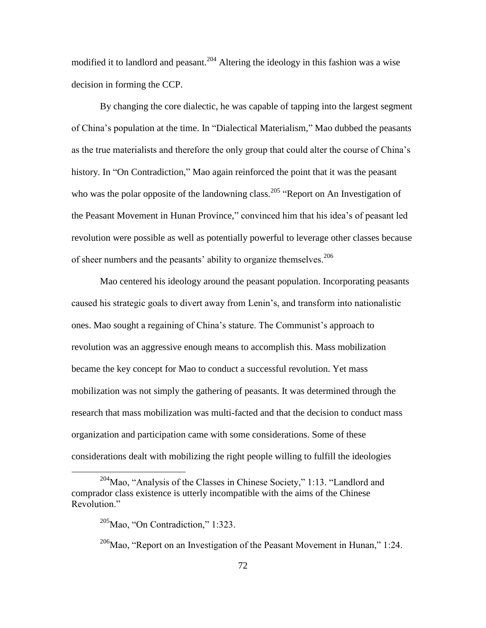modified it to landlord and peasant.<sup>204</sup> Altering the ideology in this fashion was a wise decision in forming the CCP.

By changing the core dialectic, he was capable of tapping into the largest segment of China's population at the time. In "Dialectical Materialism," Mao dubbed the peasants as the true materialists and therefore the only group that could alter the course of China's history. In "On Contradiction," Mao again reinforced the point that it was the peasant who was the polar opposite of the landowning class.<sup>205</sup> "Report on An Investigation of the Peasant Movement in Hunan Province," convinced him that his idea's of peasant led revolution were possible as well as potentially powerful to leverage other classes because of sheer numbers and the peasants' ability to organize themselves.<sup>206</sup>

Mao centered his ideology around the peasant population. Incorporating peasants caused his strategic goals to divert away from Lenin's, and transform into nationalistic ones. Mao sought a regaining of China's stature. The Communist's approach to revolution was an aggressive enough means to accomplish this. Mass mobilization became the key concept for Mao to conduct a successful revolution. Yet mass mobilization was not simply the gathering of peasants. It was determined through the research that mass mobilization was multi-facted and that the decision to conduct mass organization and participation came with some considerations. Some of these considerations dealt with mobilizing the right people willing to fulfill the ideologies

 $204$ Mao, "Analysis of the Classes in Chinese Society," 1:13. "Landlord and comprador class existence is utterly incompatible with the aims of the Chinese Revolution."

 $205$ Mao, "On Contradiction," 1:323.

 $206$ Mao, "Report on an Investigation of the Peasant Movement in Hunan," 1:24.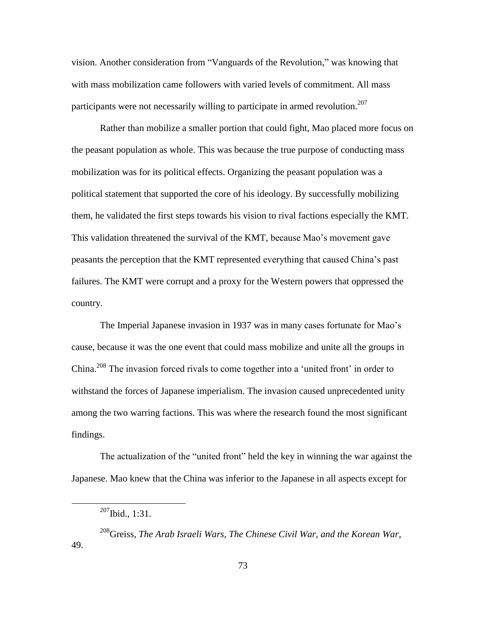vision. Another consideration from "Vanguards of the Revolution," was knowing that with mass mobilization came followers with varied levels of commitment. All mass participants were not necessarily willing to participate in armed revolution.<sup>207</sup>

Rather than mobilize a smaller portion that could fight, Mao placed more focus on the peasant population as whole. This was because the true purpose of conducting mass mobilization was for its political effects. Organizing the peasant population was a political statement that supported the core of his ideology. By successfully mobilizing them, he validated the first steps towards his vision to rival factions especially the KMT. This validation threatened the survival of the KMT, because Mao's movement gave peasants the perception that the KMT represented everything that caused China's past failures. The KMT were corrupt and a proxy for the Western powers that oppressed the country.

The Imperial Japanese invasion in 1937 was in many cases fortunate for Mao's cause, because it was the one event that could mass mobilize and unite all the groups in China.<sup>208</sup> The invasion forced rivals to come together into a 'united front' in order to withstand the forces of Japanese imperialism. The invasion caused unprecedented unity among the two warring factions. This was where the research found the most significant findings.

The actualization of the "united front" held the key in winning the war against the Japanese. Mao knew that the China was inferior to the Japanese in all aspects except for

 $207$ Ibid., 1:31.

<sup>208</sup>Greiss, *The Arab Israeli Wars, The Chinese Civil War, and the Korean War*, 49.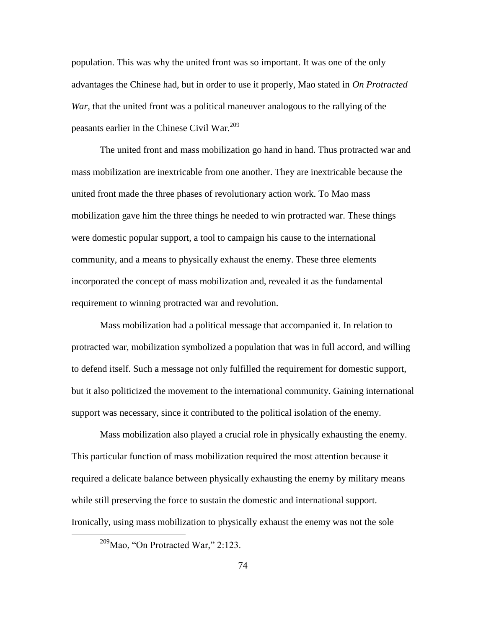population. This was why the united front was so important. It was one of the only advantages the Chinese had, but in order to use it properly, Mao stated in *On Protracted War*, that the united front was a political maneuver analogous to the rallying of the peasants earlier in the Chinese Civil War.<sup>209</sup>

The united front and mass mobilization go hand in hand. Thus protracted war and mass mobilization are inextricable from one another. They are inextricable because the united front made the three phases of revolutionary action work. To Mao mass mobilization gave him the three things he needed to win protracted war. These things were domestic popular support, a tool to campaign his cause to the international community, and a means to physically exhaust the enemy. These three elements incorporated the concept of mass mobilization and, revealed it as the fundamental requirement to winning protracted war and revolution.

Mass mobilization had a political message that accompanied it. In relation to protracted war, mobilization symbolized a population that was in full accord, and willing to defend itself. Such a message not only fulfilled the requirement for domestic support, but it also politicized the movement to the international community. Gaining international support was necessary, since it contributed to the political isolation of the enemy.

Mass mobilization also played a crucial role in physically exhausting the enemy. This particular function of mass mobilization required the most attention because it required a delicate balance between physically exhausting the enemy by military means while still preserving the force to sustain the domestic and international support. Ironically, using mass mobilization to physically exhaust the enemy was not the sole

 $209$ Mao, "On Protracted War," 2:123.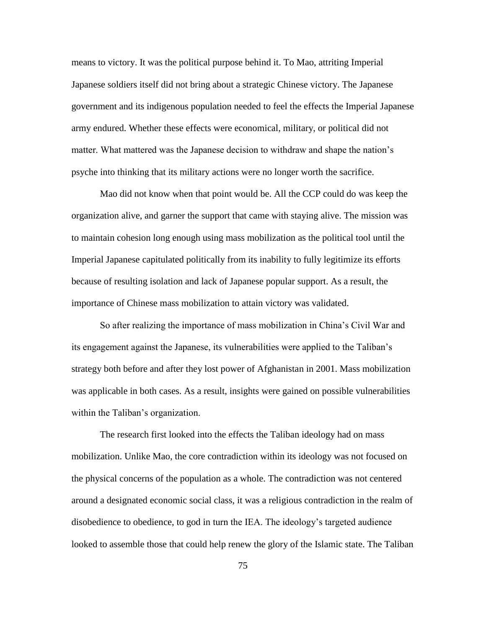means to victory. It was the political purpose behind it. To Mao, attriting Imperial Japanese soldiers itself did not bring about a strategic Chinese victory. The Japanese government and its indigenous population needed to feel the effects the Imperial Japanese army endured. Whether these effects were economical, military, or political did not matter. What mattered was the Japanese decision to withdraw and shape the nation's psyche into thinking that its military actions were no longer worth the sacrifice.

Mao did not know when that point would be. All the CCP could do was keep the organization alive, and garner the support that came with staying alive. The mission was to maintain cohesion long enough using mass mobilization as the political tool until the Imperial Japanese capitulated politically from its inability to fully legitimize its efforts because of resulting isolation and lack of Japanese popular support. As a result, the importance of Chinese mass mobilization to attain victory was validated.

So after realizing the importance of mass mobilization in China's Civil War and its engagement against the Japanese, its vulnerabilities were applied to the Taliban's strategy both before and after they lost power of Afghanistan in 2001. Mass mobilization was applicable in both cases. As a result, insights were gained on possible vulnerabilities within the Taliban's organization.

The research first looked into the effects the Taliban ideology had on mass mobilization. Unlike Mao, the core contradiction within its ideology was not focused on the physical concerns of the population as a whole. The contradiction was not centered around a designated economic social class, it was a religious contradiction in the realm of disobedience to obedience, to god in turn the IEA. The ideology's targeted audience looked to assemble those that could help renew the glory of the Islamic state. The Taliban

75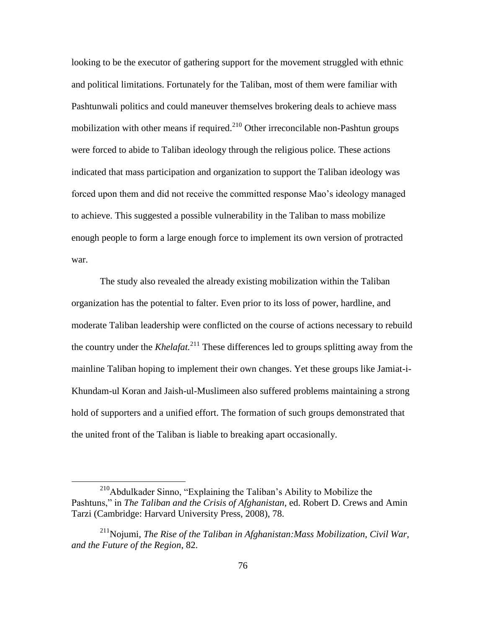looking to be the executor of gathering support for the movement struggled with ethnic and political limitations. Fortunately for the Taliban, most of them were familiar with Pashtunwali politics and could maneuver themselves brokering deals to achieve mass mobilization with other means if required.<sup>210</sup> Other irreconcilable non-Pashtun groups were forced to abide to Taliban ideology through the religious police. These actions indicated that mass participation and organization to support the Taliban ideology was forced upon them and did not receive the committed response Mao's ideology managed to achieve. This suggested a possible vulnerability in the Taliban to mass mobilize enough people to form a large enough force to implement its own version of protracted war.

The study also revealed the already existing mobilization within the Taliban organization has the potential to falter. Even prior to its loss of power, hardline, and moderate Taliban leadership were conflicted on the course of actions necessary to rebuild the country under the *Khelafat.*<sup>211</sup> These differences led to groups splitting away from the mainline Taliban hoping to implement their own changes. Yet these groups like Jamiat-i-Khundam-ul Koran and Jaish-ul-Muslimeen also suffered problems maintaining a strong hold of supporters and a unified effort. The formation of such groups demonstrated that the united front of the Taliban is liable to breaking apart occasionally.

 $210$ Abdulkader Sinno, "Explaining the Taliban's Ability to Mobilize the Pashtuns," in *The Taliban and the Crisis of Afghanistan*, ed. Robert D. Crews and Amin Tarzi (Cambridge: Harvard University Press, 2008), 78.

<sup>211</sup>Nojumi, *The Rise of the Taliban in Afghanistan:Mass Mobilization, Civil War, and the Future of the Region*, 82.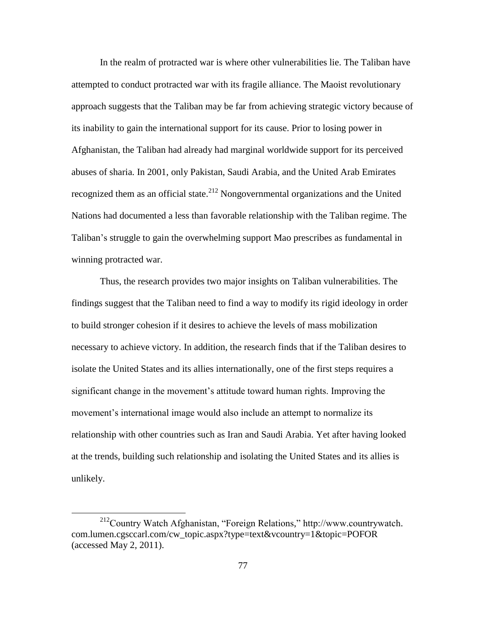In the realm of protracted war is where other vulnerabilities lie. The Taliban have attempted to conduct protracted war with its fragile alliance. The Maoist revolutionary approach suggests that the Taliban may be far from achieving strategic victory because of its inability to gain the international support for its cause. Prior to losing power in Afghanistan, the Taliban had already had marginal worldwide support for its perceived abuses of sharia. In 2001, only Pakistan, Saudi Arabia, and the United Arab Emirates recognized them as an official state. $2^{12}$  Nongovernmental organizations and the United Nations had documented a less than favorable relationship with the Taliban regime. The Taliban's struggle to gain the overwhelming support Mao prescribes as fundamental in winning protracted war.

Thus, the research provides two major insights on Taliban vulnerabilities. The findings suggest that the Taliban need to find a way to modify its rigid ideology in order to build stronger cohesion if it desires to achieve the levels of mass mobilization necessary to achieve victory. In addition, the research finds that if the Taliban desires to isolate the United States and its allies internationally, one of the first steps requires a significant change in the movement's attitude toward human rights. Improving the movement's international image would also include an attempt to normalize its relationship with other countries such as Iran and Saudi Arabia. Yet after having looked at the trends, building such relationship and isolating the United States and its allies is unlikely.

 $^{212}$ Country Watch Afghanistan, "Foreign Relations," http://www.countrywatch. com.lumen.cgsccarl.com/cw\_topic.aspx?type=text&vcountry=1&topic=POFOR (accessed May 2, 2011).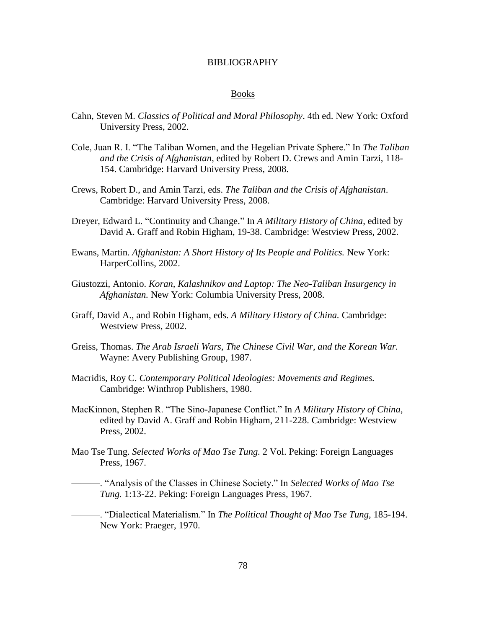### BIBLIOGRAPHY

#### Books

- Cahn, Steven M. *Classics of Political and Moral Philosophy*. 4th ed. New York: Oxford University Press, 2002.
- Cole, Juan R. I. "The Taliban Women, and the Hegelian Private Sphere." In *The Taliban and the Crisis of Afghanistan*, edited by Robert D. Crews and Amin Tarzi, 118- 154. Cambridge: Harvard University Press, 2008.
- Crews, Robert D., and Amin Tarzi, eds. *The Taliban and the Crisis of Afghanistan*. Cambridge: Harvard University Press, 2008.
- Dreyer, Edward L. "Continuity and Change." In *A Military History of China*, edited by David A. Graff and Robin Higham, 19-38. Cambridge: Westview Press, 2002.
- Ewans, Martin. *Afghanistan: A Short History of Its People and Politics.* New York: HarperCollins, 2002.
- Giustozzi, Antonio. *Koran, Kalashnikov and Laptop: The Neo-Taliban Insurgency in Afghanistan.* New York: Columbia University Press, 2008.
- Graff, David A., and Robin Higham, eds. *A Military History of China.* Cambridge: Westview Press, 2002.
- Greiss, Thomas. *The Arab Israeli Wars, The Chinese Civil War, and the Korean War.*  Wayne: Avery Publishing Group, 1987.
- Macridis, Roy C. *Contemporary Political Ideologies: Movements and Regimes.* Cambridge: Winthrop Publishers, 1980.
- MacKinnon, Stephen R. "The Sino-Japanese Conflict." In *A Military History of China*, edited by David A. Graff and Robin Higham, 211-228. Cambridge: Westview Press, 2002.
- Mao Tse Tung. *Selected Works of Mao Tse Tung.* 2 Vol. Peking: Foreign Languages Press, 1967.

———. ―Analysis of the Classes in Chinese Society.‖ In *Selected Works of Mao Tse Tung.* 1:13-22. Peking: Foreign Languages Press, 1967.

———. ―Dialectical Materialism.‖ In *The Political Thought of Mao Tse Tung*, 185-194. New York: Praeger, 1970.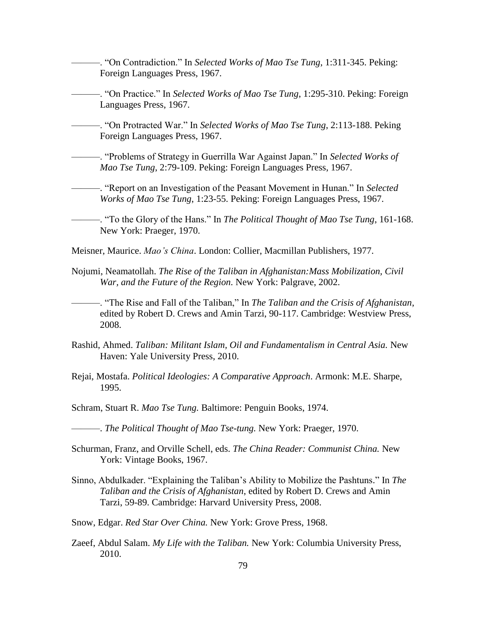———. ―On Contradiction.‖ In *Selected Works of Mao Tse Tung*, 1:311-345. Peking: Foreign Languages Press, 1967.

———. ―On Practice.‖ In *Selected Works of Mao Tse Tung*, 1:295-310. Peking: Foreign Languages Press, 1967.

———. ―On Protracted War.‖ In *Selected Works of Mao Tse Tung*, 2:113-188. Peking Foreign Languages Press, 1967.

———. ―Problems of Strategy in Guerrilla War Against Japan.‖ In *Selected Works of Mao Tse Tung*, 2:79-109. Peking: Foreign Languages Press, 1967.

**-**——. "Report on an Investigation of the Peasant Movement in Hunan." In *Selected Works of Mao Tse Tung*, 1:23-55. Peking: Foreign Languages Press, 1967.

———. ―To the Glory of the Hans.‖ In *The Political Thought of Mao Tse Tung*, 161-168. New York: Praeger, 1970.

Meisner, Maurice. *Mao's China*. London: Collier, Macmillan Publishers, 1977.

Nojumi, Neamatollah. *The Rise of the Taliban in Afghanistan:Mass Mobilization, Civil War, and the Future of the Region.* New York: Palgrave, 2002.

———. ―The Rise and Fall of the Taliban,‖ In *The Taliban and the Crisis of Afghanistan*, edited by Robert D. Crews and Amin Tarzi, 90-117. Cambridge: Westview Press, 2008.

- Rashid, Ahmed. *Taliban: Militant Islam, Oil and Fundamentalism in Central Asia.* New Haven: Yale University Press, 2010.
- Rejai, Mostafa. *Political Ideologies: A Comparative Approach*. Armonk: M.E. Sharpe, 1995.

Schram, Stuart R. *Mao Tse Tung.* Baltimore: Penguin Books, 1974.

———. *The Political Thought of Mao Tse-tung.* New York: Praeger, 1970.

- Schurman, Franz, and Orville Schell, eds. *The China Reader: Communist China.* New York: Vintage Books, 1967.
- Sinno, Abdulkader. "Explaining the Taliban's Ability to Mobilize the Pashtuns." In *The Taliban and the Crisis of Afghanistan*, edited by Robert D. Crews and Amin Tarzi, 59-89. Cambridge: Harvard University Press, 2008.
- Snow, Edgar. *Red Star Over China.* New York: Grove Press, 1968.
- Zaeef, Abdul Salam. *My Life with the Taliban.* New York: Columbia University Press, 2010.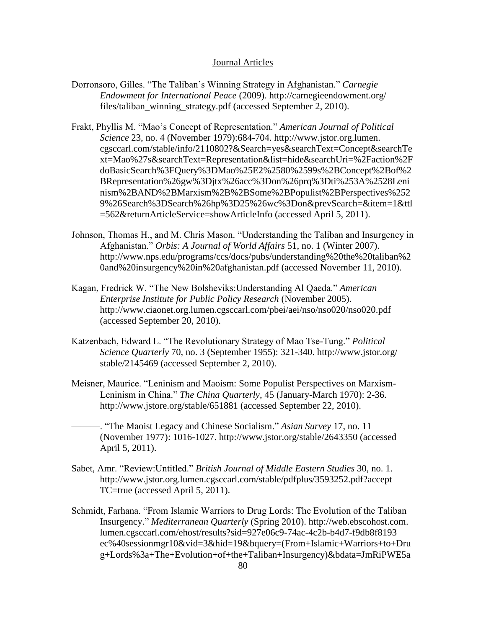### Journal Articles

- Dorronsoro, Gilles. "The Taliban's Winning Strategy in Afghanistan." Carnegie *Endowment for International Peace* (2009). http://carnegieendowment.org/ files/taliban\_winning\_strategy.pdf (accessed September 2, 2010).
- Frakt, Phyllis M. "Mao's Concept of Representation." *American Journal of Political Science* 23, no. 4 (November 1979):684-704. http://www.jstor.org.lumen. cgsccarl.com/stable/info/2110802?&Search=yes&searchText=Concept&searchTe xt=Mao%27s&searchText=Representation&list=hide&searchUri=%2Faction%2F doBasicSearch%3FQuery%3DMao%25E2%2580%2599s%2BConcept%2Bof%2 BRepresentation%26gw%3Djtx%26acc%3Don%26prq%3Dti%253A%2528Leni nism%2BAND%2BMarxism%2B%2BSome%2BPopulist%2BPerspectives%252 9%26Search%3DSearch%26hp%3D25%26wc%3Don&prevSearch=&item=1&ttl =562&returnArticleService=showArticleInfo (accessed April 5, 2011).
- Johnson, Thomas H., and M. Chris Mason. "Understanding the Taliban and Insurgency in Afghanistan.‖ *Orbis: A Journal of World Affairs* 51, no. 1 (Winter 2007). http://www.nps.edu/programs/ccs/docs/pubs/understanding%20the%20taliban%2 0and%20insurgency%20in%20afghanistan.pdf (accessed November 11, 2010).
- Kagan, Fredrick W. "The New Bolsheviks: Understanding Al Qaeda." *American Enterprise Institute for Public Policy Research* (November 2005). http://www.ciaonet.org.lumen.cgsccarl.com/pbei/aei/nso/nso020/nso020.pdf (accessed September 20, 2010).
- Katzenbach, Edward L. "The Revolutionary Strategy of Mao Tse-Tung." *Political Science Quarterly* 70, no. 3 (September 1955): 321-340. http://www.jstor.org/ stable/2145469 (accessed September 2, 2010).
- Meisner, Maurice. "Leninism and Maoism: Some Populist Perspectives on Marxism-Leninism in China." *The China Quarterly*, 45 (January-March 1970): 2-36. http://www.jstore.org/stable/651881 (accessed September 22, 2010).
	- ———. ―The Maoist Legacy and Chinese Socialism.‖ *Asian Survey* 17, no. 11 (November 1977): 1016-1027. http://www.jstor.org/stable/2643350 (accessed April 5, 2011).
- Sabet, Amr. "Review:Untitled." *British Journal of Middle Eastern Studies* 30, no. 1. http://www.jstor.org.lumen.cgsccarl.com/stable/pdfplus/3593252.pdf?accept TC=true (accessed April 5, 2011).
- Schmidt, Farhana. "From Islamic Warriors to Drug Lords: The Evolution of the Taliban Insurgency.‖ *Mediterranean Quarterly* (Spring 2010). http://web.ebscohost.com. lumen.cgsccarl.com/ehost/results?sid=927e06c9-74ac-4c2b-b4d7-f9db8f8193 ec%40sessionmgr10&vid=3&hid=19&bquery=(From+Islamic+Warriors+to+Dru g+Lords%3a+The+Evolution+of+the+Taliban+Insurgency)&bdata=JmRiPWE5a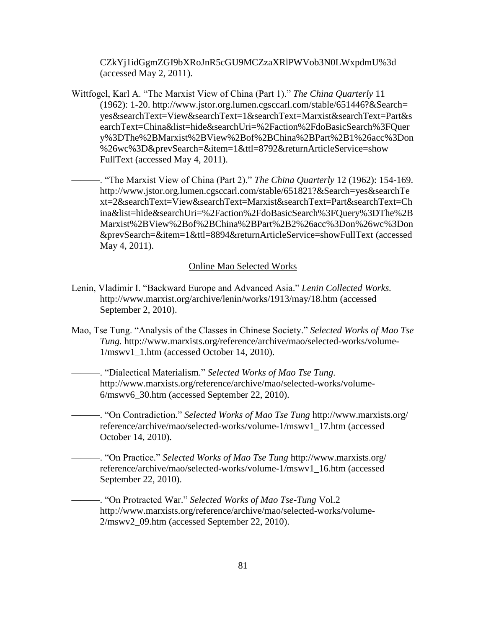CZkYj1idGgmZGI9bXRoJnR5cGU9MCZzaXRlPWVob3N0LWxpdmU%3d (accessed May 2, 2011).

Wittfogel, Karl A. "The Marxist View of China (Part 1)." *The China Quarterly* 11 (1962): 1-20. http://www.jstor.org.lumen.cgsccarl.com/stable/651446?&Search= yes&searchText=View&searchText=1&searchText=Marxist&searchText=Part&s earchText=China&list=hide&searchUri=%2Faction%2FdoBasicSearch%3FQuer y%3DThe%2BMarxist%2BView%2Bof%2BChina%2BPart%2B1%26acc%3Don %26wc%3D&prevSearch=&item=1&ttl=8792&returnArticleService=show FullText (accessed May 4, 2011).

———. ―The Marxist View of China (Part 2).‖ *The China Quarterly* 12 (1962): 154-169. http://www.jstor.org.lumen.cgsccarl.com/stable/651821?&Search=yes&searchTe xt=2&searchText=View&searchText=Marxist&searchText=Part&searchText=Ch ina&list=hide&searchUri=%2Faction%2FdoBasicSearch%3FQuery%3DThe%2B Marxist%2BView%2Bof%2BChina%2BPart%2B2%26acc%3Don%26wc%3Don &prevSearch=&item=1&ttl=8894&returnArticleService=showFullText (accessed May 4, 2011).

# Online Mao Selected Works

- Lenin, Vladimir I. "Backward Europe and Advanced Asia." *Lenin Collected Works*. http://www.marxist.org/archive/lenin/works/1913/may/18.htm (accessed September 2, 2010).
- Mao, Tse Tung. "Analysis of the Classes in Chinese Society." *Selected Works of Mao Tse Tung.* http://www.marxists.org/reference/archive/mao/selected-works/volume-1/mswv1\_1.htm (accessed October 14, 2010).

———. ―Dialectical Materialism.‖ *Selected Works of Mao Tse Tung.* http://www.marxists.org/reference/archive/mao/selected-works/volume-6/mswv6\_30.htm (accessed September 22, 2010).

———. ―On Contradiction.‖ *Selected Works of Mao Tse Tung* http://www.marxists.org/ reference/archive/mao/selected-works/volume-1/mswv1\_17.htm (accessed October 14, 2010).

———. ―On Practice.‖ *Selected Works of Mao Tse Tung* http://www.marxists.org/ reference/archive/mao/selected-works/volume-1/mswv1\_16.htm (accessed September 22, 2010).

———. ―On Protracted War.‖ *Selected Works of Mao Tse-Tung* Vol.2 http://www.marxists.org/reference/archive/mao/selected-works/volume-2/mswv2\_09.htm (accessed September 22, 2010).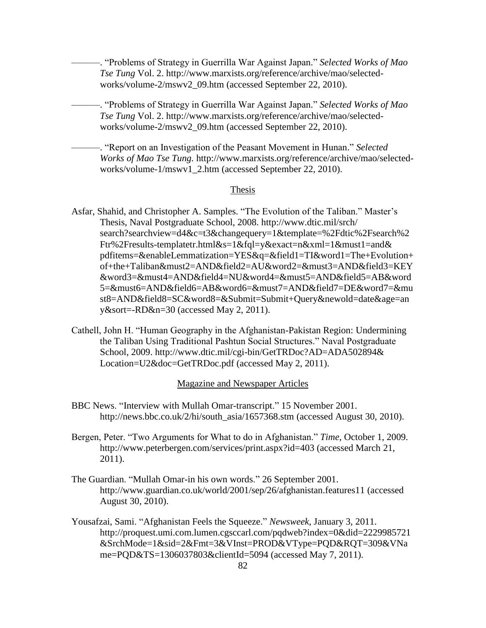———. ―Problems of Strategy in Guerrilla War Against Japan.‖ *Selected Works of Mao Tse Tung* Vol. 2. http://www.marxists.org/reference/archive/mao/selectedworks/volume-2/mswv2\_09.htm (accessed September 22, 2010).

- ———. ―Problems of Strategy in Guerrilla War Against Japan.‖ *Selected Works of Mao Tse Tung* Vol. 2. http://www.marxists.org/reference/archive/mao/selectedworks/volume-2/mswv2\_09.htm (accessed September 22, 2010).
	- ———. ―Report on an Investigation of the Peasant Movement in Hunan.‖ *Selected Works of Mao Tse Tung.* http://www.marxists.org/reference/archive/mao/selectedworks/volume-1/mswv1\_2.htm (accessed September 22, 2010).

### Thesis

- Asfar, Shahid, and Christopher A. Samples. "The Evolution of the Taliban." Master's Thesis, Naval Postgraduate School, 2008. http://www.dtic.mil/srch/ search?searchview=d4&c=t3&changequery=1&template=%2Fdtic%2Fsearch%2 Ftr%2Fresults-templatetr.html&s=1&fql=y&exact=n&xml=1&must1=and& pdfitems=&enableLemmatization=YES&q=&field1=TI&word1=The+Evolution+ of+the+Taliban&must2=AND&field2=AU&word2=&must3=AND&field3=KEY &word3=&must4=AND&field4=NU&word4=&must5=AND&field5=AB&word 5=&must6=AND&field6=AB&word6=&must7=AND&field7=DE&word7=&mu st8=AND&field8=SC&word8=&Submit=Submit+Query&newold=date&age=an y&sort=-RD&n=30 (accessed May 2, 2011).
- Cathell, John H. "Human Geography in the Afghanistan-Pakistan Region: Undermining the Taliban Using Traditional Pashtun Social Structures." Naval Postgraduate School, 2009. http://www.dtic.mil/cgi-bin/GetTRDoc?AD=ADA502894& Location=U2&doc=GetTRDoc.pdf (accessed May 2, 2011).

# Magazine and Newspaper Articles

- BBC News. "Interview with Mullah Omar-transcript." 15 November 2001. http://news.bbc.co.uk/2/hi/south\_asia/1657368.stm (accessed August 30, 2010).
- Bergen, Peter. "Two Arguments for What to do in Afghanistan." *Time*, October 1, 2009. http://www.peterbergen.com/services/print.aspx?id=403 (accessed March 21, 2011).
- The Guardian. "Mullah Omar-in his own words." 26 September 2001. http://www.guardian.co.uk/world/2001/sep/26/afghanistan.features11 (accessed August 30, 2010).
- Yousafzai, Sami. "Afghanistan Feels the Squeeze." *Newsweek*, January 3, 2011. http://proquest.umi.com.lumen.cgsccarl.com/pqdweb?index=0&did=2229985721 &SrchMode=1&sid=2&Fmt=3&VInst=PROD&VType=PQD&RQT=309&VNa me=PQD&TS=1306037803&clientId=5094 (accessed May 7, 2011).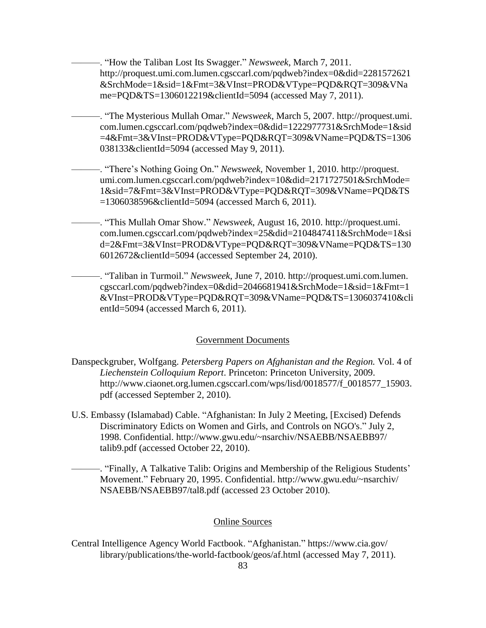–. "How the Taliban Lost Its Swagger." *Newsweek*, March 7, 2011. http://proquest.umi.com.lumen.cgsccarl.com/pqdweb?index=0&did=2281572621 &SrchMode=1&sid=1&Fmt=3&VInst=PROD&VType=PQD&RQT=309&VNa me=PQD&TS=1306012219&clientId=5094 (accessed May 7, 2011).

———. ―The Mysterious Mullah Omar.‖ *Newsweek*, March 5, 2007. http://proquest.umi. com.lumen.cgsccarl.com/pqdweb?index=0&did=1222977731&SrchMode=1&sid =4&Fmt=3&VInst=PROD&VType=PQD&RQT=309&VName=PQD&TS=1306 038133&clientId=5094 (accessed May 9, 2011).

———. ―There's Nothing Going On.‖ *Newsweek*, November 1, 2010. http://proquest. umi.com.lumen.cgsccarl.com/pqdweb?index=10&did=2171727501&SrchMode= 1&sid=7&Fmt=3&VInst=PROD&VType=PQD&RQT=309&VName=PQD&TS =1306038596&clientId=5094 (accessed March 6, 2011).

———. ―This Mullah Omar Show.‖ *Newsweek*, August 16, 2010. http://proquest.umi. com.lumen.cgsccarl.com/pqdweb?index=25&did=2104847411&SrchMode=1&si d=2&Fmt=3&VInst=PROD&VType=PQD&RQT=309&VName=PQD&TS=130 6012672&clientId=5094 (accessed September 24, 2010).

———. ―Taliban in Turmoil.‖ *Newsweek*, June 7, 2010. http://proquest.umi.com.lumen. cgsccarl.com/pqdweb?index=0&did=2046681941&SrchMode=1&sid=1&Fmt=1 &VInst=PROD&VType=PQD&RQT=309&VName=PQD&TS=1306037410&cli entId=5094 (accessed March 6, 2011).

# Government Documents

- Danspeckgruber, Wolfgang. *Petersberg Papers on Afghanistan and the Region.* Vol. 4 of *Liechenstein Colloquium Report*. Princeton: Princeton University, 2009. http://www.ciaonet.org.lumen.cgsccarl.com/wps/lisd/0018577/f\_0018577\_15903. pdf (accessed September 2, 2010).
- U.S. Embassy (Islamabad) Cable. "Afghanistan: In July 2 Meeting, [Excised) Defends Discriminatory Edicts on Women and Girls, and Controls on NGO's." July 2, 1998. Confidential. http://www.gwu.edu/~nsarchiv/NSAEBB/NSAEBB97/ talib9.pdf (accessed October 22, 2010).

———. ―Finally, A Talkative Talib: Origins and Membership of the Religious Students' Movement." February 20, 1995. Confidential. http://www.gwu.edu/~nsarchiv/ NSAEBB/NSAEBB97/tal8.pdf (accessed 23 October 2010).

# Online Sources

Central Intelligence Agency World Factbook. "Afghanistan." https://www.cia.gov/ library/publications/the-world-factbook/geos/af.html (accessed May 7, 2011).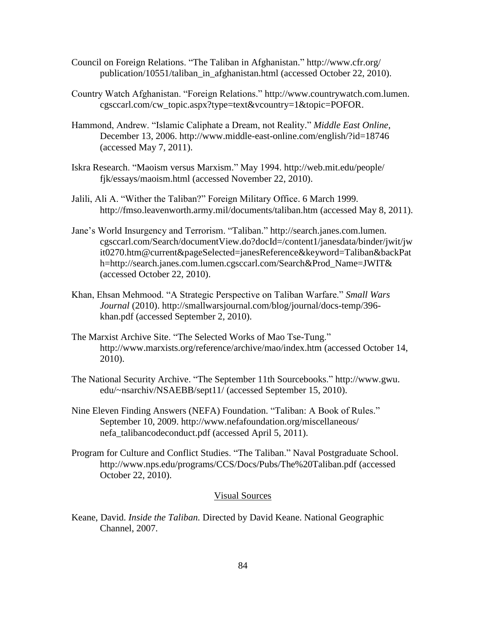- Council on Foreign Relations. "The Taliban in Afghanistan." http://www.cfr.org/ publication/10551/taliban\_in\_afghanistan.html (accessed October 22, 2010).
- Country Watch Afghanistan. "Foreign Relations." http://www.countrywatch.com.lumen. cgsccarl.com/cw\_topic.aspx?type=text&vcountry=1&topic=POFOR.
- Hammond, Andrew. "Islamic Caliphate a Dream, not Reality." *Middle East Online*, December 13, 2006. http://www.middle-east-online.com/english/?id=18746 (accessed May 7, 2011).
- Iskra Research. "Maoism versus Marxism." May 1994. http://web.mit.edu/people/ fjk/essays/maoism.html (accessed November 22, 2010).
- Jalili, Ali A. "Wither the Taliban?" Foreign Military Office. 6 March 1999. http://fmso.leavenworth.army.mil/documents/taliban.htm (accessed May 8, 2011).
- Jane's World Insurgency and Terrorism. "Taliban." http://search.janes.com.lumen. cgsccarl.com/Search/documentView.do?docId=/content1/janesdata/binder/jwit/jw it0270.htm@current&pageSelected=janesReference&keyword=Taliban&backPat h=http://search.janes.com.lumen.cgsccarl.com/Search&Prod\_Name=JWIT& (accessed October 22, 2010).
- Khan, Ehsan Mehmood. ―A Strategic Perspective on Taliban Warfare.‖ *Small Wars Journal* (2010). http://smallwarsjournal.com/blog/journal/docs-temp/396 khan.pdf (accessed September 2, 2010).
- The Marxist Archive Site. "The Selected Works of Mao Tse-Tung." http://www.marxists.org/reference/archive/mao/index.htm (accessed October 14, 2010).
- The National Security Archive. "The September 11th Sourcebooks." http://www.gwu. edu/~nsarchiv/NSAEBB/sept11/ (accessed September 15, 2010).
- Nine Eleven Finding Answers (NEFA) Foundation. "Taliban: A Book of Rules." September 10, 2009. http://www.nefafoundation.org/miscellaneous/ nefa\_talibancodeconduct.pdf (accessed April 5, 2011).
- Program for Culture and Conflict Studies. "The Taliban." Naval Postgraduate School. http://www.nps.edu/programs/CCS/Docs/Pubs/The%20Taliban.pdf (accessed October 22, 2010).

### Visual Sources

Keane, David. *Inside the Taliban.* Directed by David Keane. National Geographic Channel, 2007.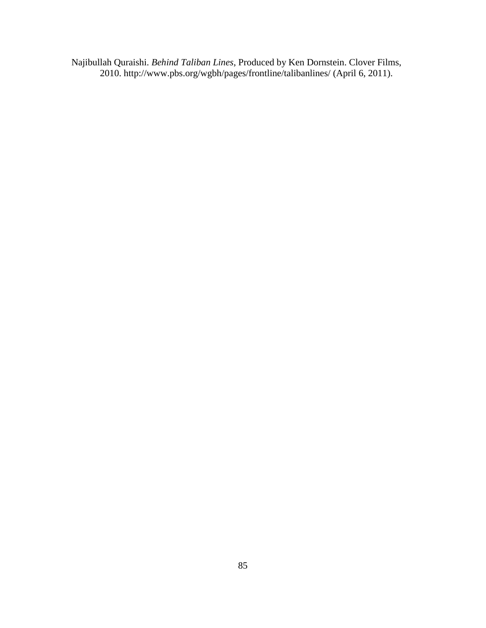Najibullah Quraishi. *Behind Taliban Lines*, Produced by Ken Dornstein. Clover Films, 2010. http://www.pbs.org/wgbh/pages/frontline/talibanlines/ (April 6, 2011).